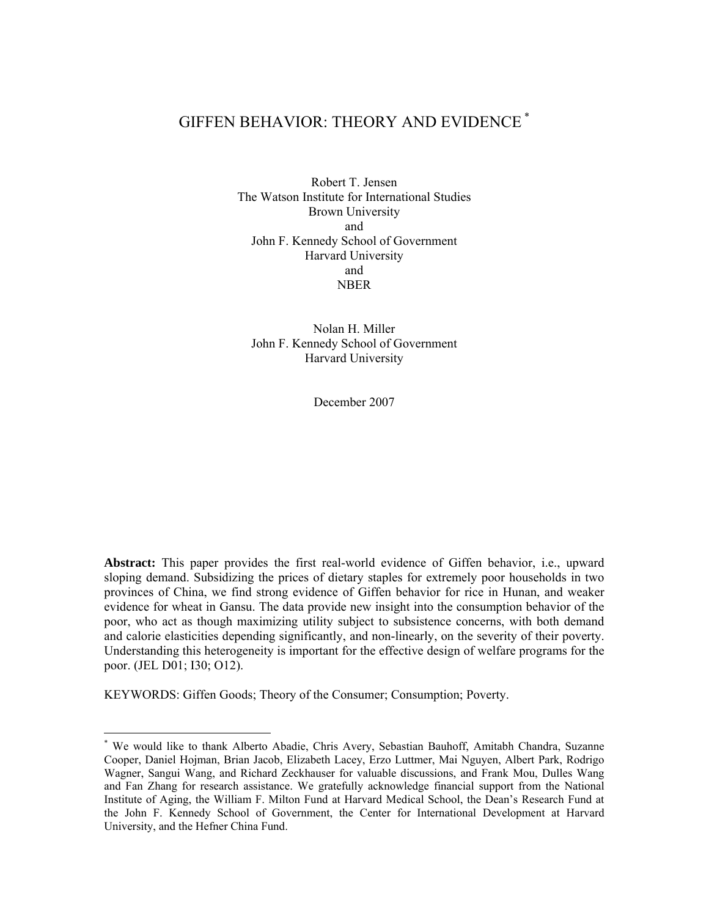# GIFFEN BEHAVIOR: THEORY AND EVIDENCE \*

Robert T. Jensen The Watson Institute for International Studies Brown University and John F. Kennedy School of Government Harvard University and NBER

Nolan H. Miller John F. Kennedy School of Government Harvard University

December 2007

**Abstract:** This paper provides the first real-world evidence of Giffen behavior, i.e., upward sloping demand. Subsidizing the prices of dietary staples for extremely poor households in two provinces of China, we find strong evidence of Giffen behavior for rice in Hunan, and weaker evidence for wheat in Gansu. The data provide new insight into the consumption behavior of the poor, who act as though maximizing utility subject to subsistence concerns, with both demand and calorie elasticities depending significantly, and non-linearly, on the severity of their poverty. Understanding this heterogeneity is important for the effective design of welfare programs for the poor. (JEL D01; I30; O12).

KEYWORDS: Giffen Goods; Theory of the Consumer; Consumption; Poverty.

<sup>\*</sup> We would like to thank Alberto Abadie, Chris Avery, Sebastian Bauhoff, Amitabh Chandra, Suzanne Cooper, Daniel Hojman, Brian Jacob, Elizabeth Lacey, Erzo Luttmer, Mai Nguyen, Albert Park, Rodrigo Wagner, Sangui Wang, and Richard Zeckhauser for valuable discussions, and Frank Mou, Dulles Wang and Fan Zhang for research assistance. We gratefully acknowledge financial support from the National Institute of Aging, the William F. Milton Fund at Harvard Medical School, the Dean's Research Fund at the John F. Kennedy School of Government, the Center for International Development at Harvard University, and the Hefner China Fund.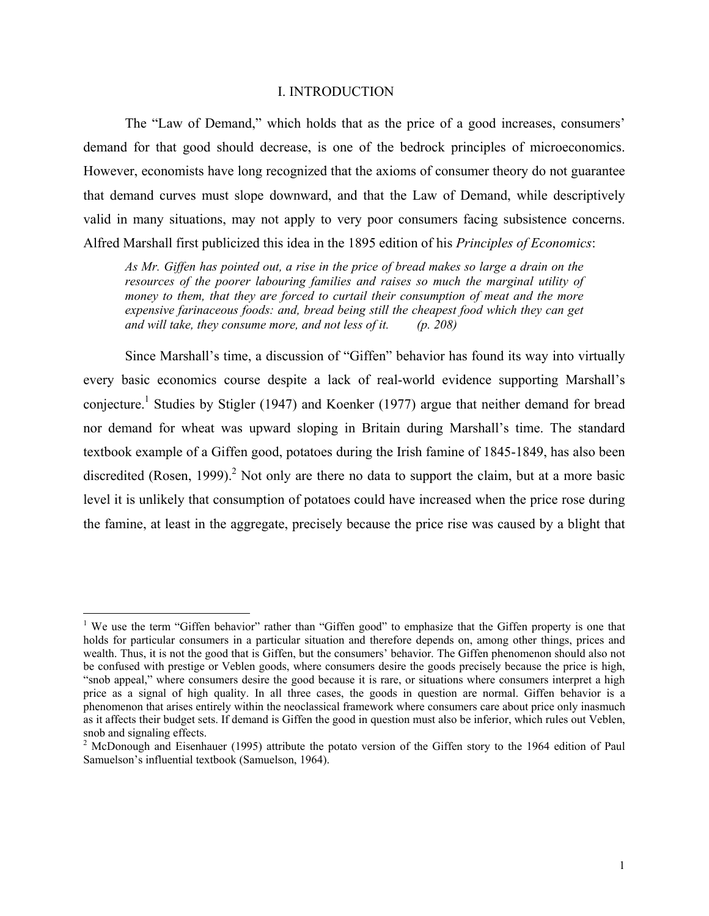#### I. INTRODUCTION

The "Law of Demand," which holds that as the price of a good increases, consumers' demand for that good should decrease, is one of the bedrock principles of microeconomics. However, economists have long recognized that the axioms of consumer theory do not guarantee that demand curves must slope downward, and that the Law of Demand, while descriptively valid in many situations, may not apply to very poor consumers facing subsistence concerns. Alfred Marshall first publicized this idea in the 1895 edition of his *Principles of Economics*:

*As Mr. Giffen has pointed out, a rise in the price of bread makes so large a drain on the resources of the poorer labouring families and raises so much the marginal utility of money to them, that they are forced to curtail their consumption of meat and the more expensive farinaceous foods: and, bread being still the cheapest food which they can get and will take, they consume more, and not less of it. (p. 208)* 

Since Marshall's time, a discussion of "Giffen" behavior has found its way into virtually every basic economics course despite a lack of real-world evidence supporting Marshall's conjecture.<sup>1</sup> Studies by Stigler (1947) and Koenker (1977) argue that neither demand for bread nor demand for wheat was upward sloping in Britain during Marshall's time. The standard textbook example of a Giffen good, potatoes during the Irish famine of 1845-1849, has also been discredited (Rosen, 1999).<sup>2</sup> Not only are there no data to support the claim, but at a more basic level it is unlikely that consumption of potatoes could have increased when the price rose during the famine, at least in the aggregate, precisely because the price rise was caused by a blight that

<sup>&</sup>lt;sup>1</sup> We use the term "Giffen behavior" rather than "Giffen good" to emphasize that the Giffen property is one that holds for particular consumers in a particular situation and therefore depends on, among other things, prices and wealth. Thus, it is not the good that is Giffen, but the consumers' behavior. The Giffen phenomenon should also not be confused with prestige or Veblen goods, where consumers desire the goods precisely because the price is high, "snob appeal," where consumers desire the good because it is rare, or situations where consumers interpret a high price as a signal of high quality. In all three cases, the goods in question are normal. Giffen behavior is a phenomenon that arises entirely within the neoclassical framework where consumers care about price only inasmuch as it affects their budget sets. If demand is Giffen the good in question must also be inferior, which rules out Veblen, snob and signaling effects.

<sup>&</sup>lt;sup>2</sup> McDonough and Eisenhauer (1995) attribute the potato version of the Giffen story to the 1964 edition of Paul Samuelson's influential textbook (Samuelson, 1964).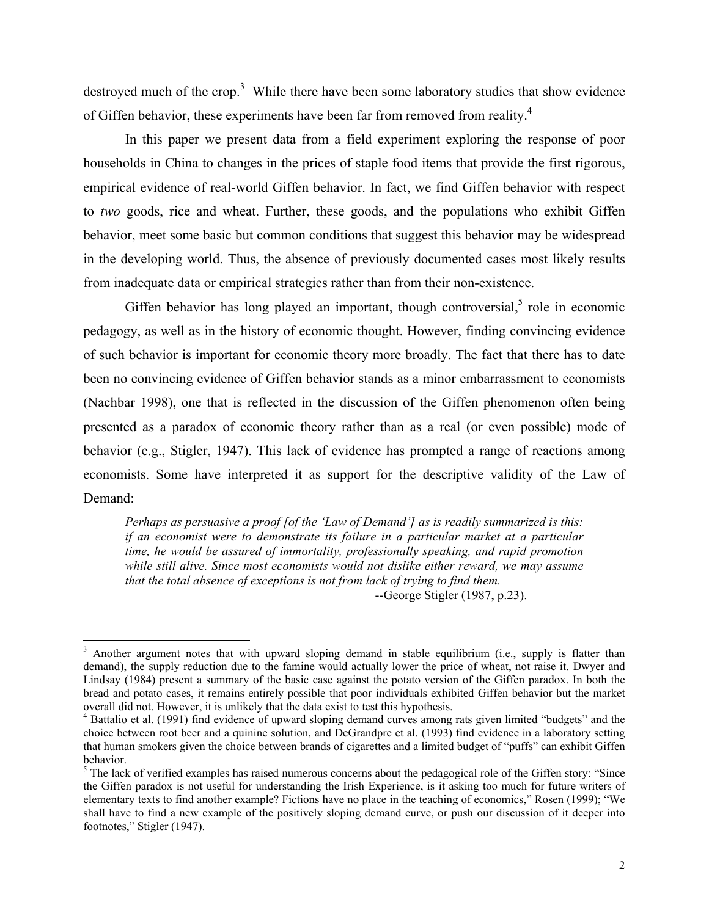destroyed much of the crop.<sup>3</sup> While there have been some laboratory studies that show evidence of Giffen behavior, these experiments have been far from removed from reality.<sup>4</sup>

In this paper we present data from a field experiment exploring the response of poor households in China to changes in the prices of staple food items that provide the first rigorous, empirical evidence of real-world Giffen behavior. In fact, we find Giffen behavior with respect to *two* goods, rice and wheat. Further, these goods, and the populations who exhibit Giffen behavior, meet some basic but common conditions that suggest this behavior may be widespread in the developing world. Thus, the absence of previously documented cases most likely results from inadequate data or empirical strategies rather than from their non-existence.

Giffen behavior has long played an important, though controversial, $<sup>5</sup>$  role in economic</sup> pedagogy, as well as in the history of economic thought. However, finding convincing evidence of such behavior is important for economic theory more broadly. The fact that there has to date been no convincing evidence of Giffen behavior stands as a minor embarrassment to economists (Nachbar 1998), one that is reflected in the discussion of the Giffen phenomenon often being presented as a paradox of economic theory rather than as a real (or even possible) mode of behavior (e.g., Stigler, 1947). This lack of evidence has prompted a range of reactions among economists. Some have interpreted it as support for the descriptive validity of the Law of Demand:

*Perhaps as persuasive a proof [of the 'Law of Demand'] as is readily summarized is this: if an economist were to demonstrate its failure in a particular market at a particular time, he would be assured of immortality, professionally speaking, and rapid promotion while still alive. Since most economists would not dislike either reward, we may assume that the total absence of exceptions is not from lack of trying to find them.* 

--George Stigler (1987, p.23).

<sup>&</sup>lt;sup>3</sup> Another argument notes that with upward sloping demand in stable equilibrium (i.e., supply is flatter than demand), the supply reduction due to the famine would actually lower the price of wheat, not raise it. Dwyer and Lindsay (1984) present a summary of the basic case against the potato version of the Giffen paradox. In both the bread and potato cases, it remains entirely possible that poor individuals exhibited Giffen behavior but the market overall did not. However, it is unlikely that the data exist to test this hypothesis.

<sup>&</sup>lt;sup>4</sup> Battalio et al. (1991) find evidence of upward sloping demand curves among rats given limited "budgets" and the choice between root beer and a quinine solution, and DeGrandpre et al. (1993) find evidence in a laboratory setting that human smokers given the choice between brands of cigarettes and a limited budget of "puffs" can exhibit Giffen behavior.

 $<sup>5</sup>$  The lack of verified examples has raised numerous concerns about the pedagogical role of the Giffen story: "Since</sup> the Giffen paradox is not useful for understanding the Irish Experience, is it asking too much for future writers of elementary texts to find another example? Fictions have no place in the teaching of economics," Rosen (1999); "We shall have to find a new example of the positively sloping demand curve, or push our discussion of it deeper into footnotes," Stigler (1947).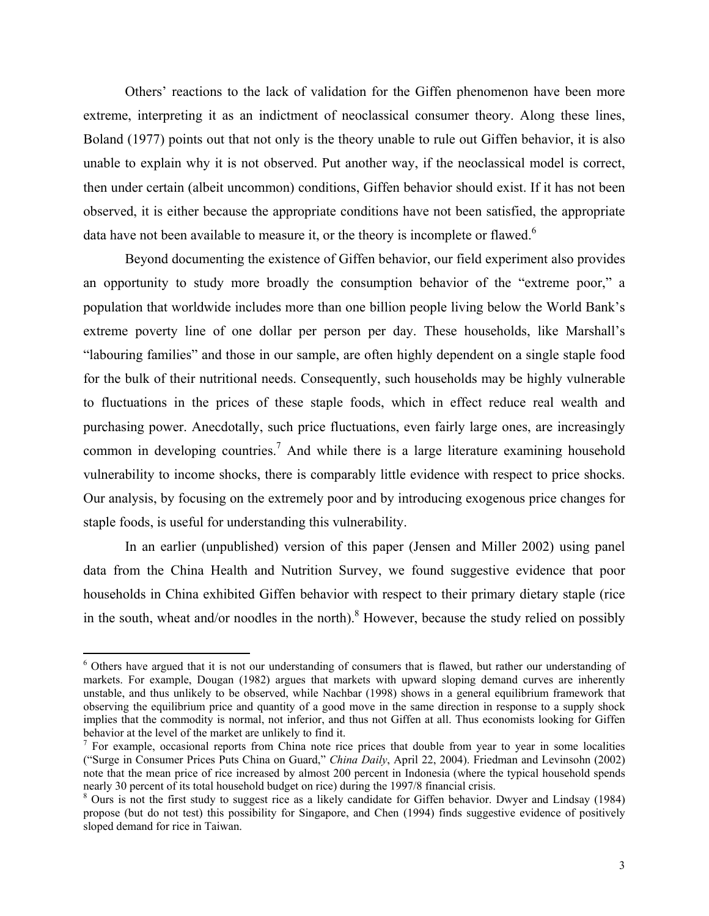Others' reactions to the lack of validation for the Giffen phenomenon have been more extreme, interpreting it as an indictment of neoclassical consumer theory. Along these lines, Boland (1977) points out that not only is the theory unable to rule out Giffen behavior, it is also unable to explain why it is not observed. Put another way, if the neoclassical model is correct, then under certain (albeit uncommon) conditions, Giffen behavior should exist. If it has not been observed, it is either because the appropriate conditions have not been satisfied, the appropriate data have not been available to measure it, or the theory is incomplete or flawed.<sup>6</sup>

Beyond documenting the existence of Giffen behavior, our field experiment also provides an opportunity to study more broadly the consumption behavior of the "extreme poor," a population that worldwide includes more than one billion people living below the World Bank's extreme poverty line of one dollar per person per day. These households, like Marshall's "labouring families" and those in our sample, are often highly dependent on a single staple food for the bulk of their nutritional needs. Consequently, such households may be highly vulnerable to fluctuations in the prices of these staple foods, which in effect reduce real wealth and purchasing power. Anecdotally, such price fluctuations, even fairly large ones, are increasingly common in developing countries.<sup>7</sup> And while there is a large literature examining household vulnerability to income shocks, there is comparably little evidence with respect to price shocks. Our analysis, by focusing on the extremely poor and by introducing exogenous price changes for staple foods, is useful for understanding this vulnerability.

In an earlier (unpublished) version of this paper (Jensen and Miller 2002) using panel data from the China Health and Nutrition Survey, we found suggestive evidence that poor households in China exhibited Giffen behavior with respect to their primary dietary staple (rice in the south, wheat and/or noodles in the north). $8$  However, because the study relied on possibly

<sup>&</sup>lt;sup>6</sup> Others have argued that it is not our understanding of consumers that is flawed, but rather our understanding of markets. For example, Dougan (1982) argues that markets with upward sloping demand curves are inherently unstable, and thus unlikely to be observed, while Nachbar (1998) shows in a general equilibrium framework that observing the equilibrium price and quantity of a good move in the same direction in response to a supply shock implies that the commodity is normal, not inferior, and thus not Giffen at all. Thus economists looking for Giffen behavior at the level of the market are unlikely to find it.

 $<sup>7</sup>$  For example, occasional reports from China note rice prices that double from year to year in some localities</sup> ("Surge in Consumer Prices Puts China on Guard," *China Daily*, April 22, 2004). Friedman and Levinsohn (2002) note that the mean price of rice increased by almost 200 percent in Indonesia (where the typical household spends nearly 30 percent of its total household budget on rice) during the 1997/8 financial crisis.

 $8$  Ours is not the first study to suggest rice as a likely candidate for Giffen behavior. Dwyer and Lindsay (1984) propose (but do not test) this possibility for Singapore, and Chen (1994) finds suggestive evidence of positively sloped demand for rice in Taiwan.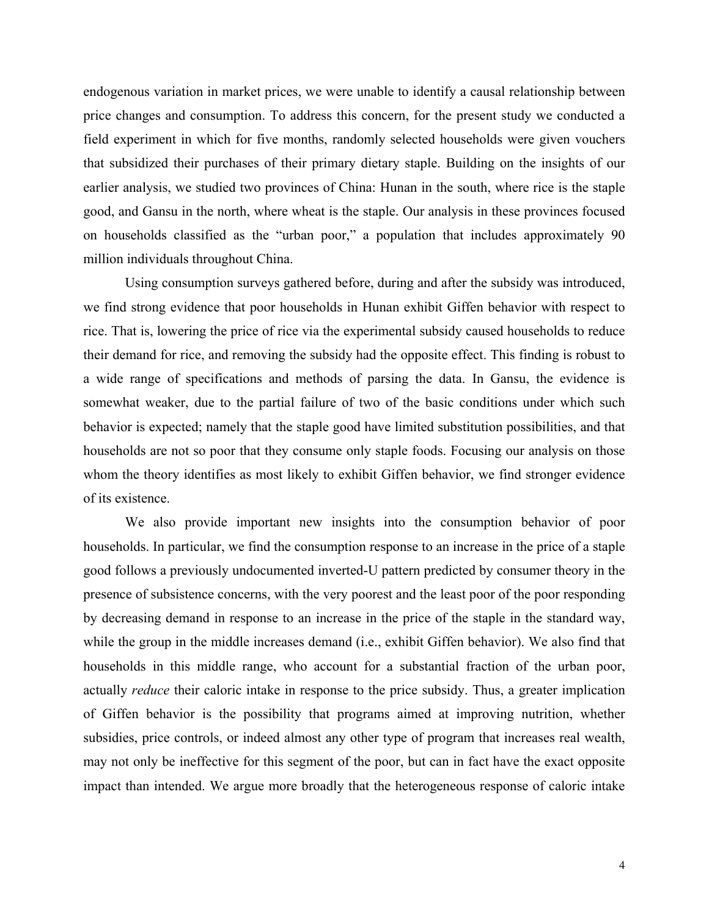endogenous variation in market prices, we were unable to identify a causal relationship between price changes and consumption. To address this concern, for the present study we conducted a field experiment in which for five months, randomly selected households were given vouchers that subsidized their purchases of their primary dietary staple. Building on the insights of our earlier analysis, we studied two provinces of China: Hunan in the south, where rice is the staple good, and Gansu in the north, where wheat is the staple. Our analysis in these provinces focused on households classified as the "urban poor," a population that includes approximately 90 million individuals throughout China.

Using consumption surveys gathered before, during and after the subsidy was introduced, we find strong evidence that poor households in Hunan exhibit Giffen behavior with respect to rice. That is, lowering the price of rice via the experimental subsidy caused households to reduce their demand for rice, and removing the subsidy had the opposite effect. This finding is robust to a wide range of specifications and methods of parsing the data. In Gansu, the evidence is somewhat weaker, due to the partial failure of two of the basic conditions under which such behavior is expected; namely that the staple good have limited substitution possibilities, and that households are not so poor that they consume only staple foods. Focusing our analysis on those whom the theory identifies as most likely to exhibit Giffen behavior, we find stronger evidence of its existence.

We also provide important new insights into the consumption behavior of poor households. In particular, we find the consumption response to an increase in the price of a staple good follows a previously undocumented inverted-U pattern predicted by consumer theory in the presence of subsistence concerns, with the very poorest and the least poor of the poor responding by decreasing demand in response to an increase in the price of the staple in the standard way, while the group in the middle increases demand (i.e., exhibit Giffen behavior). We also find that households in this middle range, who account for a substantial fraction of the urban poor, actually *reduce* their caloric intake in response to the price subsidy. Thus, a greater implication of Giffen behavior is the possibility that programs aimed at improving nutrition, whether subsidies, price controls, or indeed almost any other type of program that increases real wealth, may not only be ineffective for this segment of the poor, but can in fact have the exact opposite impact than intended. We argue more broadly that the heterogeneous response of caloric intake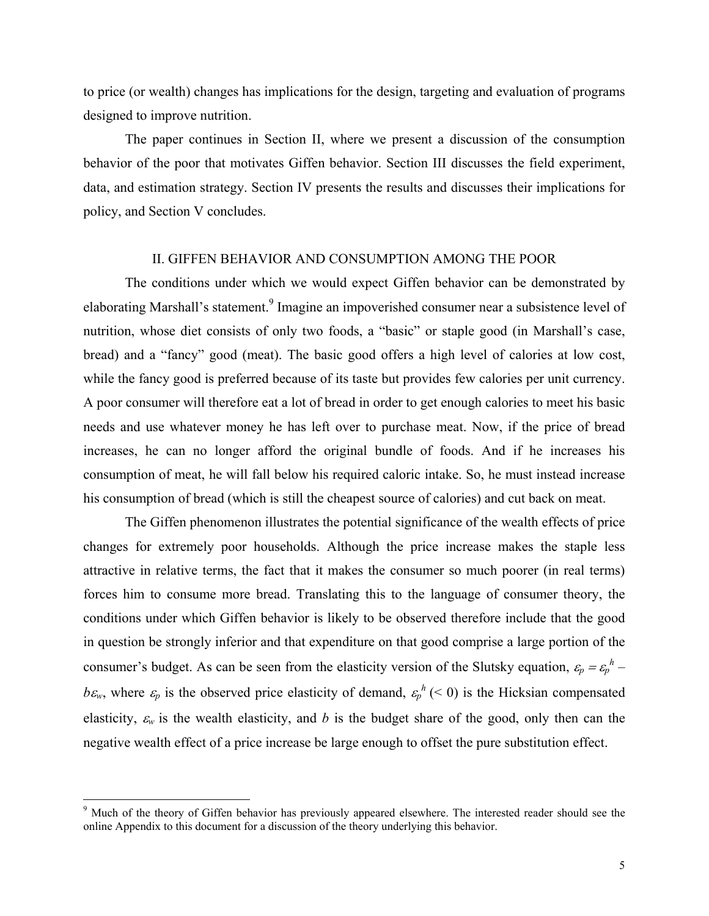to price (or wealth) changes has implications for the design, targeting and evaluation of programs designed to improve nutrition.

The paper continues in Section II, where we present a discussion of the consumption behavior of the poor that motivates Giffen behavior. Section III discusses the field experiment, data, and estimation strategy. Section IV presents the results and discusses their implications for policy, and Section V concludes.

#### II. GIFFEN BEHAVIOR AND CONSUMPTION AMONG THE POOR

The conditions under which we would expect Giffen behavior can be demonstrated by elaborating Marshall's statement.<sup>9</sup> Imagine an impoverished consumer near a subsistence level of nutrition, whose diet consists of only two foods, a "basic" or staple good (in Marshall's case, bread) and a "fancy" good (meat). The basic good offers a high level of calories at low cost, while the fancy good is preferred because of its taste but provides few calories per unit currency. A poor consumer will therefore eat a lot of bread in order to get enough calories to meet his basic needs and use whatever money he has left over to purchase meat. Now, if the price of bread increases, he can no longer afford the original bundle of foods. And if he increases his consumption of meat, he will fall below his required caloric intake. So, he must instead increase his consumption of bread (which is still the cheapest source of calories) and cut back on meat.

The Giffen phenomenon illustrates the potential significance of the wealth effects of price changes for extremely poor households. Although the price increase makes the staple less attractive in relative terms, the fact that it makes the consumer so much poorer (in real terms) forces him to consume more bread. Translating this to the language of consumer theory, the conditions under which Giffen behavior is likely to be observed therefore include that the good in question be strongly inferior and that expenditure on that good comprise a large portion of the consumer's budget. As can be seen from the elasticity version of the Slutsky equation,  $\varepsilon_p = \varepsilon_p^h$  – *b* $\varepsilon_w$ , where  $\varepsilon_p$  is the observed price elasticity of demand,  $\varepsilon_p^h$  (< 0) is the Hicksian compensated elasticity,  $\varepsilon_w$  is the wealth elasticity, and *b* is the budget share of the good, only then can the negative wealth effect of a price increase be large enough to offset the pure substitution effect.

<sup>&</sup>lt;sup>9</sup> Much of the theory of Giffen behavior has previously appeared elsewhere. The interested reader should see the online Appendix to this document for a discussion of the theory underlying this behavior.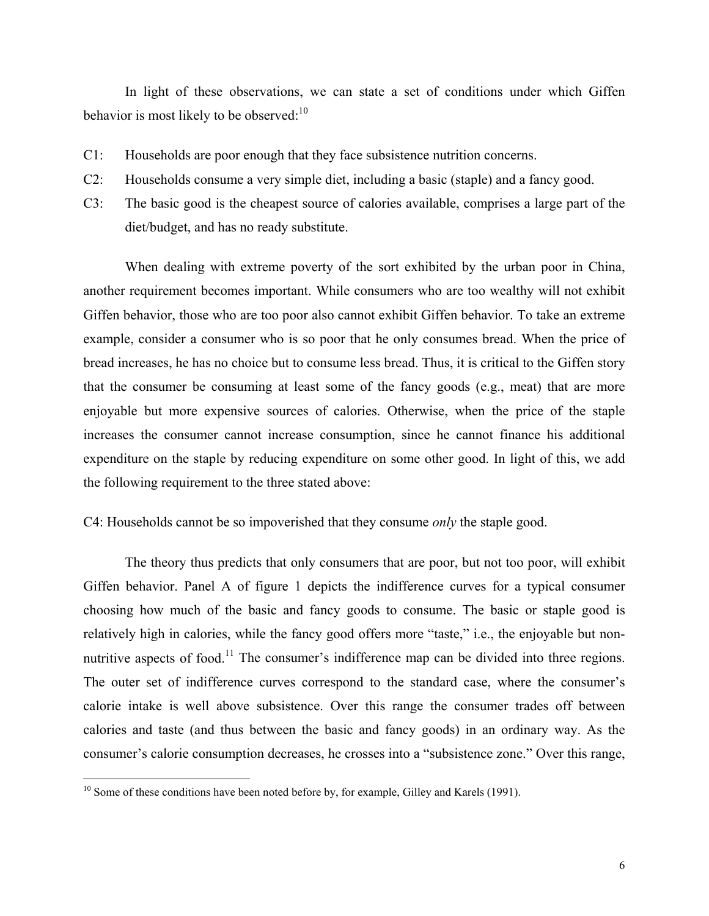In light of these observations, we can state a set of conditions under which Giffen behavior is most likely to be observed: $10<sup>10</sup>$ 

- C1: Households are poor enough that they face subsistence nutrition concerns.
- C2: Households consume a very simple diet, including a basic (staple) and a fancy good.
- C3: The basic good is the cheapest source of calories available, comprises a large part of the diet/budget, and has no ready substitute.

When dealing with extreme poverty of the sort exhibited by the urban poor in China, another requirement becomes important. While consumers who are too wealthy will not exhibit Giffen behavior, those who are too poor also cannot exhibit Giffen behavior. To take an extreme example, consider a consumer who is so poor that he only consumes bread. When the price of bread increases, he has no choice but to consume less bread. Thus, it is critical to the Giffen story that the consumer be consuming at least some of the fancy goods (e.g., meat) that are more enjoyable but more expensive sources of calories. Otherwise, when the price of the staple increases the consumer cannot increase consumption, since he cannot finance his additional expenditure on the staple by reducing expenditure on some other good. In light of this, we add the following requirement to the three stated above:

C4: Households cannot be so impoverished that they consume *only* the staple good.

 The theory thus predicts that only consumers that are poor, but not too poor, will exhibit Giffen behavior. Panel A of figure 1 depicts the indifference curves for a typical consumer choosing how much of the basic and fancy goods to consume. The basic or staple good is relatively high in calories, while the fancy good offers more "taste," i.e., the enjoyable but nonnutritive aspects of food.<sup>11</sup> The consumer's indifference map can be divided into three regions. The outer set of indifference curves correspond to the standard case, where the consumer's calorie intake is well above subsistence. Over this range the consumer trades off between calories and taste (and thus between the basic and fancy goods) in an ordinary way. As the consumer's calorie consumption decreases, he crosses into a "subsistence zone." Over this range,

1

 $10$  Some of these conditions have been noted before by, for example, Gilley and Karels (1991).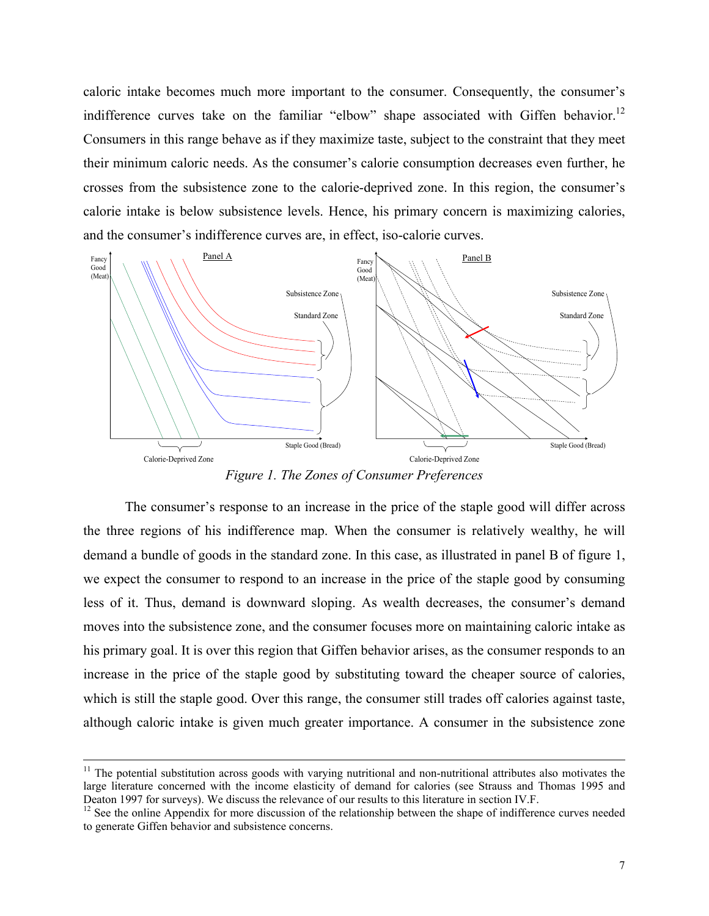caloric intake becomes much more important to the consumer. Consequently, the consumer's indifference curves take on the familiar "elbow" shape associated with Giffen behavior.<sup>12</sup> Consumers in this range behave as if they maximize taste, subject to the constraint that they meet their minimum caloric needs. As the consumer's calorie consumption decreases even further, he crosses from the subsistence zone to the calorie-deprived zone. In this region, the consumer's calorie intake is below subsistence levels. Hence, his primary concern is maximizing calories, and the consumer's indifference curves are, in effect, iso-calorie curves.



*Figure 1. The Zones of Consumer Preferences* 

The consumer's response to an increase in the price of the staple good will differ across the three regions of his indifference map. When the consumer is relatively wealthy, he will demand a bundle of goods in the standard zone. In this case, as illustrated in panel B of figure 1, we expect the consumer to respond to an increase in the price of the staple good by consuming less of it. Thus, demand is downward sloping. As wealth decreases, the consumer's demand moves into the subsistence zone, and the consumer focuses more on maintaining caloric intake as his primary goal. It is over this region that Giffen behavior arises, as the consumer responds to an increase in the price of the staple good by substituting toward the cheaper source of calories, which is still the staple good. Over this range, the consumer still trades off calories against taste, although caloric intake is given much greater importance. A consumer in the subsistence zone

 $11$  The potential substitution across goods with varying nutritional and non-nutritional attributes also motivates the large literature concerned with the income elasticity of demand for calories (see Strauss and Thomas 1995 and Deaton 1997 for surveys). We discuss the relevance of our results to this literature in section IV.F.

 $12$  See the online Appendix for more discussion of the relationship between the shape of indifference curves needed to generate Giffen behavior and subsistence concerns.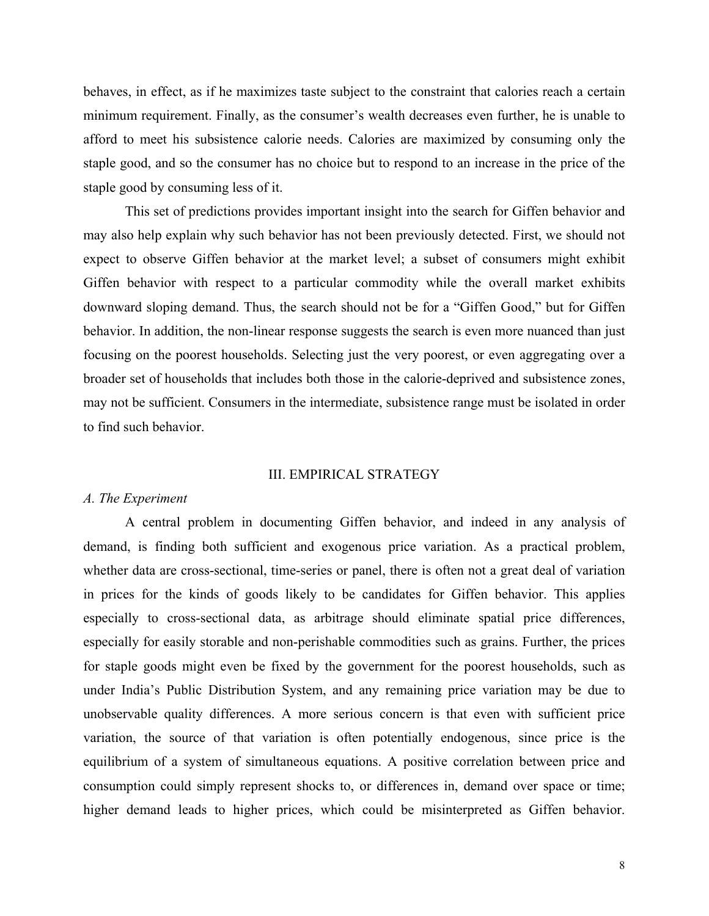behaves, in effect, as if he maximizes taste subject to the constraint that calories reach a certain minimum requirement. Finally, as the consumer's wealth decreases even further, he is unable to afford to meet his subsistence calorie needs. Calories are maximized by consuming only the staple good, and so the consumer has no choice but to respond to an increase in the price of the staple good by consuming less of it.

This set of predictions provides important insight into the search for Giffen behavior and may also help explain why such behavior has not been previously detected. First, we should not expect to observe Giffen behavior at the market level; a subset of consumers might exhibit Giffen behavior with respect to a particular commodity while the overall market exhibits downward sloping demand. Thus, the search should not be for a "Giffen Good," but for Giffen behavior. In addition, the non-linear response suggests the search is even more nuanced than just focusing on the poorest households. Selecting just the very poorest, or even aggregating over a broader set of households that includes both those in the calorie-deprived and subsistence zones, may not be sufficient. Consumers in the intermediate, subsistence range must be isolated in order to find such behavior.

#### III. EMPIRICAL STRATEGY

## *A. The Experiment*

A central problem in documenting Giffen behavior, and indeed in any analysis of demand, is finding both sufficient and exogenous price variation. As a practical problem, whether data are cross-sectional, time-series or panel, there is often not a great deal of variation in prices for the kinds of goods likely to be candidates for Giffen behavior. This applies especially to cross-sectional data, as arbitrage should eliminate spatial price differences, especially for easily storable and non-perishable commodities such as grains. Further, the prices for staple goods might even be fixed by the government for the poorest households, such as under India's Public Distribution System, and any remaining price variation may be due to unobservable quality differences. A more serious concern is that even with sufficient price variation, the source of that variation is often potentially endogenous, since price is the equilibrium of a system of simultaneous equations. A positive correlation between price and consumption could simply represent shocks to, or differences in, demand over space or time; higher demand leads to higher prices, which could be misinterpreted as Giffen behavior.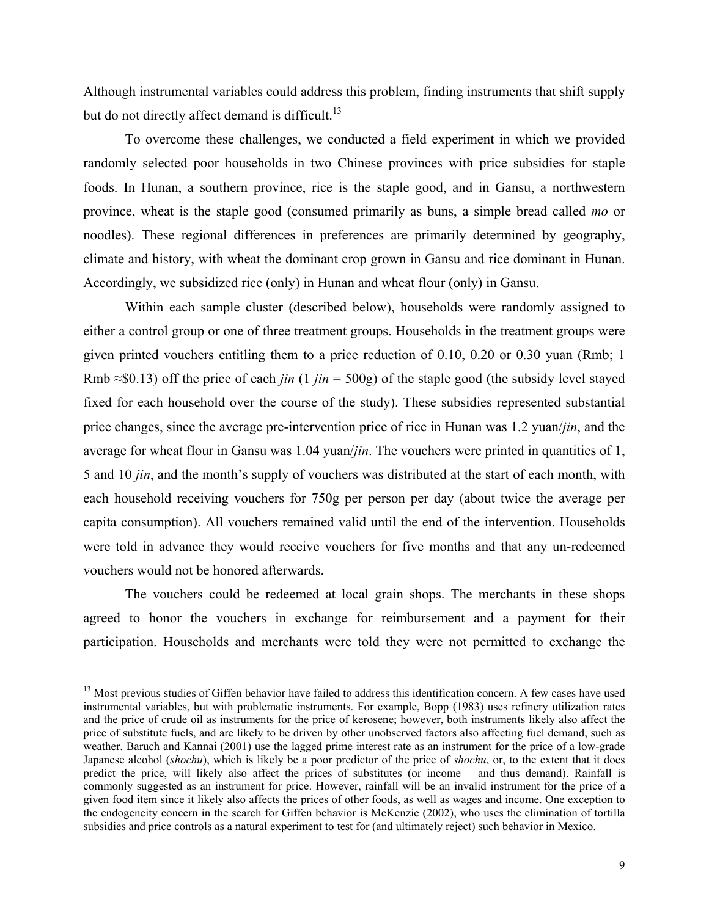Although instrumental variables could address this problem, finding instruments that shift supply but do not directly affect demand is difficult.<sup>13</sup>

 To overcome these challenges, we conducted a field experiment in which we provided randomly selected poor households in two Chinese provinces with price subsidies for staple foods. In Hunan, a southern province, rice is the staple good, and in Gansu, a northwestern province, wheat is the staple good (consumed primarily as buns, a simple bread called *mo* or noodles). These regional differences in preferences are primarily determined by geography, climate and history, with wheat the dominant crop grown in Gansu and rice dominant in Hunan. Accordingly, we subsidized rice (only) in Hunan and wheat flour (only) in Gansu.

Within each sample cluster (described below), households were randomly assigned to either a control group or one of three treatment groups. Households in the treatment groups were given printed vouchers entitling them to a price reduction of 0.10, 0.20 or 0.30 yuan (Rmb; 1 Rmb ≈\$0.13) off the price of each *jin* (1 *jin* = 500g) of the staple good (the subsidy level stayed fixed for each household over the course of the study). These subsidies represented substantial price changes, since the average pre-intervention price of rice in Hunan was 1.2 yuan/*jin*, and the average for wheat flour in Gansu was 1.04 yuan/*jin*. The vouchers were printed in quantities of 1, 5 and 10 *jin*, and the month's supply of vouchers was distributed at the start of each month, with each household receiving vouchers for 750g per person per day (about twice the average per capita consumption). All vouchers remained valid until the end of the intervention. Households were told in advance they would receive vouchers for five months and that any un-redeemed vouchers would not be honored afterwards.

The vouchers could be redeemed at local grain shops. The merchants in these shops agreed to honor the vouchers in exchange for reimbursement and a payment for their participation. Households and merchants were told they were not permitted to exchange the

1

<sup>&</sup>lt;sup>13</sup> Most previous studies of Giffen behavior have failed to address this identification concern. A few cases have used instrumental variables, but with problematic instruments. For example, Bopp (1983) uses refinery utilization rates and the price of crude oil as instruments for the price of kerosene; however, both instruments likely also affect the price of substitute fuels, and are likely to be driven by other unobserved factors also affecting fuel demand, such as weather. Baruch and Kannai (2001) use the lagged prime interest rate as an instrument for the price of a low-grade Japanese alcohol (*shochu*), which is likely be a poor predictor of the price of *shochu*, or, to the extent that it does predict the price, will likely also affect the prices of substitutes (or income – and thus demand). Rainfall is commonly suggested as an instrument for price. However, rainfall will be an invalid instrument for the price of a given food item since it likely also affects the prices of other foods, as well as wages and income. One exception to the endogeneity concern in the search for Giffen behavior is McKenzie (2002), who uses the elimination of tortilla subsidies and price controls as a natural experiment to test for (and ultimately reject) such behavior in Mexico.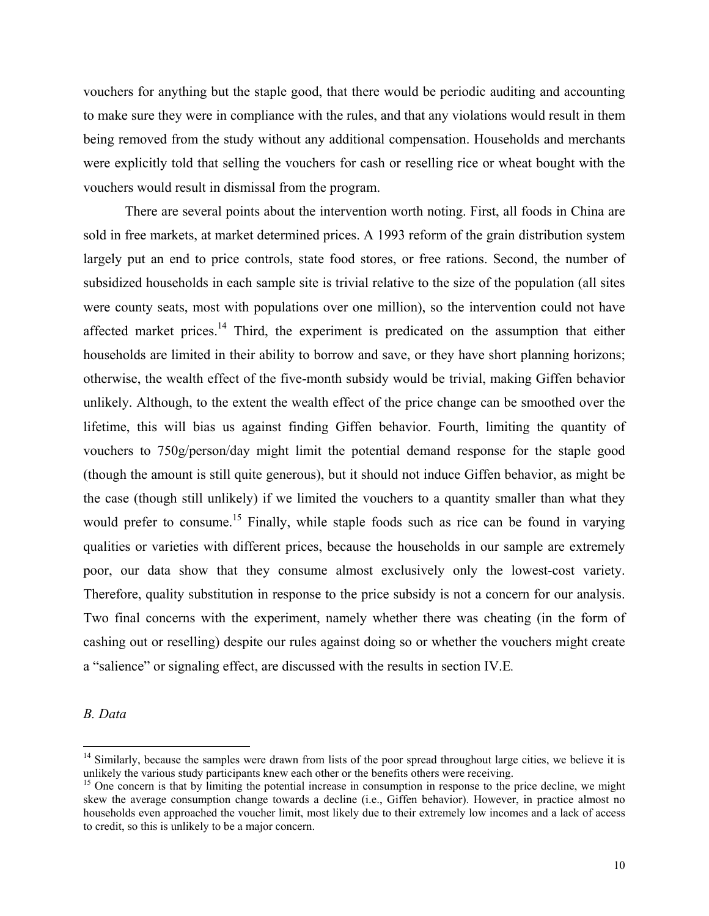vouchers for anything but the staple good, that there would be periodic auditing and accounting to make sure they were in compliance with the rules, and that any violations would result in them being removed from the study without any additional compensation. Households and merchants were explicitly told that selling the vouchers for cash or reselling rice or wheat bought with the vouchers would result in dismissal from the program.

There are several points about the intervention worth noting. First, all foods in China are sold in free markets, at market determined prices. A 1993 reform of the grain distribution system largely put an end to price controls, state food stores, or free rations. Second, the number of subsidized households in each sample site is trivial relative to the size of the population (all sites were county seats, most with populations over one million), so the intervention could not have affected market prices.<sup>14</sup> Third, the experiment is predicated on the assumption that either households are limited in their ability to borrow and save, or they have short planning horizons; otherwise, the wealth effect of the five-month subsidy would be trivial, making Giffen behavior unlikely. Although, to the extent the wealth effect of the price change can be smoothed over the lifetime, this will bias us against finding Giffen behavior. Fourth, limiting the quantity of vouchers to 750g/person/day might limit the potential demand response for the staple good (though the amount is still quite generous), but it should not induce Giffen behavior, as might be the case (though still unlikely) if we limited the vouchers to a quantity smaller than what they would prefer to consume.<sup>15</sup> Finally, while staple foods such as rice can be found in varying qualities or varieties with different prices, because the households in our sample are extremely poor, our data show that they consume almost exclusively only the lowest-cost variety. Therefore, quality substitution in response to the price subsidy is not a concern for our analysis. Two final concerns with the experiment, namely whether there was cheating (in the form of cashing out or reselling) despite our rules against doing so or whether the vouchers might create a "salience" or signaling effect, are discussed with the results in section IV.E*.*

## *B. Data*

1

 $14$  Similarly, because the samples were drawn from lists of the poor spread throughout large cities, we believe it is unlikely the various study participants knew each other or the benefits others were receiving.

 $15$  One concern is that by limiting the potential increase in consumption in response to the price decline, we might skew the average consumption change towards a decline (i.e., Giffen behavior). However, in practice almost no households even approached the voucher limit, most likely due to their extremely low incomes and a lack of access to credit, so this is unlikely to be a major concern.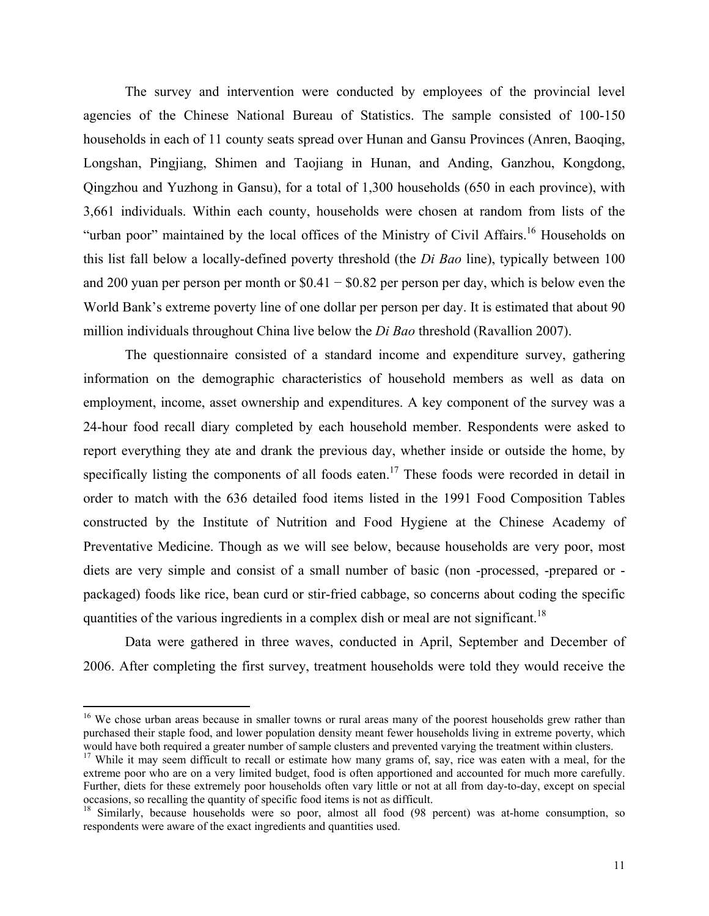The survey and intervention were conducted by employees of the provincial level agencies of the Chinese National Bureau of Statistics. The sample consisted of 100-150 households in each of 11 county seats spread over Hunan and Gansu Provinces (Anren, Baoqing, Longshan, Pingjiang, Shimen and Taojiang in Hunan, and Anding, Ganzhou, Kongdong, Qingzhou and Yuzhong in Gansu), for a total of 1,300 households (650 in each province), with 3,661 individuals. Within each county, households were chosen at random from lists of the "urban poor" maintained by the local offices of the Ministry of Civil Affairs.<sup>16</sup> Households on this list fall below a locally-defined poverty threshold (the *Di Bao* line), typically between 100 and 200 yuan per person per month or \$0.41 − \$0.82 per person per day, which is below even the World Bank's extreme poverty line of one dollar per person per day. It is estimated that about 90 million individuals throughout China live below the *Di Bao* threshold (Ravallion 2007).

The questionnaire consisted of a standard income and expenditure survey, gathering information on the demographic characteristics of household members as well as data on employment, income, asset ownership and expenditures. A key component of the survey was a 24-hour food recall diary completed by each household member. Respondents were asked to report everything they ate and drank the previous day, whether inside or outside the home, by specifically listing the components of all foods eaten.<sup>17</sup> These foods were recorded in detail in order to match with the 636 detailed food items listed in the 1991 Food Composition Tables constructed by the Institute of Nutrition and Food Hygiene at the Chinese Academy of Preventative Medicine. Though as we will see below, because households are very poor, most diets are very simple and consist of a small number of basic (non -processed, -prepared or packaged) foods like rice, bean curd or stir-fried cabbage, so concerns about coding the specific quantities of the various ingredients in a complex dish or meal are not significant.<sup>18</sup>

Data were gathered in three waves, conducted in April, September and December of 2006. After completing the first survey, treatment households were told they would receive the

<sup>&</sup>lt;sup>16</sup> We chose urban areas because in smaller towns or rural areas many of the poorest households grew rather than purchased their staple food, and lower population density meant fewer households living in extreme poverty, which would have both required a greater number of sample clusters and prevented varying the treatment within clus

<sup>&</sup>lt;sup>17</sup> While it may seem difficult to recall or estimate how many grams of, say, rice was eaten with a meal, for the extreme poor who are on a very limited budget, food is often apportioned and accounted for much more carefully. Further, diets for these extremely poor households often vary little or not at all from day-to-day, except on special occasions, so recalling the quantity of specific food items is not as difficult.

<sup>&</sup>lt;sup>18</sup> Similarly, because households were so poor, almost all food (98 percent) was at-home consumption, so respondents were aware of the exact ingredients and quantities used.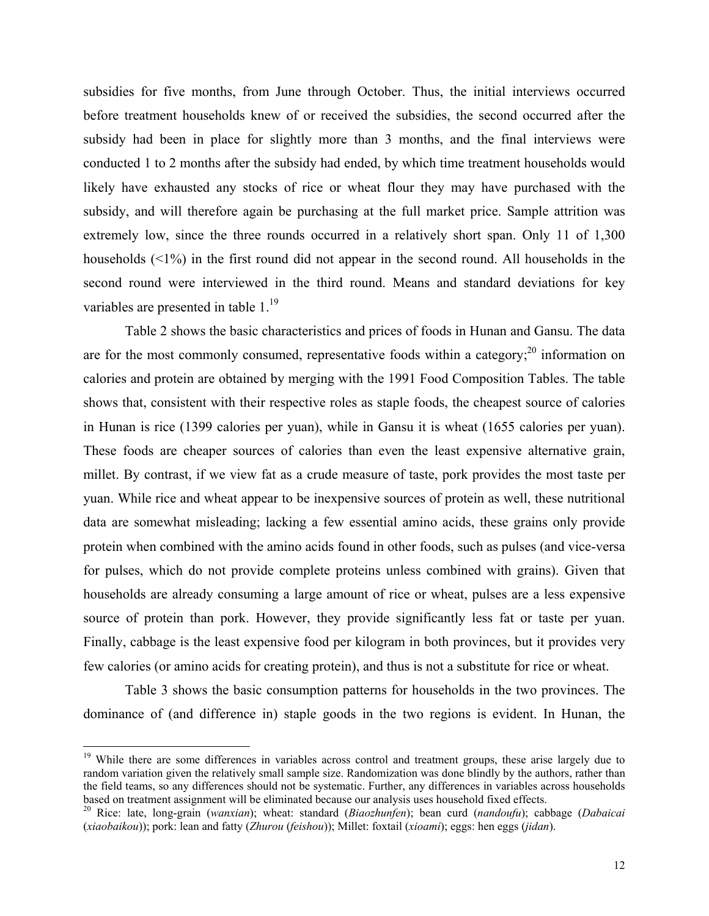subsidies for five months, from June through October. Thus, the initial interviews occurred before treatment households knew of or received the subsidies, the second occurred after the subsidy had been in place for slightly more than 3 months, and the final interviews were conducted 1 to 2 months after the subsidy had ended, by which time treatment households would likely have exhausted any stocks of rice or wheat flour they may have purchased with the subsidy, and will therefore again be purchasing at the full market price. Sample attrition was extremely low, since the three rounds occurred in a relatively short span. Only 11 of 1,300 households (<1%) in the first round did not appear in the second round. All households in the second round were interviewed in the third round. Means and standard deviations for key variables are presented in table 1.<sup>19</sup>

Table 2 shows the basic characteristics and prices of foods in Hunan and Gansu. The data are for the most commonly consumed, representative foods within a category; $^{20}$  information on calories and protein are obtained by merging with the 1991 Food Composition Tables. The table shows that, consistent with their respective roles as staple foods, the cheapest source of calories in Hunan is rice (1399 calories per yuan), while in Gansu it is wheat (1655 calories per yuan). These foods are cheaper sources of calories than even the least expensive alternative grain, millet. By contrast, if we view fat as a crude measure of taste, pork provides the most taste per yuan. While rice and wheat appear to be inexpensive sources of protein as well, these nutritional data are somewhat misleading; lacking a few essential amino acids, these grains only provide protein when combined with the amino acids found in other foods, such as pulses (and vice-versa for pulses, which do not provide complete proteins unless combined with grains). Given that households are already consuming a large amount of rice or wheat, pulses are a less expensive source of protein than pork. However, they provide significantly less fat or taste per yuan. Finally, cabbage is the least expensive food per kilogram in both provinces, but it provides very few calories (or amino acids for creating protein), and thus is not a substitute for rice or wheat.

Table 3 shows the basic consumption patterns for households in the two provinces. The dominance of (and difference in) staple goods in the two regions is evident. In Hunan, the

1

<sup>&</sup>lt;sup>19</sup> While there are some differences in variables across control and treatment groups, these arise largely due to random variation given the relatively small sample size. Randomization was done blindly by the authors, rather than the field teams, so any differences should not be systematic. Further, any differences in variables across households based on treatment assignment will be eliminated because our analysis uses household fixed effects.

<sup>&</sup>lt;sup>20</sup> Rice: late, long-grain (wanxian); wheat: standard (Biaozhunfen); bean curd (nandoufu); cabbage (Dabaicai (*xiaobaikou*)); pork: lean and fatty (*Zhurou* (*feishou*)); Millet: foxtail (*xioami*); eggs: hen eggs (*jidan*).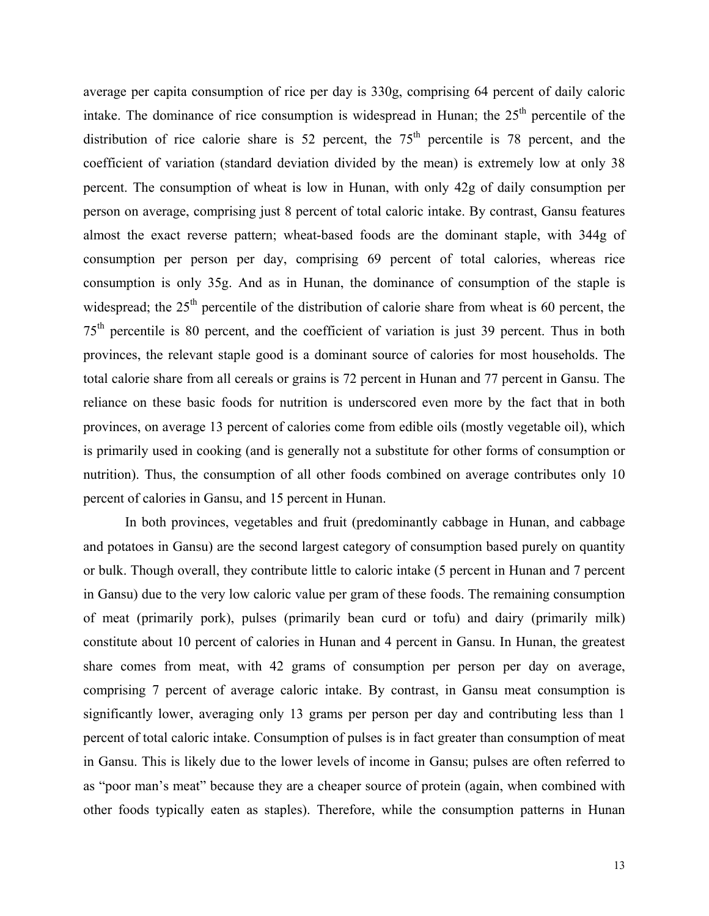average per capita consumption of rice per day is 330g, comprising 64 percent of daily caloric intake. The dominance of rice consumption is widespread in Hunan; the  $25<sup>th</sup>$  percentile of the distribution of rice calorie share is 52 percent, the  $75<sup>th</sup>$  percentile is 78 percent, and the coefficient of variation (standard deviation divided by the mean) is extremely low at only 38 percent. The consumption of wheat is low in Hunan, with only 42g of daily consumption per person on average, comprising just 8 percent of total caloric intake. By contrast, Gansu features almost the exact reverse pattern; wheat-based foods are the dominant staple, with 344g of consumption per person per day, comprising 69 percent of total calories, whereas rice consumption is only 35g. And as in Hunan, the dominance of consumption of the staple is widespread; the  $25<sup>th</sup>$  percentile of the distribution of calorie share from wheat is 60 percent, the 75th percentile is 80 percent, and the coefficient of variation is just 39 percent. Thus in both provinces, the relevant staple good is a dominant source of calories for most households. The total calorie share from all cereals or grains is 72 percent in Hunan and 77 percent in Gansu. The reliance on these basic foods for nutrition is underscored even more by the fact that in both provinces, on average 13 percent of calories come from edible oils (mostly vegetable oil), which is primarily used in cooking (and is generally not a substitute for other forms of consumption or nutrition). Thus, the consumption of all other foods combined on average contributes only 10 percent of calories in Gansu, and 15 percent in Hunan.

In both provinces, vegetables and fruit (predominantly cabbage in Hunan, and cabbage and potatoes in Gansu) are the second largest category of consumption based purely on quantity or bulk. Though overall, they contribute little to caloric intake (5 percent in Hunan and 7 percent in Gansu) due to the very low caloric value per gram of these foods. The remaining consumption of meat (primarily pork), pulses (primarily bean curd or tofu) and dairy (primarily milk) constitute about 10 percent of calories in Hunan and 4 percent in Gansu. In Hunan, the greatest share comes from meat, with 42 grams of consumption per person per day on average, comprising 7 percent of average caloric intake. By contrast, in Gansu meat consumption is significantly lower, averaging only 13 grams per person per day and contributing less than 1 percent of total caloric intake. Consumption of pulses is in fact greater than consumption of meat in Gansu. This is likely due to the lower levels of income in Gansu; pulses are often referred to as "poor man's meat" because they are a cheaper source of protein (again, when combined with other foods typically eaten as staples). Therefore, while the consumption patterns in Hunan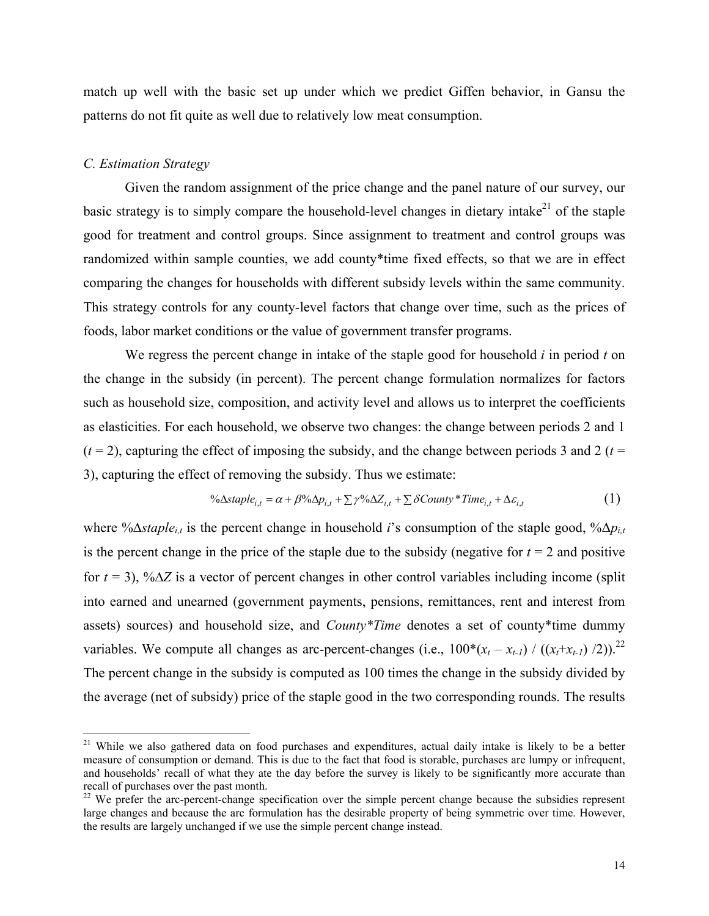match up well with the basic set up under which we predict Giffen behavior, in Gansu the patterns do not fit quite as well due to relatively low meat consumption.

## *C. Estimation Strategy*

<u>.</u>

Given the random assignment of the price change and the panel nature of our survey, our basic strategy is to simply compare the household-level changes in dietary intake<sup>21</sup> of the staple good for treatment and control groups. Since assignment to treatment and control groups was randomized within sample counties, we add county\*time fixed effects, so that we are in effect comparing the changes for households with different subsidy levels within the same community. This strategy controls for any county-level factors that change over time, such as the prices of foods, labor market conditions or the value of government transfer programs.

We regress the percent change in intake of the staple good for household *i* in period *t* on the change in the subsidy (in percent). The percent change formulation normalizes for factors such as household size, composition, and activity level and allows us to interpret the coefficients as elasticities. For each household, we observe two changes: the change between periods 2 and 1  $(t = 2)$ , capturing the effect of imposing the subsidy, and the change between periods 3 and 2 ( $t =$ 3), capturing the effect of removing the subsidy. Thus we estimate:

$$
\% \Delta \text{staple}_{i,t} = \alpha + \beta \% \Delta p_{i,t} + \sum \gamma \% \Delta Z_{i,t} + \sum \delta \text{County}^* \text{Time}_{i,t} + \Delta \varepsilon_{i,t} \tag{1}
$$

where %Δ*staple<sub>i,t</sub>* is the percent change in household *i*'s consumption of the staple good, %Δ*p*<sub>*i,t*</sub> is the percent change in the price of the staple due to the subsidy (negative for  $t = 2$  and positive for  $t = 3$ ), % $\Delta Z$  is a vector of percent changes in other control variables including income (split into earned and unearned (government payments, pensions, remittances, rent and interest from assets) sources) and household size, and *County\*Time* denotes a set of county\*time dummy variables. We compute all changes as arc-percent-changes (i.e.,  $100*(x_t - x_{t-1}) / ((x_t + x_{t-1})/2))$ .<sup>22</sup> The percent change in the subsidy is computed as 100 times the change in the subsidy divided by the average (net of subsidy) price of the staple good in the two corresponding rounds. The results

<sup>&</sup>lt;sup>21</sup> While we also gathered data on food purchases and expenditures, actual daily intake is likely to be a better measure of consumption or demand. This is due to the fact that food is storable, purchases are lumpy or infrequent, and households' recall of what they ate the day before the survey is likely to be significantly more accurate than recall of purchases over the past month.

<sup>&</sup>lt;sup>22</sup> We prefer the arc-percent-change specification over the simple percent change because the subsidies represent large changes and because the arc formulation has the desirable property of being symmetric over time. However, the results are largely unchanged if we use the simple percent change instead.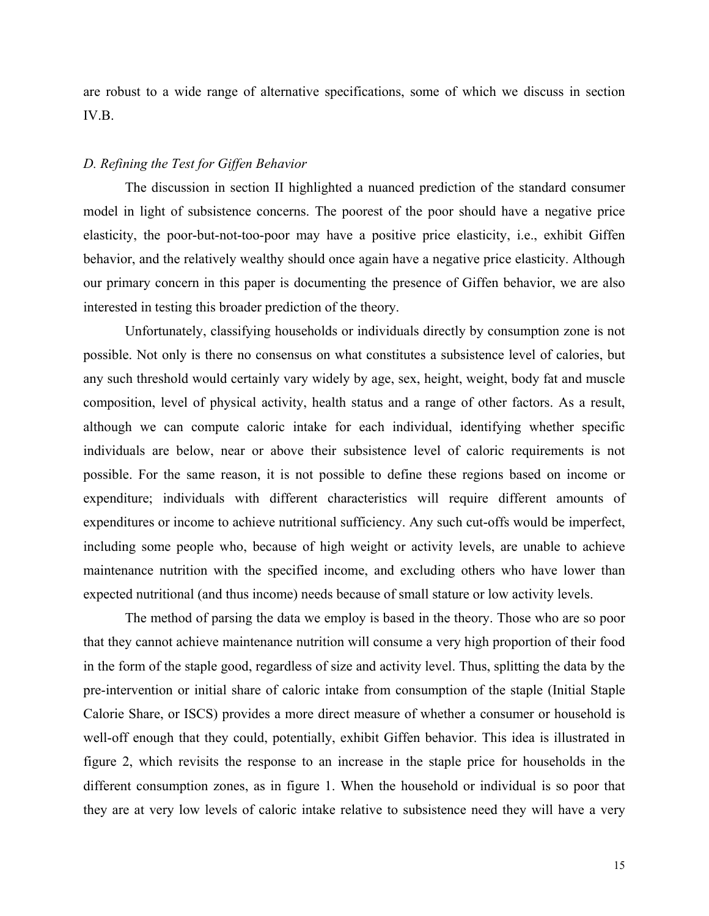are robust to a wide range of alternative specifications, some of which we discuss in section IV.B.

## *D. Refining the Test for Giffen Behavior*

The discussion in section II highlighted a nuanced prediction of the standard consumer model in light of subsistence concerns. The poorest of the poor should have a negative price elasticity, the poor-but-not-too-poor may have a positive price elasticity, i.e., exhibit Giffen behavior, and the relatively wealthy should once again have a negative price elasticity. Although our primary concern in this paper is documenting the presence of Giffen behavior, we are also interested in testing this broader prediction of the theory.

Unfortunately, classifying households or individuals directly by consumption zone is not possible. Not only is there no consensus on what constitutes a subsistence level of calories, but any such threshold would certainly vary widely by age, sex, height, weight, body fat and muscle composition, level of physical activity, health status and a range of other factors. As a result, although we can compute caloric intake for each individual, identifying whether specific individuals are below, near or above their subsistence level of caloric requirements is not possible. For the same reason, it is not possible to define these regions based on income or expenditure; individuals with different characteristics will require different amounts of expenditures or income to achieve nutritional sufficiency. Any such cut-offs would be imperfect, including some people who, because of high weight or activity levels, are unable to achieve maintenance nutrition with the specified income, and excluding others who have lower than expected nutritional (and thus income) needs because of small stature or low activity levels.

The method of parsing the data we employ is based in the theory. Those who are so poor that they cannot achieve maintenance nutrition will consume a very high proportion of their food in the form of the staple good, regardless of size and activity level. Thus, splitting the data by the pre-intervention or initial share of caloric intake from consumption of the staple (Initial Staple Calorie Share, or ISCS) provides a more direct measure of whether a consumer or household is well-off enough that they could, potentially, exhibit Giffen behavior. This idea is illustrated in figure 2, which revisits the response to an increase in the staple price for households in the different consumption zones, as in figure 1. When the household or individual is so poor that they are at very low levels of caloric intake relative to subsistence need they will have a very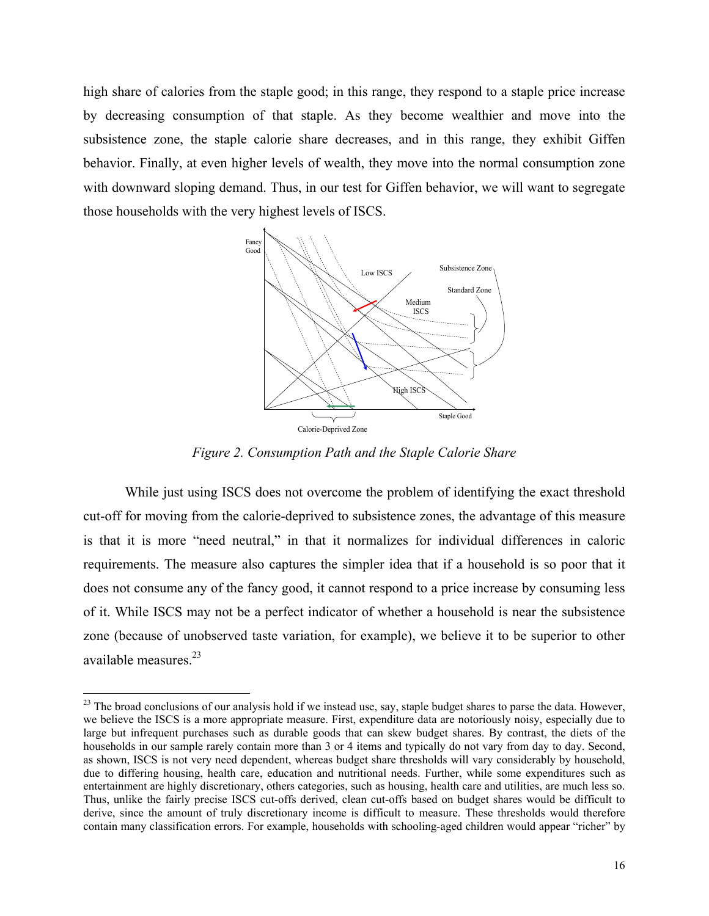high share of calories from the staple good; in this range, they respond to a staple price increase by decreasing consumption of that staple. As they become wealthier and move into the subsistence zone, the staple calorie share decreases, and in this range, they exhibit Giffen behavior. Finally, at even higher levels of wealth, they move into the normal consumption zone with downward sloping demand. Thus, in our test for Giffen behavior, we will want to segregate those households with the very highest levels of ISCS.



*Figure 2. Consumption Path and the Staple Calorie Share* 

While just using ISCS does not overcome the problem of identifying the exact threshold cut-off for moving from the calorie-deprived to subsistence zones, the advantage of this measure is that it is more "need neutral," in that it normalizes for individual differences in caloric requirements. The measure also captures the simpler idea that if a household is so poor that it does not consume any of the fancy good, it cannot respond to a price increase by consuming less of it. While ISCS may not be a perfect indicator of whether a household is near the subsistence zone (because of unobserved taste variation, for example), we believe it to be superior to other available measures $^{23}$ 

 $23$  The broad conclusions of our analysis hold if we instead use, say, staple budget shares to parse the data. However, we believe the ISCS is a more appropriate measure. First, expenditure data are notoriously noisy, especially due to large but infrequent purchases such as durable goods that can skew budget shares. By contrast, the diets of the households in our sample rarely contain more than 3 or 4 items and typically do not vary from day to day. Second, as shown, ISCS is not very need dependent, whereas budget share thresholds will vary considerably by household, due to differing housing, health care, education and nutritional needs. Further, while some expenditures such as entertainment are highly discretionary, others categories, such as housing, health care and utilities, are much less so. Thus, unlike the fairly precise ISCS cut-offs derived, clean cut-offs based on budget shares would be difficult to derive, since the amount of truly discretionary income is difficult to measure. These thresholds would therefore contain many classification errors. For example, households with schooling-aged children would appear "richer" by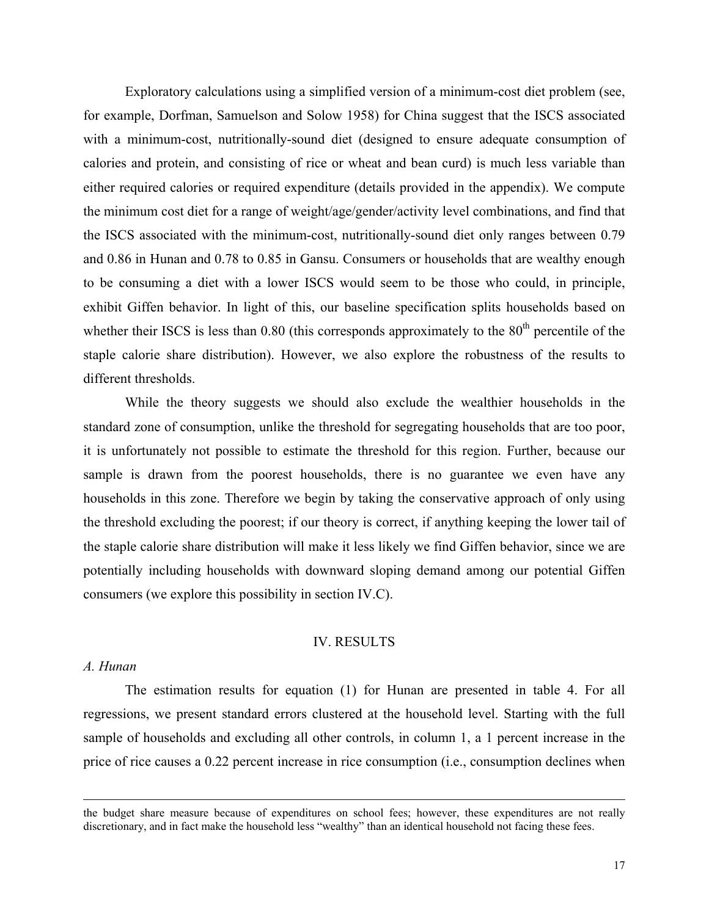Exploratory calculations using a simplified version of a minimum-cost diet problem (see, for example, Dorfman, Samuelson and Solow 1958) for China suggest that the ISCS associated with a minimum-cost, nutritionally-sound diet (designed to ensure adequate consumption of calories and protein, and consisting of rice or wheat and bean curd) is much less variable than either required calories or required expenditure (details provided in the appendix). We compute the minimum cost diet for a range of weight/age/gender/activity level combinations, and find that the ISCS associated with the minimum-cost, nutritionally-sound diet only ranges between 0.79 and 0.86 in Hunan and 0.78 to 0.85 in Gansu. Consumers or households that are wealthy enough to be consuming a diet with a lower ISCS would seem to be those who could, in principle, exhibit Giffen behavior. In light of this, our baseline specification splits households based on whether their ISCS is less than  $0.80$  (this corresponds approximately to the  $80<sup>th</sup>$  percentile of the staple calorie share distribution). However, we also explore the robustness of the results to different thresholds.

While the theory suggests we should also exclude the wealthier households in the standard zone of consumption, unlike the threshold for segregating households that are too poor, it is unfortunately not possible to estimate the threshold for this region. Further, because our sample is drawn from the poorest households, there is no guarantee we even have any households in this zone. Therefore we begin by taking the conservative approach of only using the threshold excluding the poorest; if our theory is correct, if anything keeping the lower tail of the staple calorie share distribution will make it less likely we find Giffen behavior, since we are potentially including households with downward sloping demand among our potential Giffen consumers (we explore this possibility in section IV.C).

#### IV. RESULTS

## *A. Hunan*

 The estimation results for equation (1) for Hunan are presented in table 4. For all regressions, we present standard errors clustered at the household level. Starting with the full sample of households and excluding all other controls, in column 1, a 1 percent increase in the price of rice causes a 0.22 percent increase in rice consumption (i.e., consumption declines when

the budget share measure because of expenditures on school fees; however, these expenditures are not really discretionary, and in fact make the household less "wealthy" than an identical household not facing these fees.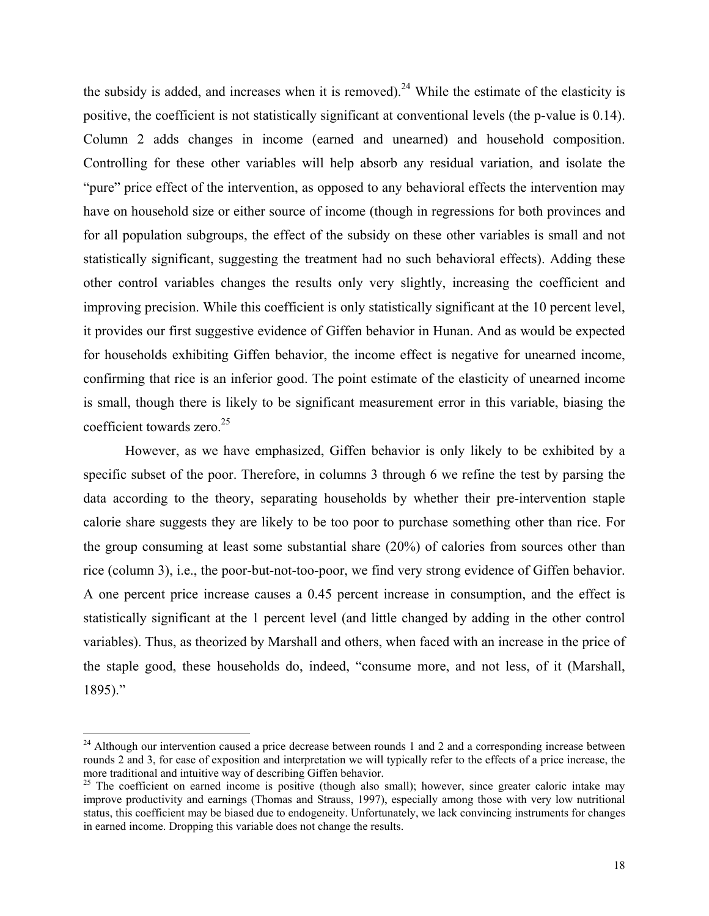the subsidy is added, and increases when it is removed).<sup>24</sup> While the estimate of the elasticity is positive, the coefficient is not statistically significant at conventional levels (the p-value is 0.14). Column 2 adds changes in income (earned and unearned) and household composition. Controlling for these other variables will help absorb any residual variation, and isolate the "pure" price effect of the intervention, as opposed to any behavioral effects the intervention may have on household size or either source of income (though in regressions for both provinces and for all population subgroups, the effect of the subsidy on these other variables is small and not statistically significant, suggesting the treatment had no such behavioral effects). Adding these other control variables changes the results only very slightly, increasing the coefficient and improving precision. While this coefficient is only statistically significant at the 10 percent level, it provides our first suggestive evidence of Giffen behavior in Hunan. And as would be expected for households exhibiting Giffen behavior, the income effect is negative for unearned income, confirming that rice is an inferior good. The point estimate of the elasticity of unearned income is small, though there is likely to be significant measurement error in this variable, biasing the coefficient towards zero.<sup>25</sup>

However, as we have emphasized, Giffen behavior is only likely to be exhibited by a specific subset of the poor. Therefore, in columns 3 through 6 we refine the test by parsing the data according to the theory, separating households by whether their pre-intervention staple calorie share suggests they are likely to be too poor to purchase something other than rice. For the group consuming at least some substantial share (20%) of calories from sources other than rice (column 3), i.e., the poor-but-not-too-poor, we find very strong evidence of Giffen behavior. A one percent price increase causes a 0.45 percent increase in consumption, and the effect is statistically significant at the 1 percent level (and little changed by adding in the other control variables). Thus, as theorized by Marshall and others, when faced with an increase in the price of the staple good, these households do, indeed, "consume more, and not less, of it (Marshall, 1895)."

 $^{24}$  Although our intervention caused a price decrease between rounds 1 and 2 and a corresponding increase between rounds 2 and 3, for ease of exposition and interpretation we will typically refer to the effects of a price increase, the more traditional and intuitive way of describing Giffen behavior.

<sup>&</sup>lt;sup>25</sup> The coefficient on earned income is positive (though also small); however, since greater caloric intake may improve productivity and earnings (Thomas and Strauss, 1997), especially among those with very low nutritional status, this coefficient may be biased due to endogeneity. Unfortunately, we lack convincing instruments for changes in earned income. Dropping this variable does not change the results.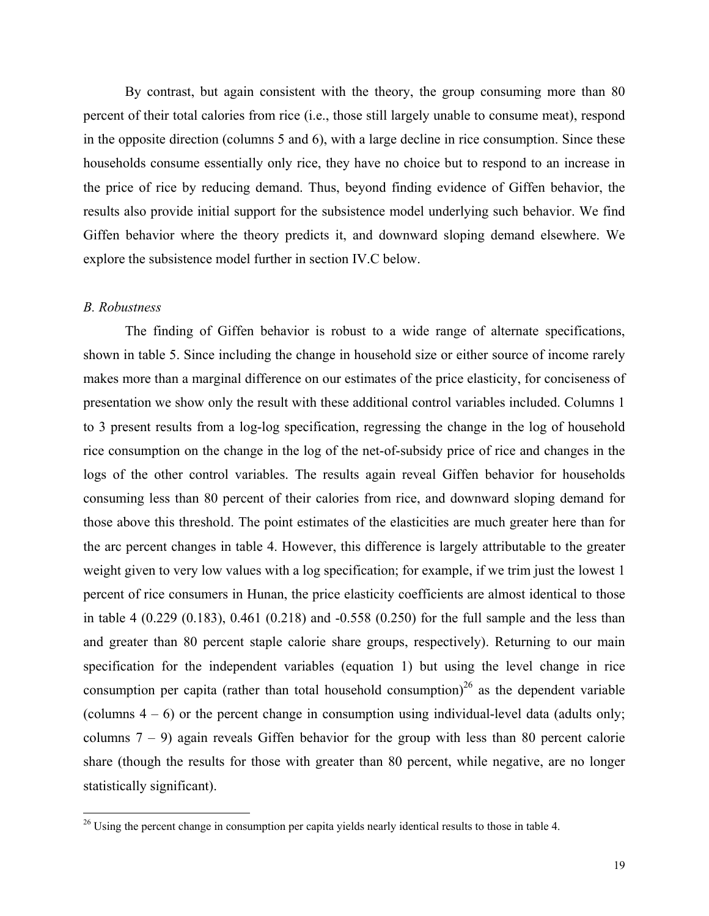By contrast, but again consistent with the theory, the group consuming more than 80 percent of their total calories from rice (i.e., those still largely unable to consume meat), respond in the opposite direction (columns 5 and 6), with a large decline in rice consumption. Since these households consume essentially only rice, they have no choice but to respond to an increase in the price of rice by reducing demand. Thus, beyond finding evidence of Giffen behavior, the results also provide initial support for the subsistence model underlying such behavior. We find Giffen behavior where the theory predicts it, and downward sloping demand elsewhere. We explore the subsistence model further in section IV.C below.

## *B. Robustness*

 $\overline{a}$ 

The finding of Giffen behavior is robust to a wide range of alternate specifications, shown in table 5. Since including the change in household size or either source of income rarely makes more than a marginal difference on our estimates of the price elasticity, for conciseness of presentation we show only the result with these additional control variables included. Columns 1 to 3 present results from a log-log specification, regressing the change in the log of household rice consumption on the change in the log of the net-of-subsidy price of rice and changes in the logs of the other control variables. The results again reveal Giffen behavior for households consuming less than 80 percent of their calories from rice, and downward sloping demand for those above this threshold. The point estimates of the elasticities are much greater here than for the arc percent changes in table 4. However, this difference is largely attributable to the greater weight given to very low values with a log specification; for example, if we trim just the lowest 1 percent of rice consumers in Hunan, the price elasticity coefficients are almost identical to those in table 4 (0.229 (0.183), 0.461 (0.218) and -0.558 (0.250) for the full sample and the less than and greater than 80 percent staple calorie share groups, respectively). Returning to our main specification for the independent variables (equation 1) but using the level change in rice consumption per capita (rather than total household consumption)<sup>26</sup> as the dependent variable (columns  $4 - 6$ ) or the percent change in consumption using individual-level data (adults only; columns  $7 - 9$ ) again reveals Giffen behavior for the group with less than 80 percent calorie share (though the results for those with greater than 80 percent, while negative, are no longer statistically significant).

<sup>&</sup>lt;sup>26</sup> Using the percent change in consumption per capita yields nearly identical results to those in table 4.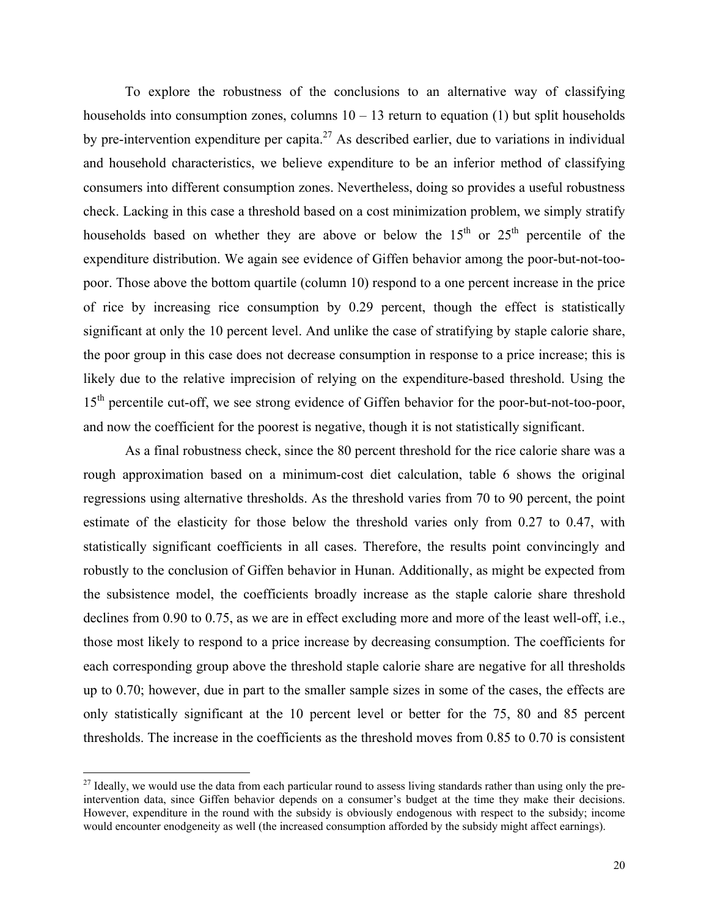To explore the robustness of the conclusions to an alternative way of classifying households into consumption zones, columns  $10 - 13$  return to equation (1) but split households by pre-intervention expenditure per capita.<sup>27</sup> As described earlier, due to variations in individual and household characteristics, we believe expenditure to be an inferior method of classifying consumers into different consumption zones. Nevertheless, doing so provides a useful robustness check. Lacking in this case a threshold based on a cost minimization problem, we simply stratify households based on whether they are above or below the  $15<sup>th</sup>$  or  $25<sup>th</sup>$  percentile of the expenditure distribution. We again see evidence of Giffen behavior among the poor-but-not-toopoor. Those above the bottom quartile (column 10) respond to a one percent increase in the price of rice by increasing rice consumption by 0.29 percent, though the effect is statistically significant at only the 10 percent level. And unlike the case of stratifying by staple calorie share, the poor group in this case does not decrease consumption in response to a price increase; this is likely due to the relative imprecision of relying on the expenditure-based threshold. Using the 15<sup>th</sup> percentile cut-off, we see strong evidence of Giffen behavior for the poor-but-not-too-poor, and now the coefficient for the poorest is negative, though it is not statistically significant.

As a final robustness check, since the 80 percent threshold for the rice calorie share was a rough approximation based on a minimum-cost diet calculation, table 6 shows the original regressions using alternative thresholds. As the threshold varies from 70 to 90 percent, the point estimate of the elasticity for those below the threshold varies only from 0.27 to 0.47, with statistically significant coefficients in all cases. Therefore, the results point convincingly and robustly to the conclusion of Giffen behavior in Hunan. Additionally, as might be expected from the subsistence model, the coefficients broadly increase as the staple calorie share threshold declines from 0.90 to 0.75, as we are in effect excluding more and more of the least well-off, i.e., those most likely to respond to a price increase by decreasing consumption. The coefficients for each corresponding group above the threshold staple calorie share are negative for all thresholds up to 0.70; however, due in part to the smaller sample sizes in some of the cases, the effects are only statistically significant at the 10 percent level or better for the 75, 80 and 85 percent thresholds. The increase in the coefficients as the threshold moves from 0.85 to 0.70 is consistent

 $^{27}$  Ideally, we would use the data from each particular round to assess living standards rather than using only the preintervention data, since Giffen behavior depends on a consumer's budget at the time they make their decisions. However, expenditure in the round with the subsidy is obviously endogenous with respect to the subsidy; income would encounter enodgeneity as well (the increased consumption afforded by the subsidy might affect earnings).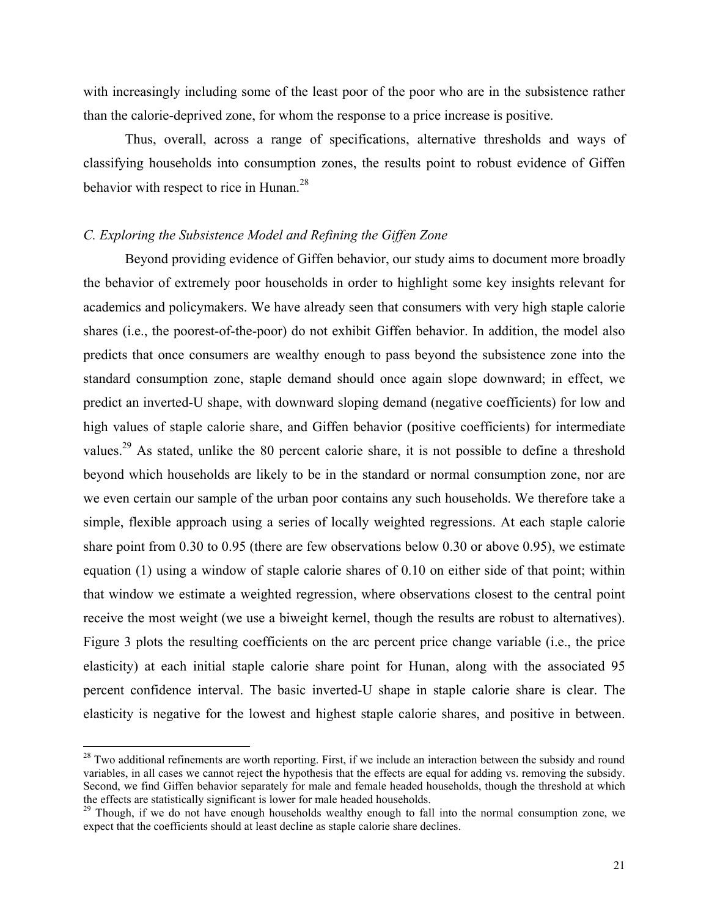with increasingly including some of the least poor of the poor who are in the subsistence rather than the calorie-deprived zone, for whom the response to a price increase is positive.

Thus, overall, across a range of specifications, alternative thresholds and ways of classifying households into consumption zones, the results point to robust evidence of Giffen behavior with respect to rice in Hunan.<sup>28</sup>

## *C. Exploring the Subsistence Model and Refining the Giffen Zone*

 Beyond providing evidence of Giffen behavior, our study aims to document more broadly the behavior of extremely poor households in order to highlight some key insights relevant for academics and policymakers. We have already seen that consumers with very high staple calorie shares (i.e., the poorest-of-the-poor) do not exhibit Giffen behavior. In addition, the model also predicts that once consumers are wealthy enough to pass beyond the subsistence zone into the standard consumption zone, staple demand should once again slope downward; in effect, we predict an inverted-U shape, with downward sloping demand (negative coefficients) for low and high values of staple calorie share, and Giffen behavior (positive coefficients) for intermediate values.29 As stated, unlike the 80 percent calorie share, it is not possible to define a threshold beyond which households are likely to be in the standard or normal consumption zone, nor are we even certain our sample of the urban poor contains any such households. We therefore take a simple, flexible approach using a series of locally weighted regressions. At each staple calorie share point from 0.30 to 0.95 (there are few observations below 0.30 or above 0.95), we estimate equation (1) using a window of staple calorie shares of 0.10 on either side of that point; within that window we estimate a weighted regression, where observations closest to the central point receive the most weight (we use a biweight kernel, though the results are robust to alternatives). Figure 3 plots the resulting coefficients on the arc percent price change variable (i.e., the price elasticity) at each initial staple calorie share point for Hunan, along with the associated 95 percent confidence interval. The basic inverted-U shape in staple calorie share is clear. The elasticity is negative for the lowest and highest staple calorie shares, and positive in between.

 $28$  Two additional refinements are worth reporting. First, if we include an interaction between the subsidy and round variables, in all cases we cannot reject the hypothesis that the effects are equal for adding vs. removing the subsidy. Second, we find Giffen behavior separately for male and female headed households, though the threshold at which the effects are statistically significant is lower for male headed households.

<sup>&</sup>lt;sup>29</sup> Though, if we do not have enough households wealthy enough to fall into the normal consumption zone, we expect that the coefficients should at least decline as staple calorie share declines.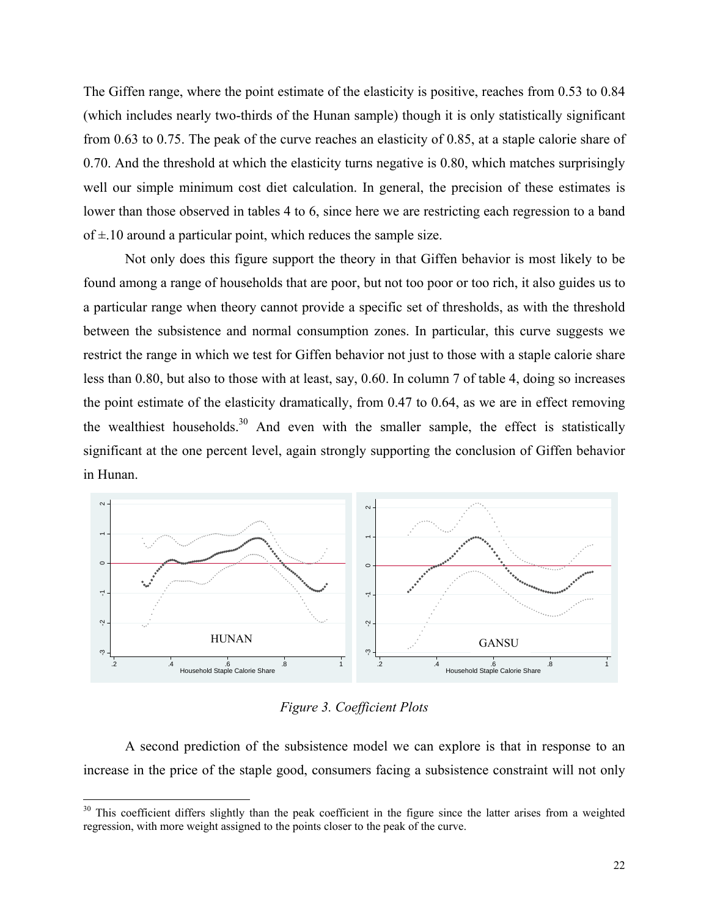The Giffen range, where the point estimate of the elasticity is positive, reaches from 0.53 to 0.84 (which includes nearly two-thirds of the Hunan sample) though it is only statistically significant from 0.63 to 0.75. The peak of the curve reaches an elasticity of 0.85, at a staple calorie share of 0.70. And the threshold at which the elasticity turns negative is 0.80, which matches surprisingly well our simple minimum cost diet calculation. In general, the precision of these estimates is lower than those observed in tables 4 to 6, since here we are restricting each regression to a band of  $\pm$ .10 around a particular point, which reduces the sample size.

Not only does this figure support the theory in that Giffen behavior is most likely to be found among a range of households that are poor, but not too poor or too rich, it also guides us to a particular range when theory cannot provide a specific set of thresholds, as with the threshold between the subsistence and normal consumption zones. In particular, this curve suggests we restrict the range in which we test for Giffen behavior not just to those with a staple calorie share less than 0.80, but also to those with at least, say, 0.60. In column 7 of table 4, doing so increases the point estimate of the elasticity dramatically, from 0.47 to 0.64, as we are in effect removing the wealthiest households. $30$  And even with the smaller sample, the effect is statistically significant at the one percent level, again strongly supporting the conclusion of Giffen behavior in Hunan.



*Figure 3. Coefficient Plots* 

A second prediction of the subsistence model we can explore is that in response to an increase in the price of the staple good, consumers facing a subsistence constraint will not only

1

 $30$  This coefficient differs slightly than the peak coefficient in the figure since the latter arises from a weighted regression, with more weight assigned to the points closer to the peak of the curve.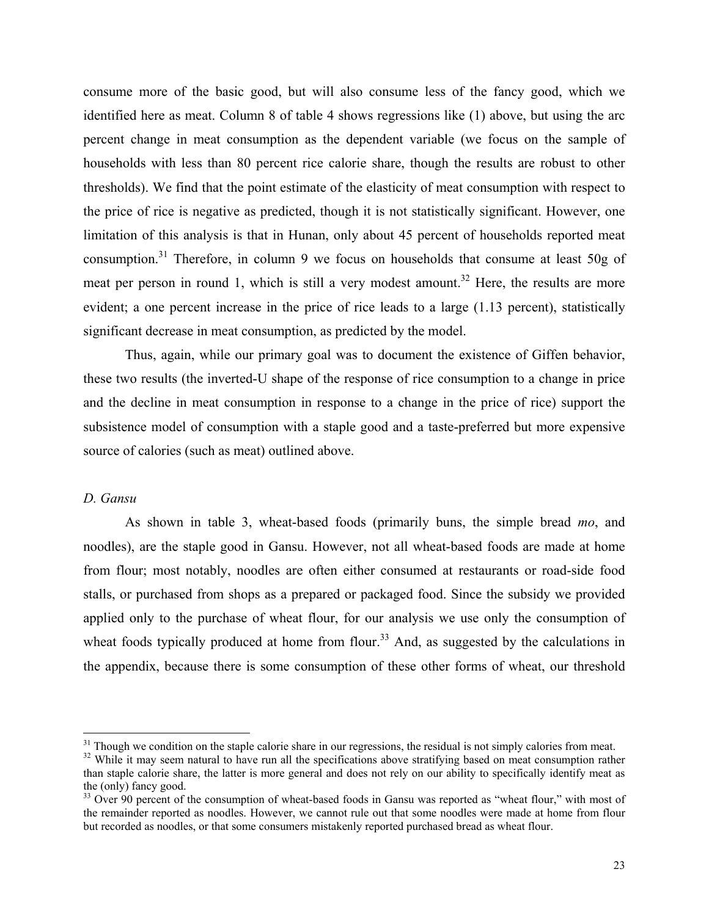consume more of the basic good, but will also consume less of the fancy good, which we identified here as meat. Column 8 of table 4 shows regressions like (1) above, but using the arc percent change in meat consumption as the dependent variable (we focus on the sample of households with less than 80 percent rice calorie share, though the results are robust to other thresholds). We find that the point estimate of the elasticity of meat consumption with respect to the price of rice is negative as predicted, though it is not statistically significant. However, one limitation of this analysis is that in Hunan, only about 45 percent of households reported meat consumption.31 Therefore, in column 9 we focus on households that consume at least 50g of meat per person in round 1, which is still a very modest amount.<sup>32</sup> Here, the results are more evident; a one percent increase in the price of rice leads to a large (1.13 percent), statistically significant decrease in meat consumption, as predicted by the model.

Thus, again, while our primary goal was to document the existence of Giffen behavior, these two results (the inverted-U shape of the response of rice consumption to a change in price and the decline in meat consumption in response to a change in the price of rice) support the subsistence model of consumption with a staple good and a taste-preferred but more expensive source of calories (such as meat) outlined above.

## *D. Gansu*

<u>.</u>

As shown in table 3, wheat-based foods (primarily buns, the simple bread *mo*, and noodles), are the staple good in Gansu. However, not all wheat-based foods are made at home from flour; most notably, noodles are often either consumed at restaurants or road-side food stalls, or purchased from shops as a prepared or packaged food. Since the subsidy we provided applied only to the purchase of wheat flour, for our analysis we use only the consumption of wheat foods typically produced at home from flour.<sup>33</sup> And, as suggested by the calculations in the appendix, because there is some consumption of these other forms of wheat, our threshold

 $31$  Though we condition on the staple calorie share in our regressions, the residual is not simply calories from meat.<br><sup>32</sup> While it may seem natural to have run all the specifications above stratifying based on meat con

than staple calorie share, the latter is more general and does not rely on our ability to specifically identify meat as the (only) fancy good.

<sup>&</sup>lt;sup>33</sup> Over 90 percent of the consumption of wheat-based foods in Gansu was reported as "wheat flour," with most of the remainder reported as noodles. However, we cannot rule out that some noodles were made at home from flour but recorded as noodles, or that some consumers mistakenly reported purchased bread as wheat flour.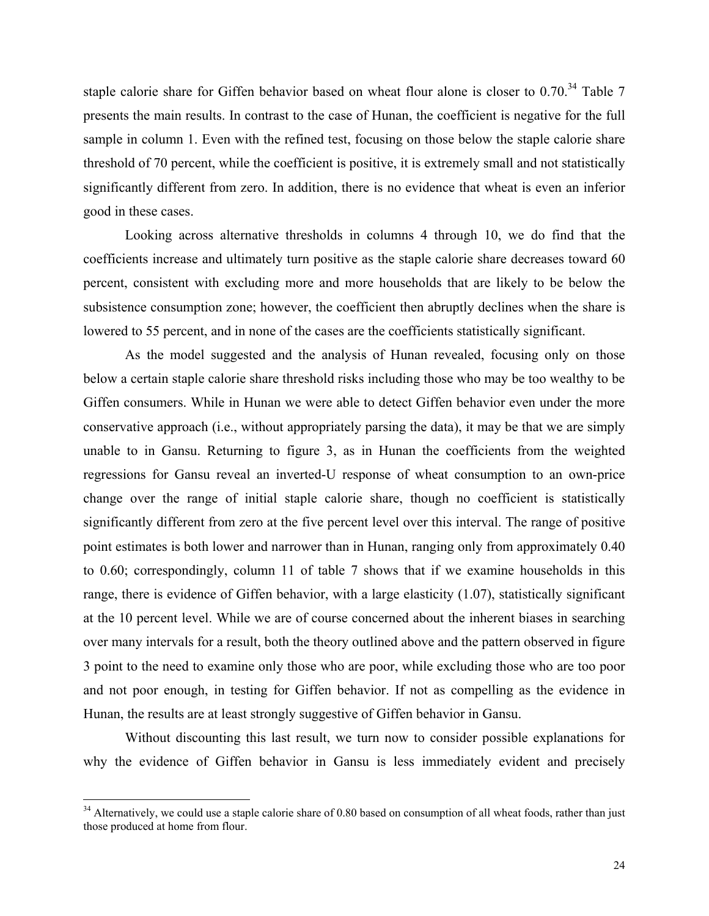staple calorie share for Giffen behavior based on wheat flour alone is closer to 0.70.<sup>34</sup> Table 7 presents the main results. In contrast to the case of Hunan, the coefficient is negative for the full sample in column 1. Even with the refined test, focusing on those below the staple calorie share threshold of 70 percent, while the coefficient is positive, it is extremely small and not statistically significantly different from zero. In addition, there is no evidence that wheat is even an inferior good in these cases.

Looking across alternative thresholds in columns 4 through 10, we do find that the coefficients increase and ultimately turn positive as the staple calorie share decreases toward 60 percent, consistent with excluding more and more households that are likely to be below the subsistence consumption zone; however, the coefficient then abruptly declines when the share is lowered to 55 percent, and in none of the cases are the coefficients statistically significant.

As the model suggested and the analysis of Hunan revealed, focusing only on those below a certain staple calorie share threshold risks including those who may be too wealthy to be Giffen consumers. While in Hunan we were able to detect Giffen behavior even under the more conservative approach (i.e., without appropriately parsing the data), it may be that we are simply unable to in Gansu. Returning to figure 3, as in Hunan the coefficients from the weighted regressions for Gansu reveal an inverted-U response of wheat consumption to an own-price change over the range of initial staple calorie share, though no coefficient is statistically significantly different from zero at the five percent level over this interval. The range of positive point estimates is both lower and narrower than in Hunan, ranging only from approximately 0.40 to 0.60; correspondingly, column 11 of table 7 shows that if we examine households in this range, there is evidence of Giffen behavior, with a large elasticity (1.07), statistically significant at the 10 percent level. While we are of course concerned about the inherent biases in searching over many intervals for a result, both the theory outlined above and the pattern observed in figure 3 point to the need to examine only those who are poor, while excluding those who are too poor and not poor enough, in testing for Giffen behavior. If not as compelling as the evidence in Hunan, the results are at least strongly suggestive of Giffen behavior in Gansu.

Without discounting this last result, we turn now to consider possible explanations for why the evidence of Giffen behavior in Gansu is less immediately evident and precisely

1

 $34$  Alternatively, we could use a staple calorie share of 0.80 based on consumption of all wheat foods, rather than just those produced at home from flour.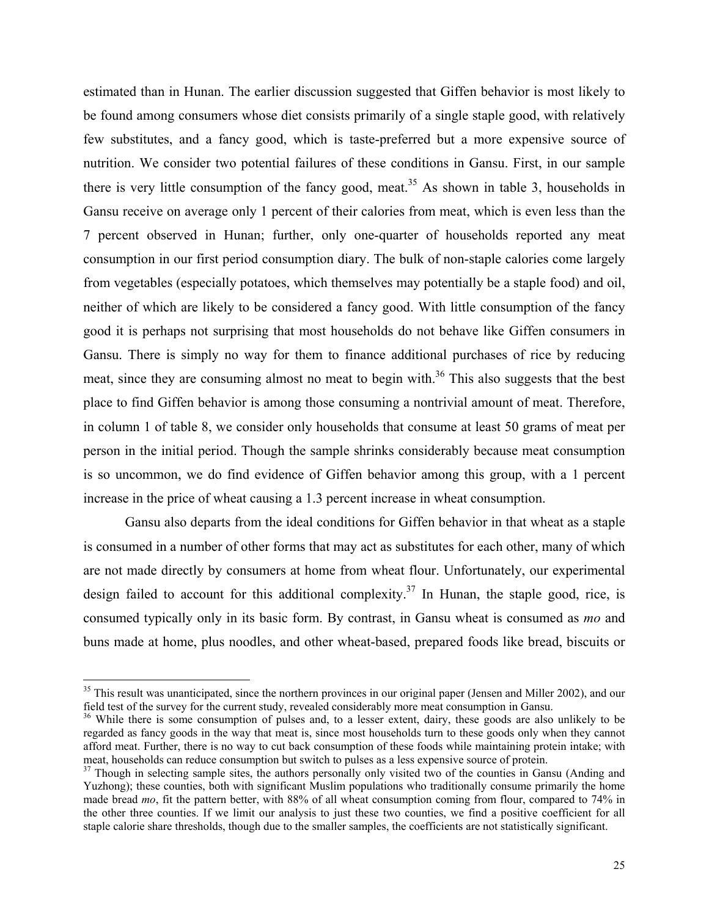estimated than in Hunan. The earlier discussion suggested that Giffen behavior is most likely to be found among consumers whose diet consists primarily of a single staple good, with relatively few substitutes, and a fancy good, which is taste-preferred but a more expensive source of nutrition. We consider two potential failures of these conditions in Gansu. First, in our sample there is very little consumption of the fancy good, meat.<sup>35</sup> As shown in table 3, households in Gansu receive on average only 1 percent of their calories from meat, which is even less than the 7 percent observed in Hunan; further, only one-quarter of households reported any meat consumption in our first period consumption diary. The bulk of non-staple calories come largely from vegetables (especially potatoes, which themselves may potentially be a staple food) and oil, neither of which are likely to be considered a fancy good. With little consumption of the fancy good it is perhaps not surprising that most households do not behave like Giffen consumers in Gansu. There is simply no way for them to finance additional purchases of rice by reducing meat, since they are consuming almost no meat to begin with.<sup>36</sup> This also suggests that the best place to find Giffen behavior is among those consuming a nontrivial amount of meat. Therefore, in column 1 of table 8, we consider only households that consume at least 50 grams of meat per person in the initial period. Though the sample shrinks considerably because meat consumption is so uncommon, we do find evidence of Giffen behavior among this group, with a 1 percent increase in the price of wheat causing a 1.3 percent increase in wheat consumption.

Gansu also departs from the ideal conditions for Giffen behavior in that wheat as a staple is consumed in a number of other forms that may act as substitutes for each other, many of which are not made directly by consumers at home from wheat flour. Unfortunately, our experimental design failed to account for this additional complexity.<sup>37</sup> In Hunan, the staple good, rice, is consumed typically only in its basic form. By contrast, in Gansu wheat is consumed as *mo* and buns made at home, plus noodles, and other wheat-based, prepared foods like bread, biscuits or

 $35$  This result was unanticipated, since the northern provinces in our original paper (Jensen and Miller 2002), and our field test of the survey for the current study, revealed considerably more meat consumption in Gansu

 $36$  While there is some consumption of pulses and, to a lesser extent, dairy, these goods are also unlikely to be regarded as fancy goods in the way that meat is, since most households turn to these goods only when they cannot afford meat. Further, there is no way to cut back consumption of these foods while maintaining protein intake; with meat, households can reduce consumption but switch to pulses as a less expensive source of protein.

<sup>&</sup>lt;sup>37</sup> Though in selecting sample sites, the authors personally only visited two of the counties in Gansu (Anding and Yuzhong); these counties, both with significant Muslim populations who traditionally consume primarily the home made bread *mo*, fit the pattern better, with 88% of all wheat consumption coming from flour, compared to 74% in the other three counties. If we limit our analysis to just these two counties, we find a positive coefficient for all staple calorie share thresholds, though due to the smaller samples, the coefficients are not statistically significant.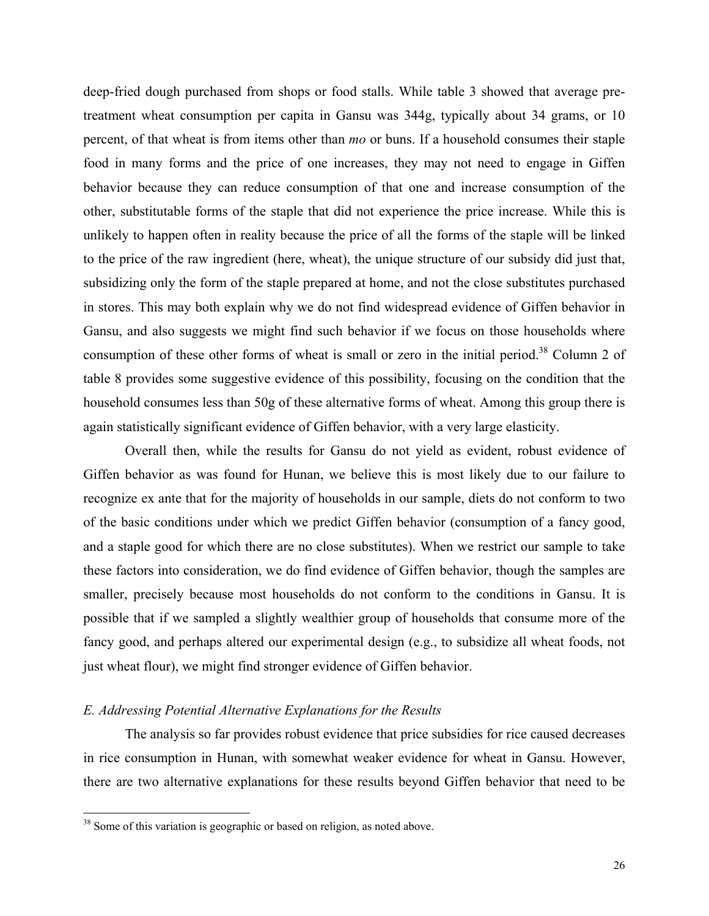deep-fried dough purchased from shops or food stalls. While table 3 showed that average pretreatment wheat consumption per capita in Gansu was 344g, typically about 34 grams, or 10 percent, of that wheat is from items other than *mo* or buns. If a household consumes their staple food in many forms and the price of one increases, they may not need to engage in Giffen behavior because they can reduce consumption of that one and increase consumption of the other, substitutable forms of the staple that did not experience the price increase. While this is unlikely to happen often in reality because the price of all the forms of the staple will be linked to the price of the raw ingredient (here, wheat), the unique structure of our subsidy did just that, subsidizing only the form of the staple prepared at home, and not the close substitutes purchased in stores. This may both explain why we do not find widespread evidence of Giffen behavior in Gansu, and also suggests we might find such behavior if we focus on those households where consumption of these other forms of wheat is small or zero in the initial period.<sup>38</sup> Column 2 of table 8 provides some suggestive evidence of this possibility, focusing on the condition that the household consumes less than 50g of these alternative forms of wheat. Among this group there is again statistically significant evidence of Giffen behavior, with a very large elasticity.

Overall then, while the results for Gansu do not yield as evident, robust evidence of Giffen behavior as was found for Hunan, we believe this is most likely due to our failure to recognize ex ante that for the majority of households in our sample, diets do not conform to two of the basic conditions under which we predict Giffen behavior (consumption of a fancy good, and a staple good for which there are no close substitutes). When we restrict our sample to take these factors into consideration, we do find evidence of Giffen behavior, though the samples are smaller, precisely because most households do not conform to the conditions in Gansu. It is possible that if we sampled a slightly wealthier group of households that consume more of the fancy good, and perhaps altered our experimental design (e.g., to subsidize all wheat foods, not just wheat flour), we might find stronger evidence of Giffen behavior.

## *E. Addressing Potential Alternative Explanations for the Results*

The analysis so far provides robust evidence that price subsidies for rice caused decreases in rice consumption in Hunan, with somewhat weaker evidence for wheat in Gansu. However, there are two alternative explanations for these results beyond Giffen behavior that need to be

<sup>&</sup>lt;sup>38</sup> Some of this variation is geographic or based on religion, as noted above.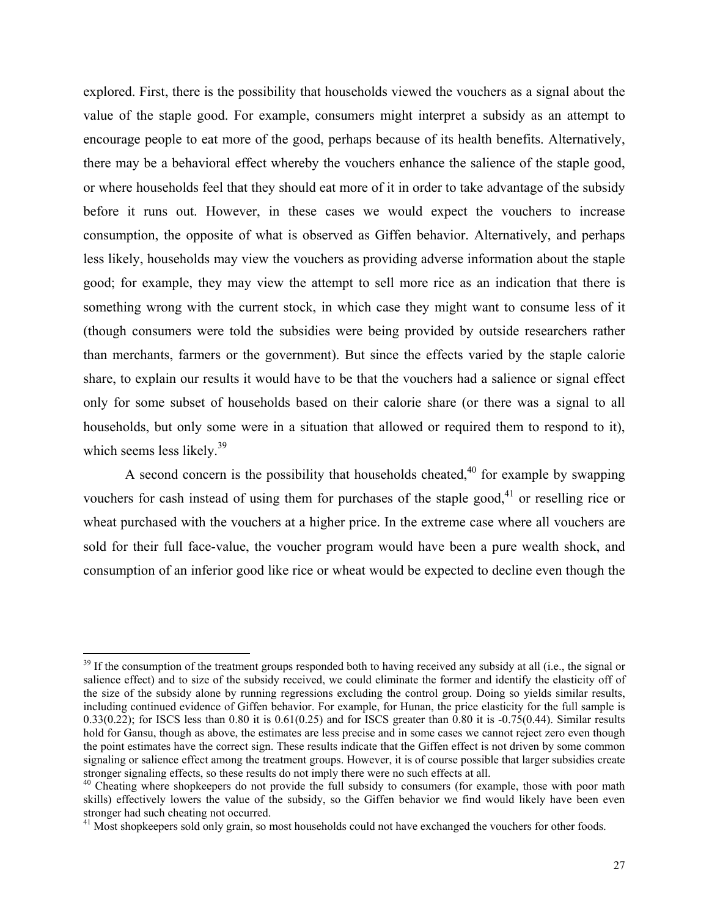explored. First, there is the possibility that households viewed the vouchers as a signal about the value of the staple good. For example, consumers might interpret a subsidy as an attempt to encourage people to eat more of the good, perhaps because of its health benefits. Alternatively, there may be a behavioral effect whereby the vouchers enhance the salience of the staple good, or where households feel that they should eat more of it in order to take advantage of the subsidy before it runs out. However, in these cases we would expect the vouchers to increase consumption, the opposite of what is observed as Giffen behavior. Alternatively, and perhaps less likely, households may view the vouchers as providing adverse information about the staple good; for example, they may view the attempt to sell more rice as an indication that there is something wrong with the current stock, in which case they might want to consume less of it (though consumers were told the subsidies were being provided by outside researchers rather than merchants, farmers or the government). But since the effects varied by the staple calorie share, to explain our results it would have to be that the vouchers had a salience or signal effect only for some subset of households based on their calorie share (or there was a signal to all households, but only some were in a situation that allowed or required them to respond to it), which seems less likely.<sup>39</sup>

A second concern is the possibility that households cheated, $40$  for example by swapping vouchers for cash instead of using them for purchases of the staple good,<sup>41</sup> or reselling rice or wheat purchased with the vouchers at a higher price. In the extreme case where all vouchers are sold for their full face-value, the voucher program would have been a pure wealth shock, and consumption of an inferior good like rice or wheat would be expected to decline even though the

<sup>&</sup>lt;sup>39</sup> If the consumption of the treatment groups responded both to having received any subsidy at all (i.e., the signal or salience effect) and to size of the subsidy received, we could eliminate the former and identify the elasticity off of the size of the subsidy alone by running regressions excluding the control group. Doing so yields similar results, including continued evidence of Giffen behavior. For example, for Hunan, the price elasticity for the full sample is 0.33(0.22); for ISCS less than 0.80 it is  $0.61(0.25)$  and for ISCS greater than 0.80 it is  $-0.75(0.44)$ . Similar results hold for Gansu, though as above, the estimates are less precise and in some cases we cannot reject zero even though the point estimates have the correct sign. These results indicate that the Giffen effect is not driven by some common signaling or salience effect among the treatment groups. However, it is of course possible that larger subsidies create stronger signaling effects, so these results do not imply there were no such effects at all.

<sup>&</sup>lt;sup>40</sup> Cheating where shopkeepers do not provide the full subsidy to consumers (for example, those with poor math skills) effectively lowers the value of the subsidy, so the Giffen behavior we find would likely have been even stronger had such cheating not occurred.

<sup>&</sup>lt;sup>41</sup> Most shopkeepers sold only grain, so most households could not have exchanged the vouchers for other foods.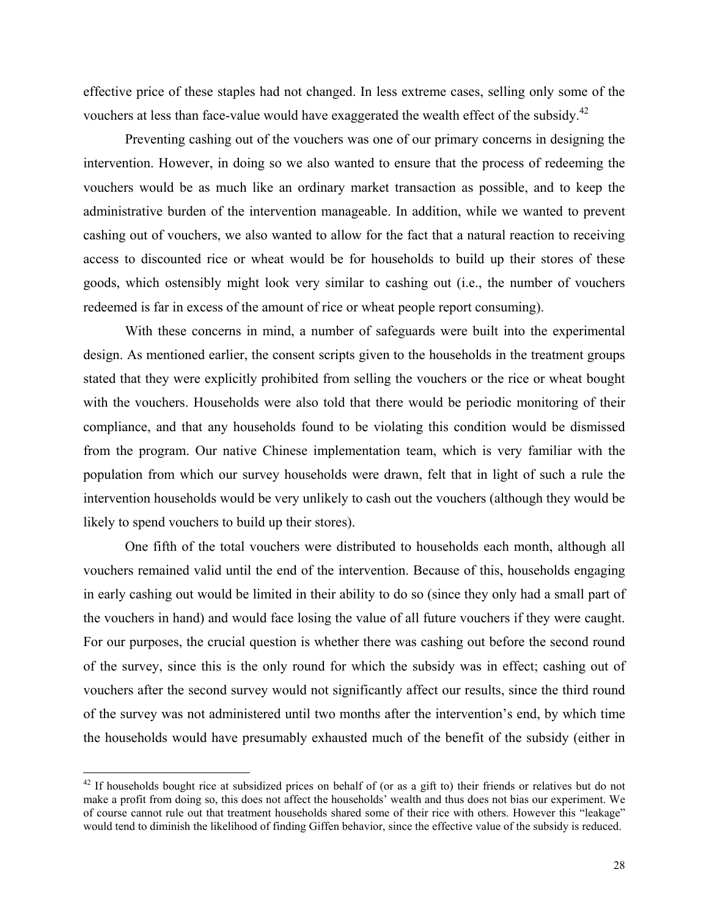effective price of these staples had not changed. In less extreme cases, selling only some of the vouchers at less than face-value would have exaggerated the wealth effect of the subsidy.<sup>42</sup>

Preventing cashing out of the vouchers was one of our primary concerns in designing the intervention. However, in doing so we also wanted to ensure that the process of redeeming the vouchers would be as much like an ordinary market transaction as possible, and to keep the administrative burden of the intervention manageable. In addition, while we wanted to prevent cashing out of vouchers, we also wanted to allow for the fact that a natural reaction to receiving access to discounted rice or wheat would be for households to build up their stores of these goods, which ostensibly might look very similar to cashing out (i.e., the number of vouchers redeemed is far in excess of the amount of rice or wheat people report consuming).

With these concerns in mind, a number of safeguards were built into the experimental design. As mentioned earlier, the consent scripts given to the households in the treatment groups stated that they were explicitly prohibited from selling the vouchers or the rice or wheat bought with the vouchers. Households were also told that there would be periodic monitoring of their compliance, and that any households found to be violating this condition would be dismissed from the program. Our native Chinese implementation team, which is very familiar with the population from which our survey households were drawn, felt that in light of such a rule the intervention households would be very unlikely to cash out the vouchers (although they would be likely to spend vouchers to build up their stores).

One fifth of the total vouchers were distributed to households each month, although all vouchers remained valid until the end of the intervention. Because of this, households engaging in early cashing out would be limited in their ability to do so (since they only had a small part of the vouchers in hand) and would face losing the value of all future vouchers if they were caught. For our purposes, the crucial question is whether there was cashing out before the second round of the survey, since this is the only round for which the subsidy was in effect; cashing out of vouchers after the second survey would not significantly affect our results, since the third round of the survey was not administered until two months after the intervention's end, by which time the households would have presumably exhausted much of the benefit of the subsidy (either in

<u>.</u>

 $42$  If households bought rice at subsidized prices on behalf of (or as a gift to) their friends or relatives but do not make a profit from doing so, this does not affect the households' wealth and thus does not bias our experiment. We of course cannot rule out that treatment households shared some of their rice with others. However this "leakage" would tend to diminish the likelihood of finding Giffen behavior, since the effective value of the subsidy is reduced.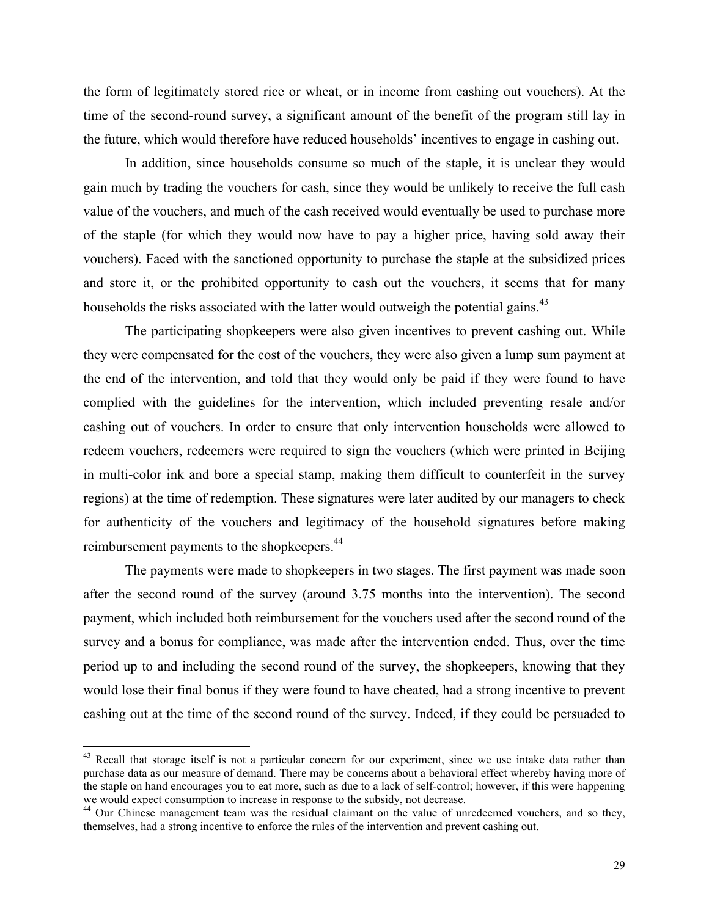the form of legitimately stored rice or wheat, or in income from cashing out vouchers). At the time of the second-round survey, a significant amount of the benefit of the program still lay in the future, which would therefore have reduced households' incentives to engage in cashing out.

In addition, since households consume so much of the staple, it is unclear they would gain much by trading the vouchers for cash, since they would be unlikely to receive the full cash value of the vouchers, and much of the cash received would eventually be used to purchase more of the staple (for which they would now have to pay a higher price, having sold away their vouchers). Faced with the sanctioned opportunity to purchase the staple at the subsidized prices and store it, or the prohibited opportunity to cash out the vouchers, it seems that for many households the risks associated with the latter would outweigh the potential gains.<sup>43</sup>

The participating shopkeepers were also given incentives to prevent cashing out. While they were compensated for the cost of the vouchers, they were also given a lump sum payment at the end of the intervention, and told that they would only be paid if they were found to have complied with the guidelines for the intervention, which included preventing resale and/or cashing out of vouchers. In order to ensure that only intervention households were allowed to redeem vouchers, redeemers were required to sign the vouchers (which were printed in Beijing in multi-color ink and bore a special stamp, making them difficult to counterfeit in the survey regions) at the time of redemption. These signatures were later audited by our managers to check for authenticity of the vouchers and legitimacy of the household signatures before making reimbursement payments to the shopkeepers.<sup>44</sup>

The payments were made to shopkeepers in two stages. The first payment was made soon after the second round of the survey (around 3.75 months into the intervention). The second payment, which included both reimbursement for the vouchers used after the second round of the survey and a bonus for compliance, was made after the intervention ended. Thus, over the time period up to and including the second round of the survey, the shopkeepers, knowing that they would lose their final bonus if they were found to have cheated, had a strong incentive to prevent cashing out at the time of the second round of the survey. Indeed, if they could be persuaded to

<sup>&</sup>lt;sup>43</sup> Recall that storage itself is not a particular concern for our experiment, since we use intake data rather than purchase data as our measure of demand. There may be concerns about a behavioral effect whereby having more of the staple on hand encourages you to eat more, such as due to a lack of self-control; however, if this were happening we would expect consumption to increase in response to the subsidy, not decrease.

<sup>&</sup>lt;sup>44</sup> Our Chinese management team was the residual claimant on the value of unredeemed vouchers, and so they, themselves, had a strong incentive to enforce the rules of the intervention and prevent cashing out.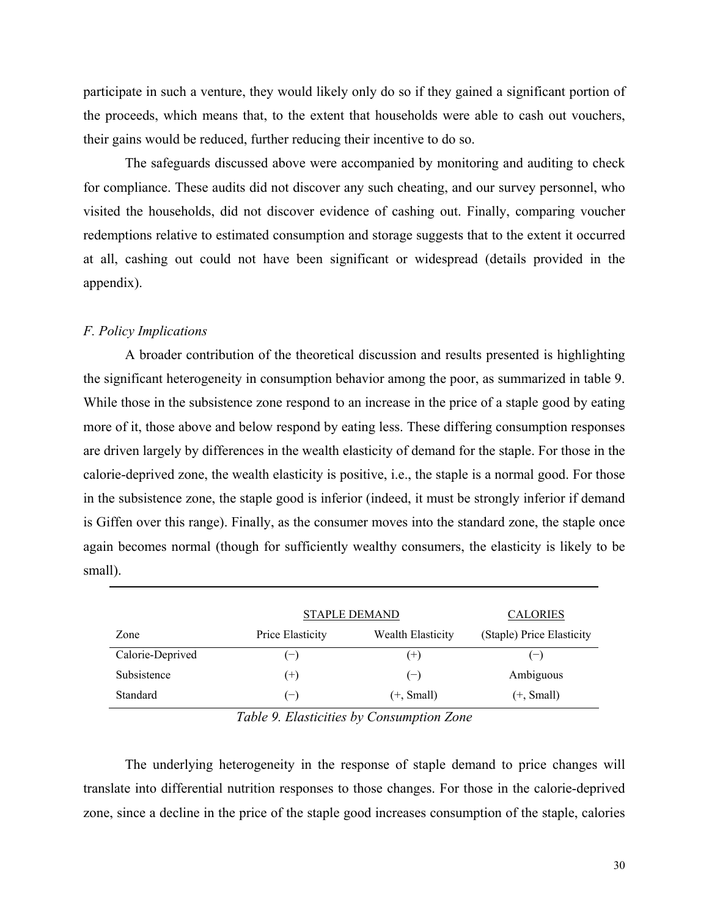participate in such a venture, they would likely only do so if they gained a significant portion of the proceeds, which means that, to the extent that households were able to cash out vouchers, their gains would be reduced, further reducing their incentive to do so.

The safeguards discussed above were accompanied by monitoring and auditing to check for compliance. These audits did not discover any such cheating, and our survey personnel, who visited the households, did not discover evidence of cashing out. Finally, comparing voucher redemptions relative to estimated consumption and storage suggests that to the extent it occurred at all, cashing out could not have been significant or widespread (details provided in the appendix).

## *F. Policy Implications*

A broader contribution of the theoretical discussion and results presented is highlighting the significant heterogeneity in consumption behavior among the poor, as summarized in table 9. While those in the subsistence zone respond to an increase in the price of a staple good by eating more of it, those above and below respond by eating less. These differing consumption responses are driven largely by differences in the wealth elasticity of demand for the staple. For those in the calorie-deprived zone, the wealth elasticity is positive, i.e., the staple is a normal good. For those in the subsistence zone, the staple good is inferior (indeed, it must be strongly inferior if demand is Giffen over this range). Finally, as the consumer moves into the standard zone, the staple once again becomes normal (though for sufficiently wealthy consumers, the elasticity is likely to be small).

|                  |                   | <b>STAPLE DEMAND</b> |                           |  |  |  |  |  |
|------------------|-------------------|----------------------|---------------------------|--|--|--|--|--|
| Zone             | Price Elasticity  | Wealth Elasticity    | (Staple) Price Elasticity |  |  |  |  |  |
| Calorie-Deprived | $\left( -\right)$ | $(+)$                | $(-)$                     |  |  |  |  |  |
| Subsistence      | $^{(+)}$          | $(-)$                | Ambiguous                 |  |  |  |  |  |
| Standard         | $(-)$             | $(+, Small)$         | $(+, Small)$              |  |  |  |  |  |

*Table 9. Elasticities by Consumption Zone* 

The underlying heterogeneity in the response of staple demand to price changes will translate into differential nutrition responses to those changes. For those in the calorie-deprived zone, since a decline in the price of the staple good increases consumption of the staple, calories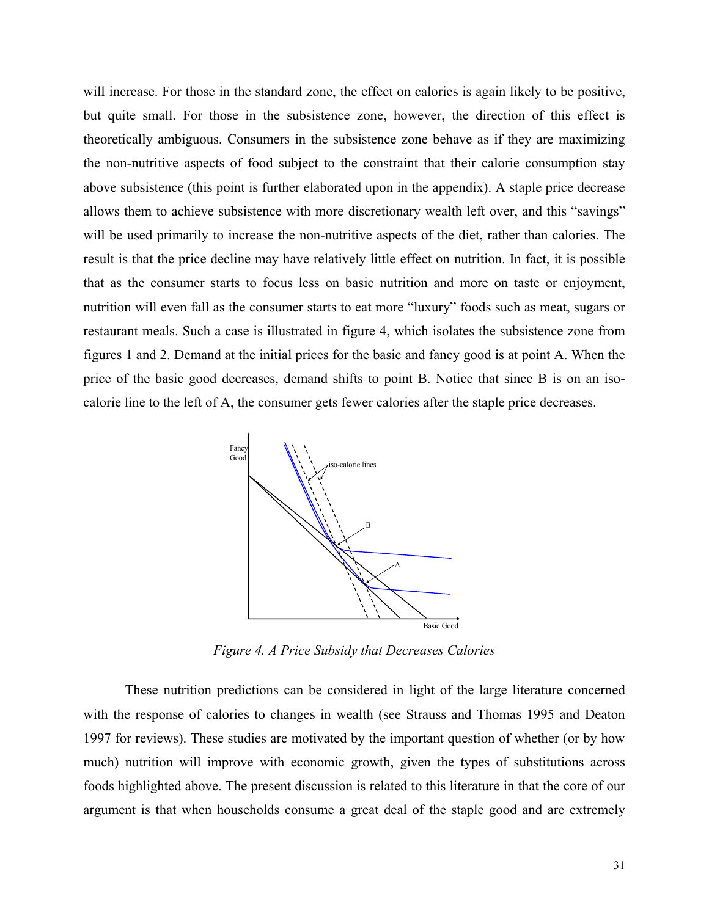will increase. For those in the standard zone, the effect on calories is again likely to be positive, but quite small. For those in the subsistence zone, however, the direction of this effect is theoretically ambiguous. Consumers in the subsistence zone behave as if they are maximizing the non-nutritive aspects of food subject to the constraint that their calorie consumption stay above subsistence (this point is further elaborated upon in the appendix). A staple price decrease allows them to achieve subsistence with more discretionary wealth left over, and this "savings" will be used primarily to increase the non-nutritive aspects of the diet, rather than calories. The result is that the price decline may have relatively little effect on nutrition. In fact, it is possible that as the consumer starts to focus less on basic nutrition and more on taste or enjoyment, nutrition will even fall as the consumer starts to eat more "luxury" foods such as meat, sugars or restaurant meals. Such a case is illustrated in figure 4, which isolates the subsistence zone from figures 1 and 2. Demand at the initial prices for the basic and fancy good is at point A. When the price of the basic good decreases, demand shifts to point B. Notice that since B is on an isocalorie line to the left of A, the consumer gets fewer calories after the staple price decreases.



*Figure 4. A Price Subsidy that Decreases Calories* 

These nutrition predictions can be considered in light of the large literature concerned with the response of calories to changes in wealth (see Strauss and Thomas 1995 and Deaton 1997 for reviews). These studies are motivated by the important question of whether (or by how much) nutrition will improve with economic growth, given the types of substitutions across foods highlighted above. The present discussion is related to this literature in that the core of our argument is that when households consume a great deal of the staple good and are extremely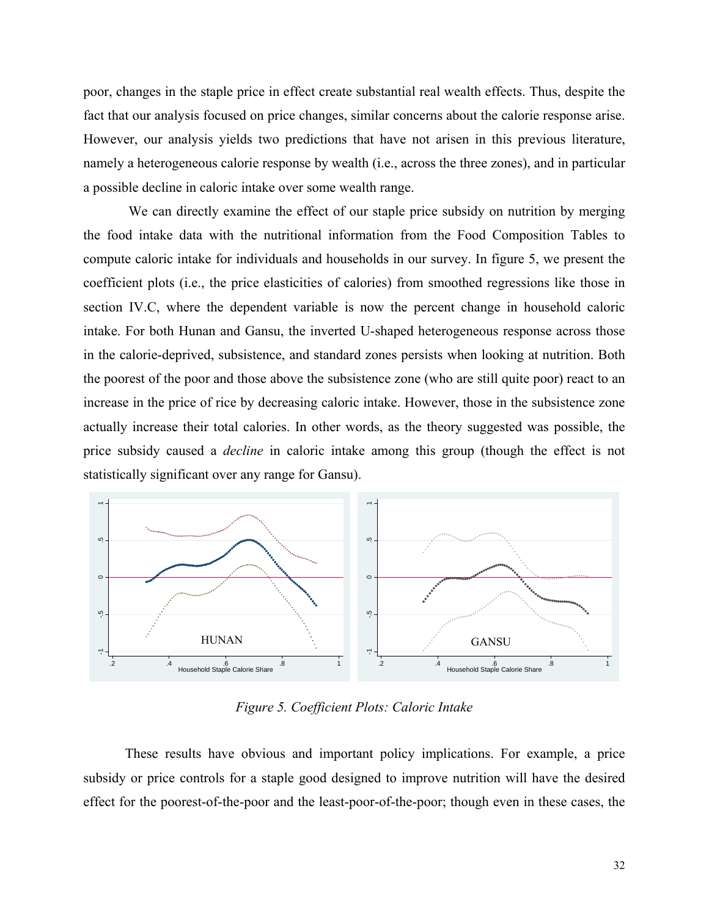poor, changes in the staple price in effect create substantial real wealth effects. Thus, despite the fact that our analysis focused on price changes, similar concerns about the calorie response arise. However, our analysis yields two predictions that have not arisen in this previous literature, namely a heterogeneous calorie response by wealth (i.e., across the three zones), and in particular a possible decline in caloric intake over some wealth range.

 We can directly examine the effect of our staple price subsidy on nutrition by merging the food intake data with the nutritional information from the Food Composition Tables to compute caloric intake for individuals and households in our survey. In figure 5, we present the coefficient plots (i.e., the price elasticities of calories) from smoothed regressions like those in section IV.C, where the dependent variable is now the percent change in household caloric intake. For both Hunan and Gansu, the inverted U-shaped heterogeneous response across those in the calorie-deprived, subsistence, and standard zones persists when looking at nutrition. Both the poorest of the poor and those above the subsistence zone (who are still quite poor) react to an increase in the price of rice by decreasing caloric intake. However, those in the subsistence zone actually increase their total calories. In other words, as the theory suggested was possible, the price subsidy caused a *decline* in caloric intake among this group (though the effect is not statistically significant over any range for Gansu).



*Figure 5. Coefficient Plots: Caloric Intake* 

These results have obvious and important policy implications. For example, a price subsidy or price controls for a staple good designed to improve nutrition will have the desired effect for the poorest-of-the-poor and the least-poor-of-the-poor; though even in these cases, the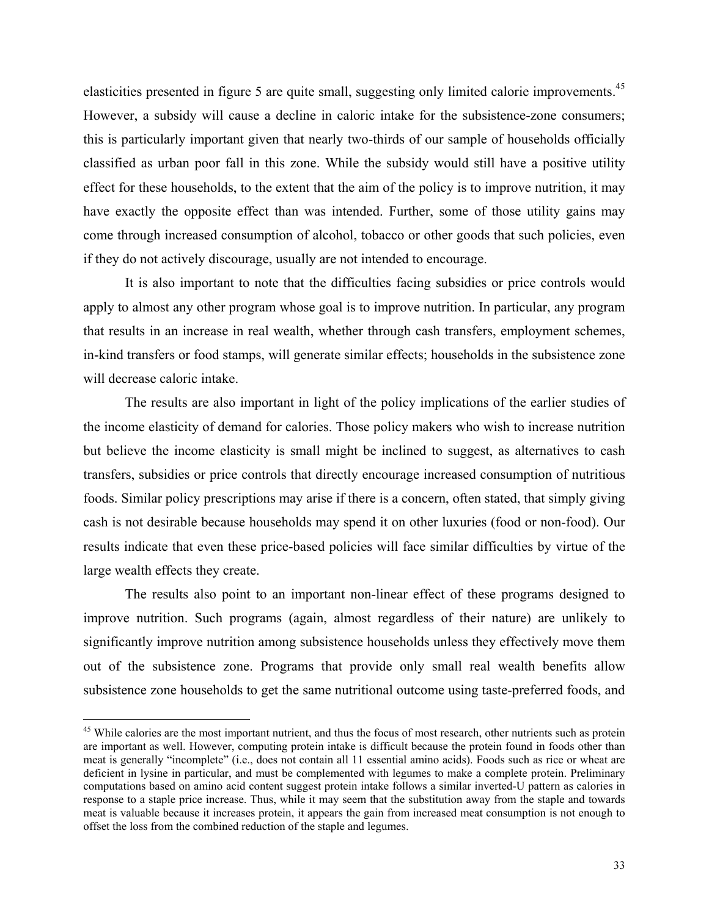elasticities presented in figure 5 are quite small, suggesting only limited calorie improvements.<sup>45</sup> However, a subsidy will cause a decline in caloric intake for the subsistence-zone consumers; this is particularly important given that nearly two-thirds of our sample of households officially classified as urban poor fall in this zone. While the subsidy would still have a positive utility effect for these households, to the extent that the aim of the policy is to improve nutrition, it may have exactly the opposite effect than was intended. Further, some of those utility gains may come through increased consumption of alcohol, tobacco or other goods that such policies, even if they do not actively discourage, usually are not intended to encourage.

It is also important to note that the difficulties facing subsidies or price controls would apply to almost any other program whose goal is to improve nutrition. In particular, any program that results in an increase in real wealth, whether through cash transfers, employment schemes, in-kind transfers or food stamps, will generate similar effects; households in the subsistence zone will decrease caloric intake.

The results are also important in light of the policy implications of the earlier studies of the income elasticity of demand for calories. Those policy makers who wish to increase nutrition but believe the income elasticity is small might be inclined to suggest, as alternatives to cash transfers, subsidies or price controls that directly encourage increased consumption of nutritious foods. Similar policy prescriptions may arise if there is a concern, often stated, that simply giving cash is not desirable because households may spend it on other luxuries (food or non-food). Our results indicate that even these price-based policies will face similar difficulties by virtue of the large wealth effects they create.

The results also point to an important non-linear effect of these programs designed to improve nutrition. Such programs (again, almost regardless of their nature) are unlikely to significantly improve nutrition among subsistence households unless they effectively move them out of the subsistence zone. Programs that provide only small real wealth benefits allow subsistence zone households to get the same nutritional outcome using taste-preferred foods, and

1

<sup>&</sup>lt;sup>45</sup> While calories are the most important nutrient, and thus the focus of most research, other nutrients such as protein are important as well. However, computing protein intake is difficult because the protein found in foods other than meat is generally "incomplete" (i.e., does not contain all 11 essential amino acids). Foods such as rice or wheat are deficient in lysine in particular, and must be complemented with legumes to make a complete protein. Preliminary computations based on amino acid content suggest protein intake follows a similar inverted-U pattern as calories in response to a staple price increase. Thus, while it may seem that the substitution away from the staple and towards meat is valuable because it increases protein, it appears the gain from increased meat consumption is not enough to offset the loss from the combined reduction of the staple and legumes.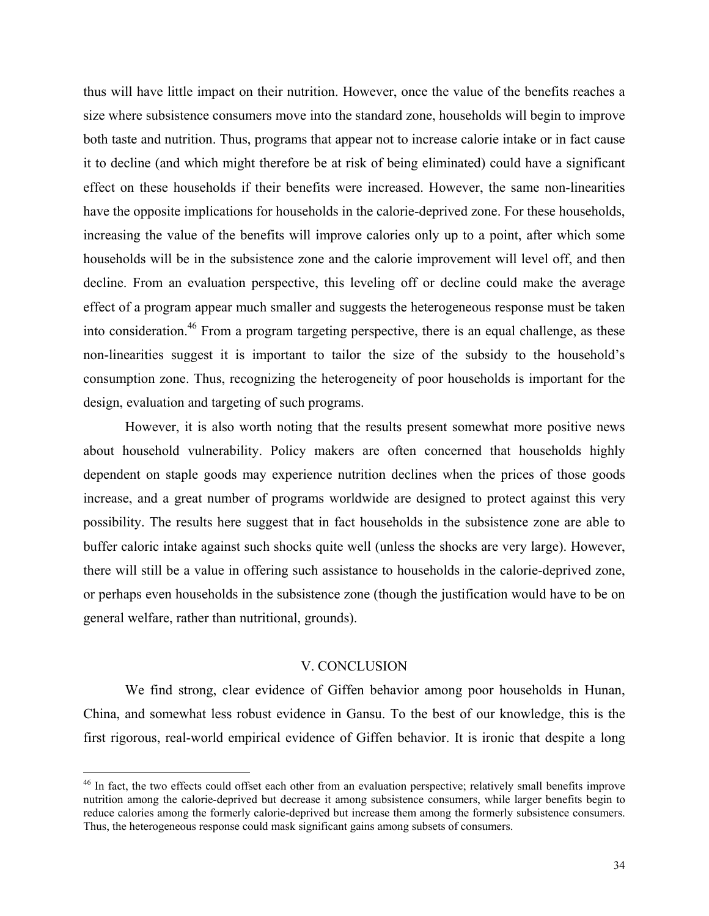thus will have little impact on their nutrition. However, once the value of the benefits reaches a size where subsistence consumers move into the standard zone, households will begin to improve both taste and nutrition. Thus, programs that appear not to increase calorie intake or in fact cause it to decline (and which might therefore be at risk of being eliminated) could have a significant effect on these households if their benefits were increased. However, the same non-linearities have the opposite implications for households in the calorie-deprived zone. For these households, increasing the value of the benefits will improve calories only up to a point, after which some households will be in the subsistence zone and the calorie improvement will level off, and then decline. From an evaluation perspective, this leveling off or decline could make the average effect of a program appear much smaller and suggests the heterogeneous response must be taken into consideration.46 From a program targeting perspective, there is an equal challenge, as these non-linearities suggest it is important to tailor the size of the subsidy to the household's consumption zone. Thus, recognizing the heterogeneity of poor households is important for the design, evaluation and targeting of such programs.

However, it is also worth noting that the results present somewhat more positive news about household vulnerability. Policy makers are often concerned that households highly dependent on staple goods may experience nutrition declines when the prices of those goods increase, and a great number of programs worldwide are designed to protect against this very possibility. The results here suggest that in fact households in the subsistence zone are able to buffer caloric intake against such shocks quite well (unless the shocks are very large). However, there will still be a value in offering such assistance to households in the calorie-deprived zone, or perhaps even households in the subsistence zone (though the justification would have to be on general welfare, rather than nutritional, grounds).

## V. CONCLUSION

We find strong, clear evidence of Giffen behavior among poor households in Hunan, China, and somewhat less robust evidence in Gansu. To the best of our knowledge, this is the first rigorous, real-world empirical evidence of Giffen behavior. It is ironic that despite a long

<u>.</u>

 $46$  In fact, the two effects could offset each other from an evaluation perspective; relatively small benefits improve nutrition among the calorie-deprived but decrease it among subsistence consumers, while larger benefits begin to reduce calories among the formerly calorie-deprived but increase them among the formerly subsistence consumers. Thus, the heterogeneous response could mask significant gains among subsets of consumers.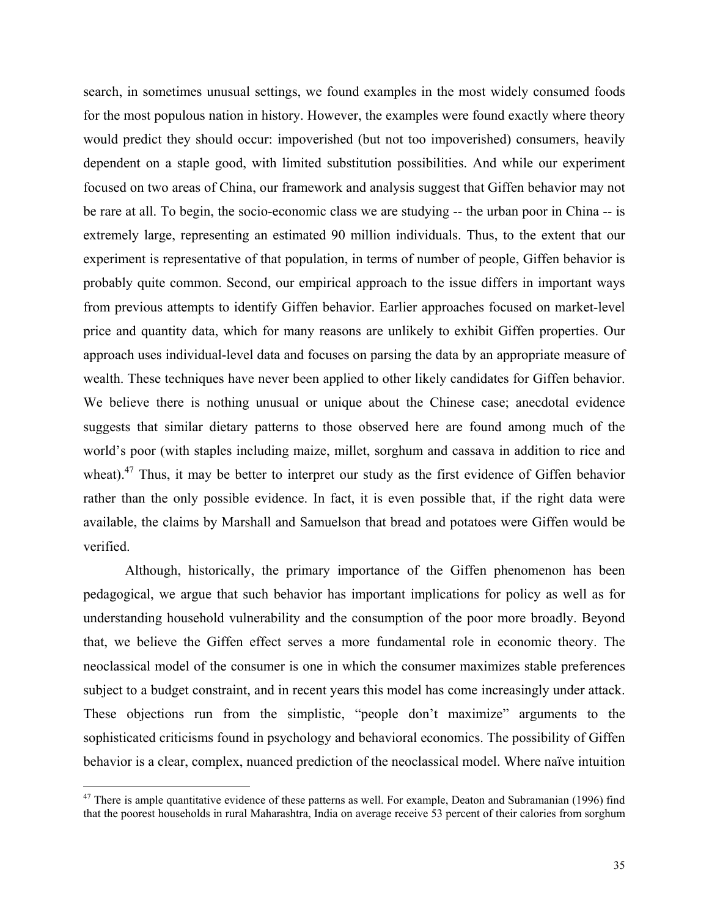search, in sometimes unusual settings, we found examples in the most widely consumed foods for the most populous nation in history. However, the examples were found exactly where theory would predict they should occur: impoverished (but not too impoverished) consumers, heavily dependent on a staple good, with limited substitution possibilities. And while our experiment focused on two areas of China, our framework and analysis suggest that Giffen behavior may not be rare at all. To begin, the socio-economic class we are studying -- the urban poor in China -- is extremely large, representing an estimated 90 million individuals. Thus, to the extent that our experiment is representative of that population, in terms of number of people, Giffen behavior is probably quite common. Second, our empirical approach to the issue differs in important ways from previous attempts to identify Giffen behavior. Earlier approaches focused on market-level price and quantity data, which for many reasons are unlikely to exhibit Giffen properties. Our approach uses individual-level data and focuses on parsing the data by an appropriate measure of wealth. These techniques have never been applied to other likely candidates for Giffen behavior. We believe there is nothing unusual or unique about the Chinese case; anecdotal evidence suggests that similar dietary patterns to those observed here are found among much of the world's poor (with staples including maize, millet, sorghum and cassava in addition to rice and wheat).<sup>47</sup> Thus, it may be better to interpret our study as the first evidence of Giffen behavior rather than the only possible evidence. In fact, it is even possible that, if the right data were available, the claims by Marshall and Samuelson that bread and potatoes were Giffen would be verified.

Although, historically, the primary importance of the Giffen phenomenon has been pedagogical, we argue that such behavior has important implications for policy as well as for understanding household vulnerability and the consumption of the poor more broadly. Beyond that, we believe the Giffen effect serves a more fundamental role in economic theory. The neoclassical model of the consumer is one in which the consumer maximizes stable preferences subject to a budget constraint, and in recent years this model has come increasingly under attack. These objections run from the simplistic, "people don't maximize" arguments to the sophisticated criticisms found in psychology and behavioral economics. The possibility of Giffen behavior is a clear, complex, nuanced prediction of the neoclassical model. Where naïve intuition

 $47$  There is ample quantitative evidence of these patterns as well. For example, Deaton and Subramanian (1996) find that the poorest households in rural Maharashtra, India on average receive 53 percent of their calories from sorghum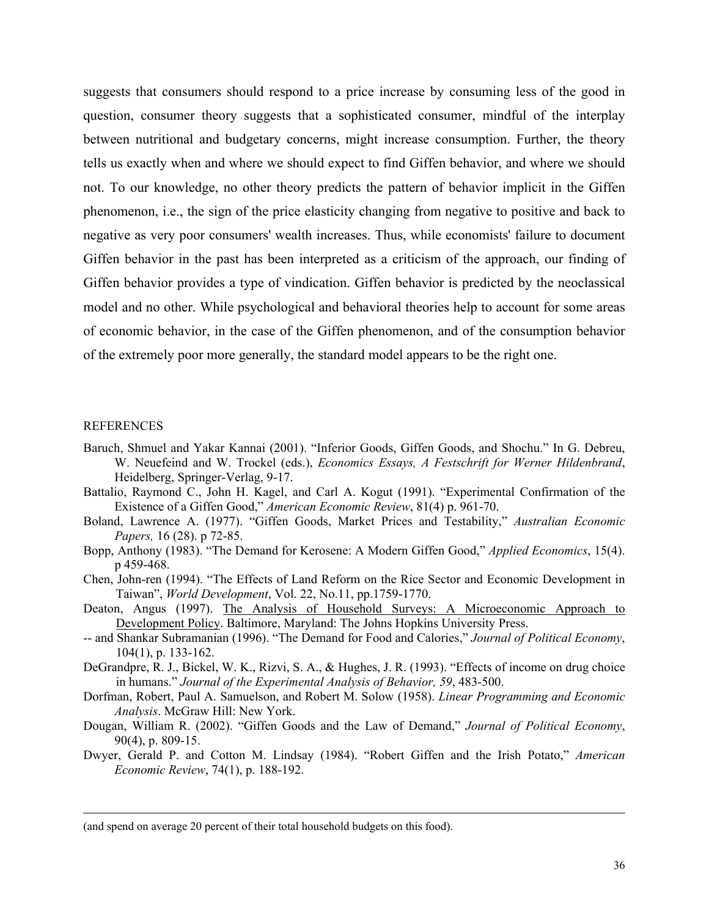suggests that consumers should respond to a price increase by consuming less of the good in question, consumer theory suggests that a sophisticated consumer, mindful of the interplay between nutritional and budgetary concerns, might increase consumption. Further, the theory tells us exactly when and where we should expect to find Giffen behavior, and where we should not. To our knowledge, no other theory predicts the pattern of behavior implicit in the Giffen phenomenon, i.e., the sign of the price elasticity changing from negative to positive and back to negative as very poor consumers' wealth increases. Thus, while economists' failure to document Giffen behavior in the past has been interpreted as a criticism of the approach, our finding of Giffen behavior provides a type of vindication. Giffen behavior is predicted by the neoclassical model and no other. While psychological and behavioral theories help to account for some areas of economic behavior, in the case of the Giffen phenomenon, and of the consumption behavior of the extremely poor more generally, the standard model appears to be the right one.

#### REFERENCES

- Baruch, Shmuel and Yakar Kannai (2001). "Inferior Goods, Giffen Goods, and Shochu." In G. Debreu, W. Neuefeind and W. Trockel (eds.), *Economics Essays, A Festschrift for Werner Hildenbrand*, Heidelberg, Springer-Verlag, 9-17.
- Battalio, Raymond C., John H. Kagel, and Carl A. Kogut (1991). "Experimental Confirmation of the Existence of a Giffen Good," *American Economic Review*, 81(4) p. 961-70.
- Boland, Lawrence A. (1977). "Giffen Goods, Market Prices and Testability," *Australian Economic Papers,* 16 (28). p 72-85.
- Bopp, Anthony (1983). "The Demand for Kerosene: A Modern Giffen Good," *Applied Economics*, 15(4). p 459-468.
- Chen, John-ren (1994). "The Effects of Land Reform on the Rice Sector and Economic Development in Taiwan", *World Development*, Vol. 22, No.11, pp.1759-1770.
- Deaton, Angus (1997). The Analysis of Household Surveys: A Microeconomic Approach to Development Policy. Baltimore, Maryland: The Johns Hopkins University Press.
- -- and Shankar Subramanian (1996). "The Demand for Food and Calories," *Journal of Political Economy*, 104(1), p. 133-162.
- DeGrandpre, R. J., Bickel, W. K., Rizvi, S. A., & Hughes, J. R. (1993). "Effects of income on drug choice in humans." *Journal of the Experimental Analysis of Behavior, 59*, 483-500.
- Dorfman, Robert, Paul A. Samuelson, and Robert M. Solow (1958). *Linear Programming and Economic Analysis*. McGraw Hill: New York.
- Dougan, William R. (2002). "Giffen Goods and the Law of Demand," *Journal of Political Economy*, 90(4), p. 809-15.
- Dwyer, Gerald P. and Cotton M. Lindsay (1984). "Robert Giffen and the Irish Potato," *American Economic Review*, 74(1), p. 188-192.

 <sup>(</sup>and spend on average 20 percent of their total household budgets on this food).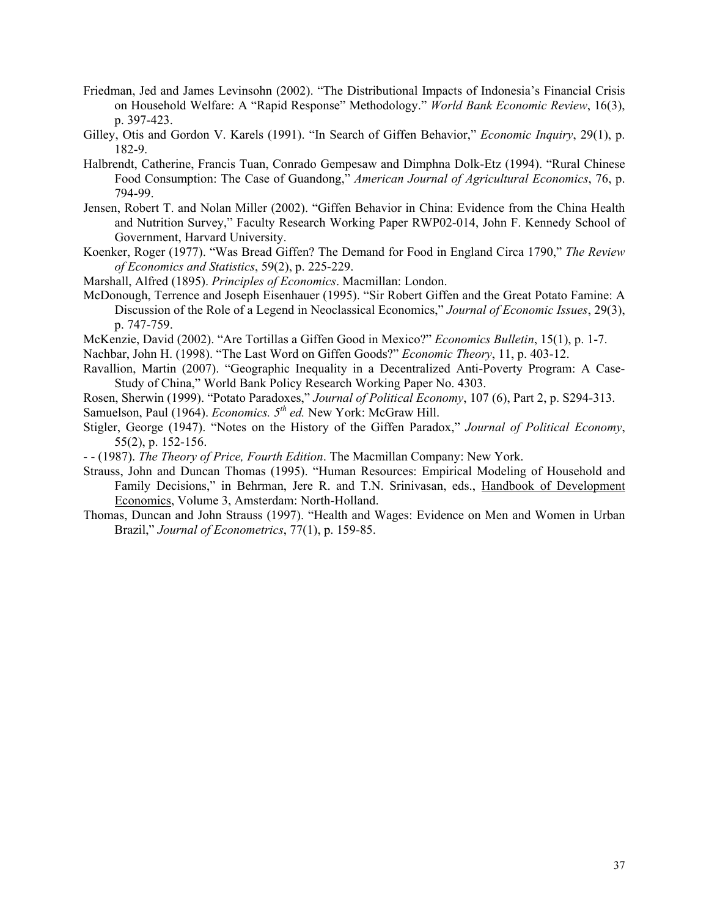- Friedman, Jed and James Levinsohn (2002). "The Distributional Impacts of Indonesia's Financial Crisis on Household Welfare: A "Rapid Response" Methodology." *World Bank Economic Review*, 16(3), p. 397-423.
- Gilley, Otis and Gordon V. Karels (1991). "In Search of Giffen Behavior," *Economic Inquiry*, 29(1), p. 182-9.
- Halbrendt, Catherine, Francis Tuan, Conrado Gempesaw and Dimphna Dolk-Etz (1994). "Rural Chinese Food Consumption: The Case of Guandong," *American Journal of Agricultural Economics*, 76, p. 794-99.
- Jensen, Robert T. and Nolan Miller (2002). "Giffen Behavior in China: Evidence from the China Health and Nutrition Survey," Faculty Research Working Paper RWP02-014, John F. Kennedy School of Government, Harvard University.
- Koenker, Roger (1977). "Was Bread Giffen? The Demand for Food in England Circa 1790," *The Review of Economics and Statistics*, 59(2), p. 225-229.
- Marshall, Alfred (1895). *Principles of Economics*. Macmillan: London.
- McDonough, Terrence and Joseph Eisenhauer (1995). "Sir Robert Giffen and the Great Potato Famine: A Discussion of the Role of a Legend in Neoclassical Economics," *Journal of Economic Issues*, 29(3), p. 747-759.
- McKenzie, David (2002). "Are Tortillas a Giffen Good in Mexico?" *Economics Bulletin*, 15(1), p. 1-7.

Nachbar, John H. (1998). "The Last Word on Giffen Goods?" *Economic Theory*, 11, p. 403-12.

- Ravallion, Martin (2007). "Geographic Inequality in a Decentralized Anti-Poverty Program: A Case-Study of China," World Bank Policy Research Working Paper No. 4303.
- Rosen, Sherwin (1999). "Potato Paradoxes," *Journal of Political Economy*, 107 (6), Part 2, p. S294-313.
- Samuelson, Paul (1964). *Economics. 5th ed.* New York: McGraw Hill.
- Stigler, George (1947). "Notes on the History of the Giffen Paradox," *Journal of Political Economy*, 55(2), p. 152-156.
- - (1987). *The Theory of Price, Fourth Edition*. The Macmillan Company: New York.
- Strauss, John and Duncan Thomas (1995). "Human Resources: Empirical Modeling of Household and Family Decisions," in Behrman, Jere R. and T.N. Srinivasan, eds., Handbook of Development Economics, Volume 3, Amsterdam: North-Holland.
- Thomas, Duncan and John Strauss (1997). "Health and Wages: Evidence on Men and Women in Urban Brazil," *Journal of Econometrics*, 77(1), p. 159-85.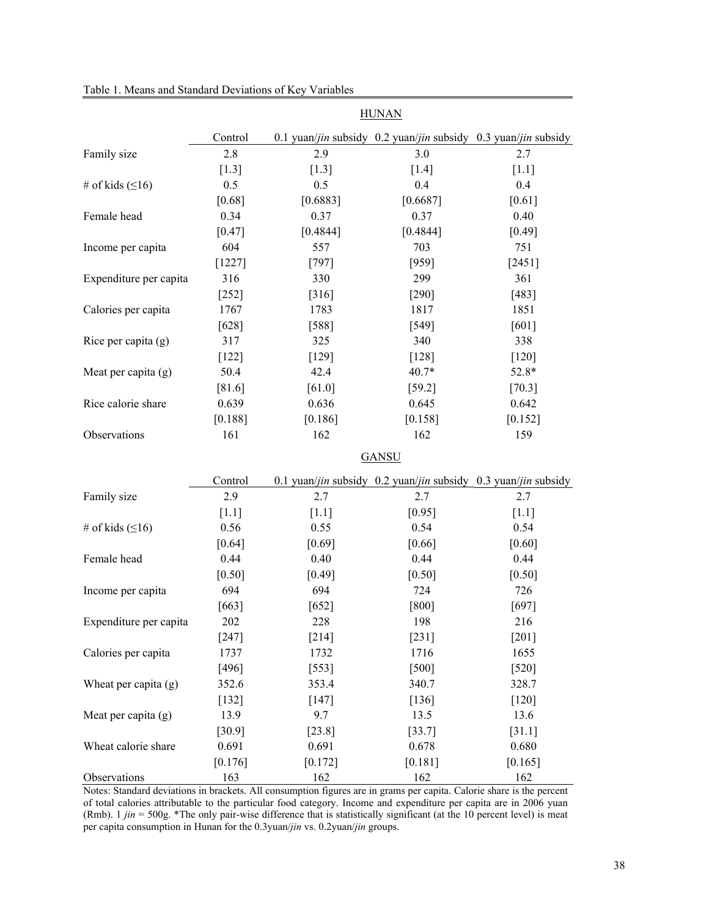|                        | <b>HUNAN</b> |          |                                                                |          |  |  |  |  |  |  |
|------------------------|--------------|----------|----------------------------------------------------------------|----------|--|--|--|--|--|--|
|                        | Control      |          | 0.1 yuan/jin subsidy 0.2 yuan/jin subsidy 0.3 yuan/jin subsidy |          |  |  |  |  |  |  |
| Family size            | 2.8          | 2.9      | 3.0                                                            | 2.7      |  |  |  |  |  |  |
|                        | $[1.3]$      | $[1.3]$  | $[1.4]$                                                        | $[1.1]$  |  |  |  |  |  |  |
| # of kids $( \leq 16)$ | 0.5          | 0.5      | 0.4                                                            | 0.4      |  |  |  |  |  |  |
|                        | $[0.68]$     | [0.6883] | [0.6687]                                                       | $[0.61]$ |  |  |  |  |  |  |
| Female head            | 0.34         | 0.37     | 0.37                                                           | 0.40     |  |  |  |  |  |  |
|                        | $[0.47]$     | [0.4844] | [0.4844]                                                       | $[0.49]$ |  |  |  |  |  |  |
| Income per capita      | 604          | 557      | 703                                                            | 751      |  |  |  |  |  |  |
|                        | $[1227]$     | $[797]$  | $[959]$                                                        | [2451]   |  |  |  |  |  |  |
| Expenditure per capita | 316          | 330      | 299                                                            | 361      |  |  |  |  |  |  |
|                        | $[252]$      | $[316]$  | $[290]$                                                        | $[483]$  |  |  |  |  |  |  |
| Calories per capita    | 1767         | 1783     | 1817                                                           | 1851     |  |  |  |  |  |  |
|                        | $[628]$      | $[588]$  | $[549]$                                                        | $[601]$  |  |  |  |  |  |  |
| Rice per capita (g)    | 317          | 325      | 340                                                            | 338      |  |  |  |  |  |  |
|                        | $[122]$      | $[129]$  | $[128]$                                                        | $[120]$  |  |  |  |  |  |  |
| Meat per capita (g)    | 50.4         | 42.4     | 40.7*                                                          | 52.8*    |  |  |  |  |  |  |
|                        | $[81.6]$     | [61.0]   | [59.2]                                                         | $[70.3]$ |  |  |  |  |  |  |
| Rice calorie share     | 0.639        | 0.636    | 0.645                                                          | 0.642    |  |  |  |  |  |  |
|                        | [0.188]      | [0.186]  | [0.158]                                                        | [0.152]  |  |  |  |  |  |  |
| Observations           | 161          | 162      | 162                                                            | 159      |  |  |  |  |  |  |
|                        |              |          | <b>GANSU</b>                                                   |          |  |  |  |  |  |  |
|                        | Control      |          | 0.1 yuan/jin subsidy 0.2 yuan/jin subsidy 0.3 yuan/jin subsidy |          |  |  |  |  |  |  |
| Family size            | 2.9          | 2.7      | 2.7                                                            | 2.7      |  |  |  |  |  |  |
|                        | $[1.1]$      | $[1.1]$  | [0.95]                                                         | $[1.1]$  |  |  |  |  |  |  |
| # of kids $( \leq 16)$ | 0.56         | 0.55     | 0.54                                                           | 0.54     |  |  |  |  |  |  |
|                        | $[0.64]$     | $[0.69]$ | $[0.66]$                                                       | $[0.60]$ |  |  |  |  |  |  |
| Female head            | 0.44         | 0.40     | 0.44                                                           | 0.44     |  |  |  |  |  |  |
|                        | $[0.50]$     | $[0.49]$ | [0.50]                                                         | [0.50]   |  |  |  |  |  |  |
| Income per capita      | 694          | 694      | 724                                                            | 726      |  |  |  |  |  |  |
|                        | $[663]$      | $[652]$  | [800]                                                          | $[697]$  |  |  |  |  |  |  |
| Expenditure per capita | 202          | 228      | 198                                                            | 216      |  |  |  |  |  |  |
|                        | $[247]$      | $[214]$  | $[231]$                                                        | $[201]$  |  |  |  |  |  |  |
| Calories per capita    | 1737         | 1732     | 1716                                                           | 1655     |  |  |  |  |  |  |
|                        | $[496]$      | $[553]$  | $[500]$                                                        | $[520]$  |  |  |  |  |  |  |
| Wheat per capita $(g)$ | 352.6        | 353.4    | 340.7                                                          | 328.7    |  |  |  |  |  |  |
|                        | $[132]$      | $[147]$  | $[136]$                                                        | $[120]$  |  |  |  |  |  |  |
| Meat per capita (g)    | 13.9         | 9.7      | 13.5                                                           | 13.6     |  |  |  |  |  |  |
|                        | $[30.9]$     | [23.8]   | [33.7]                                                         | $[31.1]$ |  |  |  |  |  |  |
| Wheat calorie share    |              | 0.691    | 0.678                                                          | 0.680    |  |  |  |  |  |  |
|                        | 0.691        |          |                                                                |          |  |  |  |  |  |  |
|                        | [0.176]      | [0.172]  | $[0.181]$                                                      | [0.165]  |  |  |  |  |  |  |

| Table 1. Means and Standard Deviations of Key Variables |  |
|---------------------------------------------------------|--|
|---------------------------------------------------------|--|

Notes: Standard deviations in brackets. All consumption figures are in grams per capita. Calorie share is the percent of total calories attributable to the particular food category. Income and expenditure per capita are in 2006 yuan (Rmb).  $1 \text{ j}in = 500g$ . \*The only pair-wise difference that is statistically significant (at the 10 percent level) is meat per capita consumption in Hunan for the 0.3yuan/*jin* vs. 0.2yuan/*jin* groups.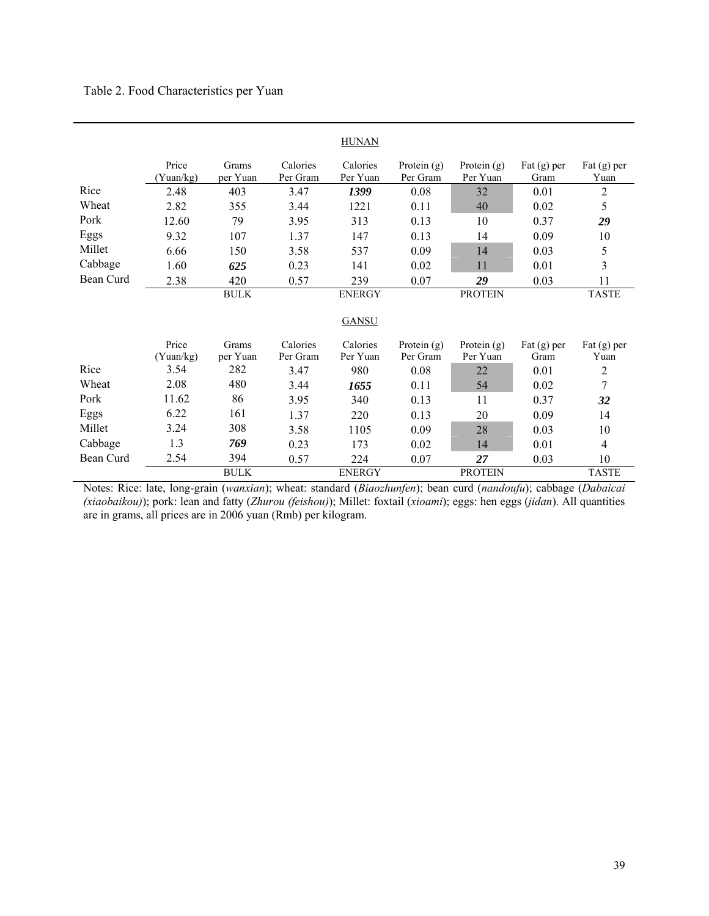# Table 2. Food Characteristics per Yuan

|           |           |             |          | <b>HUNAN</b>  |               |                |               |                |
|-----------|-----------|-------------|----------|---------------|---------------|----------------|---------------|----------------|
|           | Price     | Grams       | Calories | Calories      | Protein $(g)$ | Protein $(g)$  | Fat $(g)$ per | Fat $(g)$ per  |
|           | (Yuan/kg) | per Yuan    | Per Gram | Per Yuan      | Per Gram      | Per Yuan       | Gram          | Yuan           |
| Rice      | 2.48      | 403         | 3.47     | 1399          | 0.08          | 32             | 0.01          | $\overline{2}$ |
| Wheat     | 2.82      | 355         | 3.44     | 1221          | 0.11          | 40             | 0.02          | 5              |
| Pork      | 12.60     | 79          | 3.95     | 313           | 0.13          | 10             | 0.37          | 29             |
| Eggs      | 9.32      | 107         | 1.37     | 147           | 0.13          | 14             | 0.09          | 10             |
| Millet    | 6.66      | 150         | 3.58     | 537           | 0.09          | 14             | 0.03          | 5              |
| Cabbage   | 1.60      | 625         | 0.23     | 141           | 0.02          | 11             | 0.01          | 3              |
| Bean Curd | 2.38      | 420         | 0.57     | 239           | 0.07          | 29             | 0.03          | 11             |
|           |           | <b>BULK</b> |          | <b>ENERGY</b> |               | <b>PROTEIN</b> |               | <b>TASTE</b>   |
|           |           |             |          | <b>GANSU</b>  |               |                |               |                |
|           | Price     | Grams       | Calories | Calories      | Protein $(g)$ | Protein $(g)$  | Fat $(g)$ per | Fat $(g)$ per  |
|           | (Yuan/kg) | per Yuan    | Per Gram | Per Yuan      | Per Gram      | Per Yuan       | Gram          | Yuan           |
| Rice      | 3.54      | 282         | 3.47     | 980           | 0.08          | 22             | 0.01          | $\overline{2}$ |
| Wheat     | 2.08      | 480         | 3.44     | 1655          | 0.11          | 54             | 0.02          | 7              |
| Pork      | 11.62     | 86          | 3.95     | 340           | 0.13          | 11             | 0.37          | 32             |
| Eggs      | 6.22      | 161         | 1.37     | 220           | 0.13          | 20             | 0.09          | 14             |
| Millet    | 3.24      | 308         | 3.58     | 1105          | 0.09          | 28             | 0.03          | 10             |
| Cabbage   | 1.3       | 769         | 0.23     | 173           | 0.02          | 14             | 0.01          | $\overline{4}$ |
| Bean Curd | 2.54      | 394         | 0.57     | 224           | 0.07          | 27             | 0.03          | 10             |
|           |           | <b>BULK</b> |          | <b>ENERGY</b> |               | <b>PROTEIN</b> |               | <b>TASTE</b>   |

Notes: Rice: late, long-grain (*wanxian*); wheat: standard (*Biaozhunfen*); bean curd (*nandoufu*); cabbage (*Dabaicai (xiaobaikou)*); pork: lean and fatty (*Zhurou (feishou)*); Millet: foxtail (*xioami*); eggs: hen eggs (*jidan*). All quantities are in grams, all prices are in 2006 yuan (Rmb) per kilogram.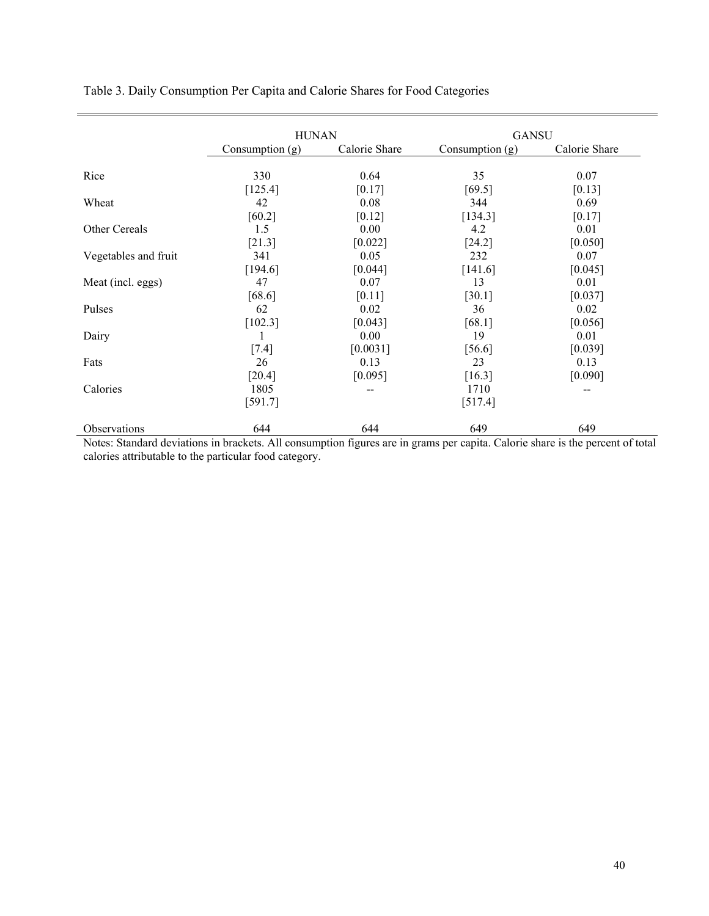|                      | <b>HUNAN</b>      |               | <b>GANSU</b>      |               |
|----------------------|-------------------|---------------|-------------------|---------------|
|                      | Consumption $(g)$ | Calorie Share | Consumption $(g)$ | Calorie Share |
|                      |                   |               |                   |               |
| Rice                 | 330               | 0.64          | 35                | 0.07          |
|                      | [125.4]           | [0.17]        | [69.5]            | [0.13]        |
| Wheat                | 42                | 0.08          | 344               | 0.69          |
|                      | $[60.2]$          | [0.12]        | [134.3]           | [0.17]        |
| Other Cereals        | 1.5               | 0.00          | 4.2               | 0.01          |
|                      | [21.3]            | [0.022]       | $[24.2]$          | [0.050]       |
| Vegetables and fruit | 341               | 0.05          | 232               | 0.07          |
|                      | [194.6]           | [0.044]       | [141.6]           | [0.045]       |
| Meat (incl. eggs)    | 47                | 0.07          | 13                | 0.01          |
|                      | [68.6]            | [0.11]        | [30.1]            | [0.037]       |
| Pulses               | 62                | 0.02          | 36                | 0.02          |
|                      | [102.3]           | [0.043]       | [68.1]            | [0.056]       |
| Dairy                |                   | 0.00          | 19                | 0.01          |
|                      | $[7.4]$           | [0.0031]      | $[56.6]$          | [0.039]       |
| Fats                 | 26                | 0.13          | 23                | 0.13          |
|                      | $[20.4]$          | [0.095]       | [16.3]            | [0.090]       |
| Calories             | 1805              |               | 1710              | $-$           |
|                      | [591.7]           |               | [517.4]           |               |
|                      |                   |               |                   |               |
| Observations         | 644               | 644           | 649               | 649           |

Table 3. Daily Consumption Per Capita and Calorie Shares for Food Categories

Notes: Standard deviations in brackets. All consumption figures are in grams per capita. Calorie share is the percent of total calories attributable to the particular food category.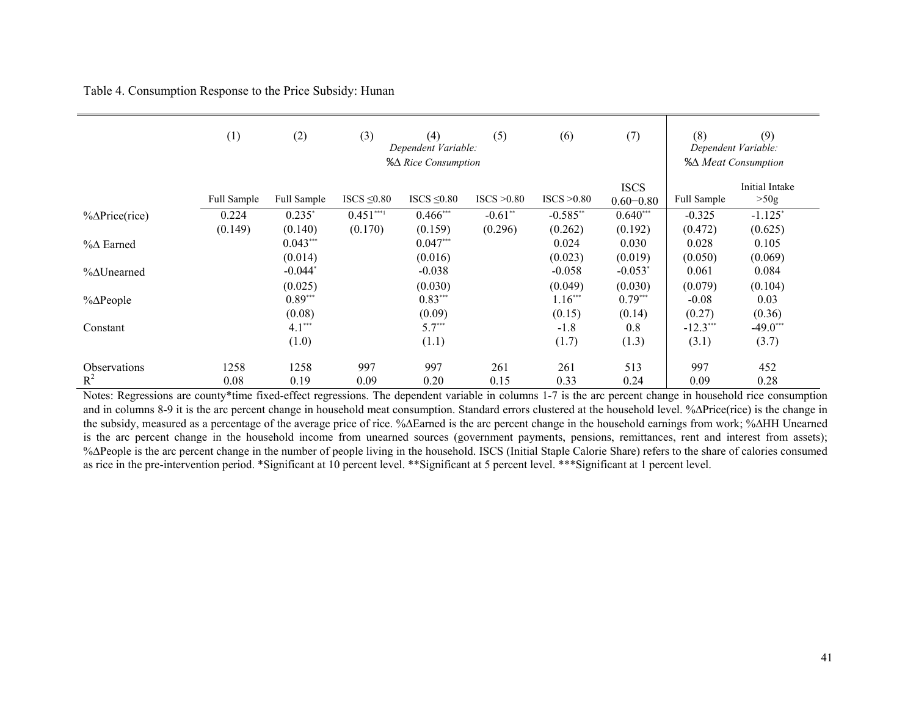Table 4. Consumption Response to the Price Subsidy: Hunan

|                         | (1)         | (2)                            | (3)              | (4)<br>Dependent Variable:<br>$\&\Delta$ Rice Consumption | (5)         | (6)                            | (7)                            | (8)<br>(9)<br>Dependent Variable:<br>$\&\Delta$ Meat Consumption |                           |  |
|-------------------------|-------------|--------------------------------|------------------|-----------------------------------------------------------|-------------|--------------------------------|--------------------------------|------------------------------------------------------------------|---------------------------|--|
|                         | Full Sample | <b>Full Sample</b>             | ISCS $\leq 0.80$ | ISCS $\leq 0.80$                                          | ISCS > 0.80 | ISCS > 0.80                    | <b>ISCS</b><br>$0.60 - 0.80$   | Full Sample                                                      | Initial Intake<br>>50g    |  |
| $\%$ APrice(rice)       | 0.224       | $0.235*$                       | $0.451***$       | $0.466***$                                                | $-0.61**$   | $-0.585$ **                    | $0.640***$                     | $-0.325$                                                         | $-1.125^*$                |  |
|                         | (0.149)     | (0.140)                        | (0.170)          | (0.159)                                                   | (0.296)     | (0.262)                        | (0.192)                        | (0.472)                                                          | (0.625)                   |  |
| $\%$ $\triangle$ Earned |             | $0.043***$                     |                  | $0.047***$                                                |             | 0.024                          | 0.030                          | 0.028                                                            | 0.105                     |  |
|                         |             | (0.014)                        |                  | (0.016)                                                   |             | (0.023)                        | (0.019)                        | (0.050)                                                          | (0.069)                   |  |
| $\%$ $\Delta$ Unearned  |             | $-0.044*$                      |                  | $-0.038$                                                  |             | $-0.058$                       | $-0.053*$                      | 0.061                                                            | 0.084                     |  |
| $\%$ $\triangle$ People |             | (0.025)<br>$0.89***$<br>(0.08) |                  | (0.030)<br>$0.83***$<br>(0.09)                            |             | (0.049)<br>$1.16***$<br>(0.15) | (0.030)<br>$0.79***$<br>(0.14) | (0.079)<br>$-0.08$<br>(0.27)                                     | (0.104)<br>0.03<br>(0.36) |  |
| Constant                |             | $4.1***$                       |                  | $5.7***$                                                  |             | $-1.8$                         | 0.8                            | $-12.3***$                                                       | $-49.0***$                |  |
|                         |             | (1.0)                          |                  | (1.1)                                                     |             | (1.7)                          | (1.3)                          | (3.1)                                                            | (3.7)                     |  |
| <b>Observations</b>     | 1258        | 1258                           | 997              | 997                                                       | 261         | 261                            | 513                            | 997                                                              | 452                       |  |
| $R^2$                   | 0.08        | 0.19                           | 0.09             | 0.20                                                      | 0.15        | 0.33                           | 0.24                           | 0.09                                                             | 0.28                      |  |

Notes: Regressions are county\*time fixed-effect regressions. The dependent variable in columns 1-7 is the arc percent change in household rice consumption and in columns 8-9 it is the arc percent change in household meat consumption. Standard errors clustered at the household level. %ΔPrice(rice) is the change in the subsidy, measured as a percentage of the average price of rice. %ΔEarned is the arc percent change in the household earnings from work; %ΔHH Unearned is the arc percent change in the household income from unearned sources (government payments, pensions, remittances, rent and interest from assets); %ΔPeople is the arc percent change in the number of people living in the household. ISCS (Initial Staple Calorie Share) refers to the share of calories consumed as rice in the pre-intervention period. \*Significant at 10 percent level. \*\*Significant at 5 percent level. \*\*\*Significant at 1 percent level.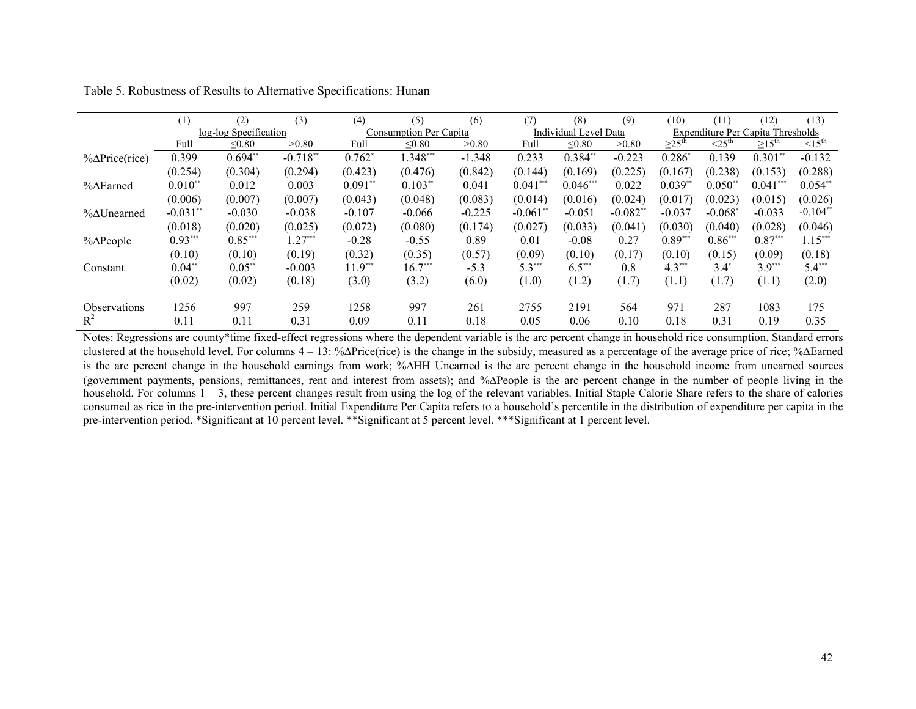|                        | (1)         | (2)                   | (3)        | (4)       | (5)                           | (6)      | (7)         | (8)                   | (9)         | (10)                    | (11)                 | (12)                              | (13)                  |
|------------------------|-------------|-----------------------|------------|-----------|-------------------------------|----------|-------------|-----------------------|-------------|-------------------------|----------------------|-----------------------------------|-----------------------|
|                        |             | log-log Specification |            |           | <b>Consumption Per Capita</b> |          |             | Individual Level Data |             |                         |                      | Expenditure Per Capita Thresholds |                       |
|                        | Full        | $\leq 0.80$           | >0.80      | Full      | $\leq 0.80$                   | >0.80    | Full        | $\leq 0.80$           | >0.80       | $\geq$ 25 <sup>th</sup> | $<$ 25 <sup>th</sup> | $\geq$ 15 <sup>th</sup>           | $\leq 15^{\text{th}}$ |
| $\%$ APrice(rice)      | 0.399       | $0.694**$             | $-0.718**$ | $0.762*$  | 1.348***                      | $-1.348$ | 0.233       | $0.384**$             | $-0.223$    | $0.286*$                | 0.139                | $0.301**$                         | $-0.132$              |
|                        | (0.254)     | (0.304)               | (0.294)    | (0.423)   | (0.476)                       | (0.842)  | (0.144)     | (0.169)               | (0.225)     | (0.167)                 | (0.238)              | (0.153)                           | (0.288)               |
| %∆Earned               | $0.010**$   | 0.012                 | 0.003      | $0.091**$ | $0.103**$                     | 0.041    | $0.041***$  | $0.046***$            | 0.022       | $0.039**$               | $0.050**$            | $0.041***$                        | $0.054$ **            |
|                        | (0.006)     | (0.007)               | (0.007)    | (0.043)   | (0.048)                       | (0.083)  | (0.014)     | (0.016)               | (0.024)     | (0.017)                 | (0.023)              | (0.015)                           | (0.026)               |
| $\%$ $\Delta$ Unearned | $-0.031$ ** | $-0.030$              | $-0.038$   | $-0.107$  | $-0.066$                      | $-0.225$ | $-0.061$ ** | $-0.051$              | $-0.082$ ** | $-0.037$                | $-0.068*$            | $-0.033$                          | $-0.104$ *            |
|                        | (0.018)     | (0.020)               | (0.025)    | (0.072)   | (0.080)                       | (0.174)  | (0.027)     | (0.033)               | (0.041)     | (0.030)                 | (0.040)              | (0.028)                           | (0.046)               |
| $\%$ APeople           | $0.93***$   | $0.85***$             | $1.27***$  | $-0.28$   | $-0.55$                       | 0.89     | 0.01        | $-0.08$               | 0.27        | $0.89***$               | $0.86***$            | $0.87***$                         | $1.15***$             |
|                        | (0.10)      | (0.10)                | (0.19)     | (0.32)    | (0.35)                        | (0.57)   | (0.09)      | (0.10)                | (0.17)      | (0.10)                  | (0.15)               | (0.09)                            | (0.18)                |
| Constant               | $0.04**$    | $0.05^{**}$           | $-0.003$   | $11.9***$ | $16.7***$                     | $-5.3$   | $5.3***$    | $6.5***$              | 0.8         | $4.3***$                | $3.4^{\circ}$        | $3.9***$                          | $5.4***$              |
|                        | (0.02)      | (0.02)                | (0.18)     | (3.0)     | (3.2)                         | (6.0)    | (1.0)       | (1.2)                 | (1.7)       | (1.1)                   | (1.7)                | (1.1)                             | (2.0)                 |
| <b>Observations</b>    | 1256        | 997                   | 259        | 1258      | 997                           | 261      | 2755        | 2191                  | 564         | 971                     | 287                  | 1083                              | 175                   |
| $R^2$                  | 0.11        | 0.11                  | 0.31       | 0.09      | 0.11                          | 0.18     | 0.05        | 0.06                  | 0.10        | 0.18                    | 0.31                 | 0.19                              | 0.35                  |

Table 5. Robustness of Results to Alternative Specifications: Hunan

Notes: Regressions are county\*time fixed-effect regressions where the dependent variable is the arc percent change in household rice consumption. Standard errors clustered at the household level. For columns 4 – 13: % ΔPrice(rice) is the change in the subsidy, measured as a percentage of the average price of rice; % ΔEarned is the arc percent change in the household earnings from work; % ΔHH Unearned is the arc percent change in the household income from unearned sources (government payments, pensions, remittances, rent and interest from assets); and % ΔPeople is the arc percent change in the number of people living in the household. For columns  $1 - 3$ , these percent changes result from using the log of the relevant variables. Initial Staple Calorie Share refers to the share of calories consumed as rice in the pre-intervention period. Initial Expenditure Per Capita refers to a household's percentile in the distribution of expenditure per capita in the pre-intervention period. \*Significant at 10 percent level. \*\*Significant at 5 percent level. \*\*\*Significant at 1 percent level.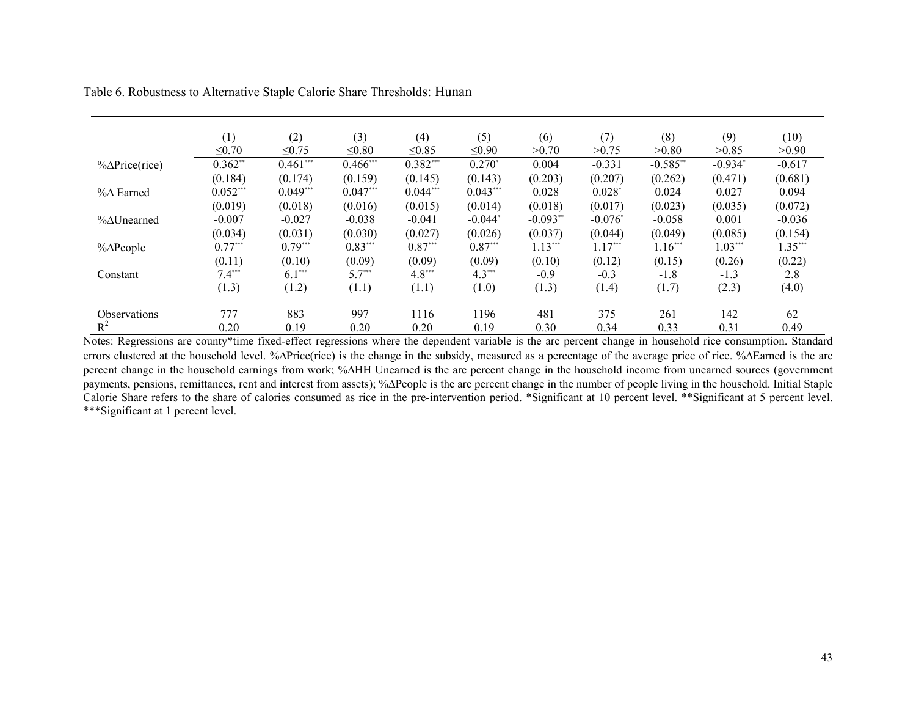|                         | (1)<br>$\leq 0.70$ | (2)<br>$\leq 0.75$ | (3)<br>$\leq 0.80$ | (4)<br>$≤0.85$ | (5)<br>$\leq 0.90$ | (6)<br>>0.70 | (7)<br>>0.75 | (8)<br>>0.80 | (9)<br>>0.85 | (10)<br>>0.90 |
|-------------------------|--------------------|--------------------|--------------------|----------------|--------------------|--------------|--------------|--------------|--------------|---------------|
| $%$ APrice(rice)        | $0.362**$          | $0.461***$         | $0.466***$         | $0.382***$     | $0.270*$           | 0.004        | $-0.331$     | $-0.585**$   | $-0.934*$    | $-0.617$      |
|                         | (0.184)            | (0.174)            | (0.159)            | (0.145)        | (0.143)            | (0.203)      | (0.207)      | (0.262)      | (0.471)      | (0.681)       |
| $\%$ $\Delta$ Earned    | $0.052***$         | $0.049***$         | $0.047***$         | $0.044***$     | $0.043***$         | 0.028        | $0.028*$     | 0.024        | 0.027        | 0.094         |
|                         | (0.019)            | (0.018)            | (0.016)            | (0.015)        | (0.014)            | (0.018)      | (0.017)      | (0.023)      | (0.035)      | (0.072)       |
| %∆Unearned              | $-0.007$           | $-0.027$           | $-0.038$           | $-0.041$       | $-0.044*$          | $-0.093**$   | $-0.076^*$   | $-0.058$     | 0.001        | $-0.036$      |
|                         | (0.034)            | (0.031)            | (0.030)            | (0.027)        | (0.026)            | (0.037)      | (0.044)      | (0.049)      | (0.085)      | (0.154)       |
| $\%$ $\triangle$ People | $0.77***$          | $0.79***$          | $0.83***$          | $0.87***$      | $0.87***$          | $1.13***$    | $1.17***$    | $1.16***$    | $1.03***$    | $1.35***$     |
|                         | (0.11)             | (0.10)             | (0.09)             | (0.09)         | (0.09)             | (0.10)       | (0.12)       | (0.15)       | (0.26)       | (0.22)        |
| Constant                | $7.4***$           | $6.1***$           | $5.7***$           | $4.8***$       | $4.3***$           | $-0.9$       | $-0.3$       | $-1.8$       | $-1.3$       | 2.8           |
|                         | (1.3)              | (1.2)              | (1.1)              | (1.1)          | (1.0)              | (1.3)        | (1.4)        | (1.7)        | (2.3)        | (4.0)         |
| <b>Observations</b>     | 777                | 883                | 997                | 1116           | 1196               | 481          | 375          | 261          | 142          | 62            |
| $R^2$                   | 0.20               | 0.19               | 0.20               | 0.20           | 0.19               | 0.30         | 0.34         | 0.33         | 0.31         | 0.49          |

Table 6. Robustness to Alternative Staple Calorie Share Thresholds: Hunan

Notes: Regressions are county\*time fixed-effect regressions where the dependent variable is the arc percent change in household rice consumption. Standard errors clustered at the household level. %ΔPrice(rice) is the change in the subsidy, measured as a percentage of the average price of rice. %ΔEarned is the arc percent change in the household earnings from work; %ΔHH Unearned is the arc percent change in the household income from unearned sources (government payments, pensions, remittances, rent and interest from assets); %ΔPeople is the arc percent change in the number of people living in the household. Initial Staple Calorie Share refers to the share of calories consumed as rice in the pre-intervention period. \*Significant at 10 percent level. \*\*Significant at 5 percent level. \*\*\*Significant at 1 percent level.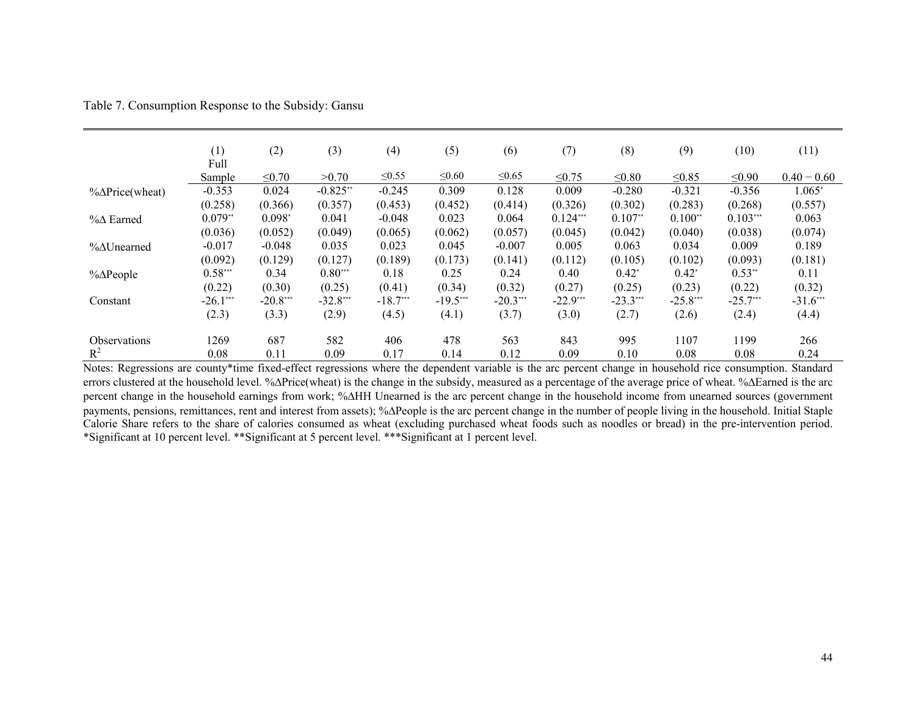|                         | (1)<br>Full | (2)         | (3)         | (4)         | (5)         | (6)         | (7)         | (8)         | (9)        | (10)        | (11)          |
|-------------------------|-------------|-------------|-------------|-------------|-------------|-------------|-------------|-------------|------------|-------------|---------------|
|                         | Sample      | $\leq 0.70$ | >0.70       | $\leq 0.55$ | $\leq 0.60$ | $\leq 0.65$ | $\leq 0.75$ | $\leq 0.80$ | $≤0.85$    | $\leq 0.90$ | $0.40 - 0.60$ |
| $\%$ APrice(wheat)      | $-0.353$    | 0.024       | $-0.825$ ** | $-0.245$    | 0.309       | 0.128       | 0.009       | $-0.280$    | $-0.321$   | $-0.356$    | $1.065*$      |
|                         | (0.258)     | (0.366)     | (0.357)     | (0.453)     | (0.452)     | (0.414)     | (0.326)     | (0.302)     | (0.283)    | (0.268)     | (0.557)       |
| $\%$ $\Delta$ Earned    | $0.079**$   | $0.098*$    | 0.041       | $-0.048$    | 0.023       | 0.064       | $0.124***$  | $0.107**$   | $0.100**$  | $0.103***$  | 0.063         |
|                         | (0.036)     | (0.052)     | (0.049)     | (0.065)     | (0.062)     | (0.057)     | (0.045)     | (0.042)     | (0.040)    | (0.038)     | (0.074)       |
| %∆Unearned              | $-0.017$    | $-0.048$    | 0.035       | 0.023       | 0.045       | $-0.007$    | 0.005       | 0.063       | 0.034      | 0.009       | 0.189         |
|                         | (0.092)     | (0.129)     | (0.127)     | (0.189)     | (0.173)     | (0.141)     | (0.112)     | (0.105)     | (0.102)    | (0.093)     | (0.181)       |
| $\%$ $\triangle$ People | $0.58***$   | 0.34        | $0.80***$   | 0.18        | 0.25        | 0.24        | 0.40        | $0.42*$     | $0.42*$    | $0.53$ **   | 0.11          |
|                         | (0.22)      | (0.30)      | (0.25)      | (0.41)      | (0.34)      | (0.32)      | (0.27)      | (0.25)      | (0.23)     | (0.22)      | (0.32)        |
| Constant                | $-26.1***$  | $-20.8***$  | $-32.8***$  | $-18.7***$  | $-19.5***$  | $-20.3***$  | $-22.9***$  | $-23.3***$  | $-25.8***$ | $-25.7***$  | $-31.6***$    |
|                         | (2.3)       | (3.3)       | (2.9)       | (4.5)       | (4.1)       | (3.7)       | (3.0)       | (2.7)       | (2.6)      | (2.4)       | (4.4)         |
| <b>Observations</b>     | 1269        | 687         | 582         | 406         | 478         | 563         | 843         | 995         | 1107       | 1199        | 266           |
| $R^2$                   | 0.08        | 0.11        | 0.09        | 0.17        | 0.14        | 0.12        | 0.09        | 0.10        | 0.08       | 0.08        | 0.24          |

Table 7. Consumption Response to the Subsidy: Gansu

Notes: Regressions are county\*time fixed-effect regressions where the dependent variable is the arc percent change in household rice consumption. Standard errors clustered at the household level. %ΔPrice(wheat) is the change in the subsidy, measured as a percentage of the average price of wheat. %ΔEarned is the arc percent change in the household earnings from work; %ΔHH Unearned is the arc percent change in the household income from unearned sources (government payments, pensions, remittances, rent and interest from assets); %ΔPeople is the arc percent change in the number of people living in the household. Initial Staple Calorie Share refers to the share of calories consumed as wheat (excluding purchased wheat foods such as noodles or bread) in the pre-intervention period. \*Significant at 10 percent level. \*\*Significant at 5 percent level. \*\*\*Significant at 1 percent level.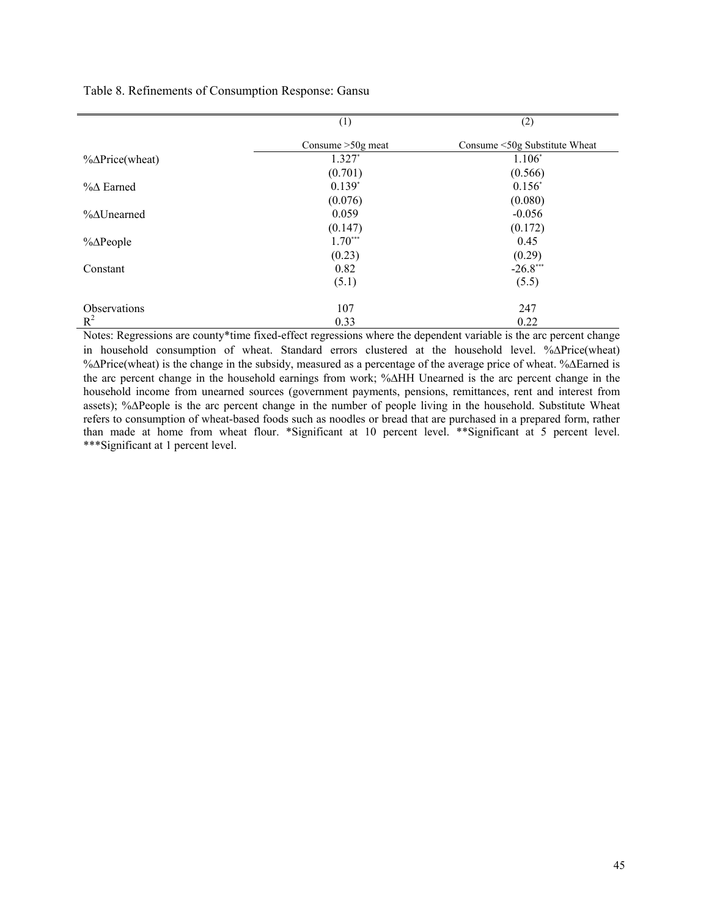|                         | (1)                 | (2)                           |  |  |  |  |
|-------------------------|---------------------|-------------------------------|--|--|--|--|
|                         | Consume $>50g$ meat | Consume <50g Substitute Wheat |  |  |  |  |
| $\%$ APrice(wheat)      | 1.327*              | 1.106*                        |  |  |  |  |
|                         | (0.701)             | (0.566)                       |  |  |  |  |
| $\%$ $\Delta$ Earned    | $0.139*$            | $0.156*$                      |  |  |  |  |
|                         | (0.076)             | (0.080)                       |  |  |  |  |
| %∆Unearned              | 0.059               | $-0.056$                      |  |  |  |  |
|                         | (0.147)             | (0.172)                       |  |  |  |  |
| $\%$ $\triangle$ People | $1.70***$           | 0.45                          |  |  |  |  |
|                         | (0.23)              | (0.29)                        |  |  |  |  |
| Constant                | 0.82                | $-26.8***$                    |  |  |  |  |
|                         | (5.1)               | (5.5)                         |  |  |  |  |
| <b>Observations</b>     | 107                 | 247                           |  |  |  |  |
| $R^2$                   | 0.33                | 0.22                          |  |  |  |  |

Table 8. Refinements of Consumption Response: Gansu

Notes: Regressions are county\*time fixed-effect regressions where the dependent variable is the arc percent change in household consumption of wheat. Standard errors clustered at the household level. %ΔPrice(wheat) %ΔPrice(wheat) is the change in the subsidy, measured as a percentage of the average price of wheat. %ΔEarned is the arc percent change in the household earnings from work; %ΔHH Unearned is the arc percent change in the household income from unearned sources (government payments, pensions, remittances, rent and interest from assets); %ΔPeople is the arc percent change in the number of people living in the household. Substitute Wheat refers to consumption of wheat-based foods such as noodles or bread that are purchased in a prepared form, rather than made at home from wheat flour. \*Significant at 10 percent level. \*\*Significant at 5 percent level. \*\*\*Significant at 1 percent level.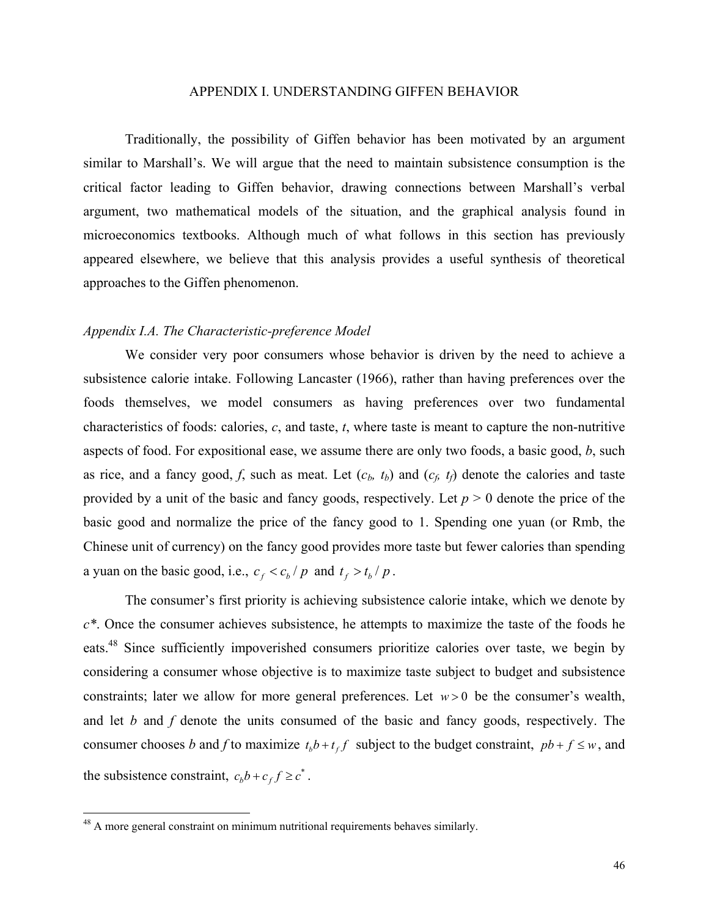#### APPENDIX I. UNDERSTANDING GIFFEN BEHAVIOR

Traditionally, the possibility of Giffen behavior has been motivated by an argument similar to Marshall's. We will argue that the need to maintain subsistence consumption is the critical factor leading to Giffen behavior, drawing connections between Marshall's verbal argument, two mathematical models of the situation, and the graphical analysis found in microeconomics textbooks. Although much of what follows in this section has previously appeared elsewhere, we believe that this analysis provides a useful synthesis of theoretical approaches to the Giffen phenomenon.

## *Appendix I.A. The Characteristic-preference Model*

We consider very poor consumers whose behavior is driven by the need to achieve a subsistence calorie intake. Following Lancaster (1966), rather than having preferences over the foods themselves, we model consumers as having preferences over two fundamental characteristics of foods: calories, *c*, and taste, *t*, where taste is meant to capture the non-nutritive aspects of food. For expositional ease, we assume there are only two foods, a basic good, *b*, such as rice, and a fancy good, *f*, such as meat. Let  $(c_b, t_b)$  and  $(c_f, t_f)$  denote the calories and taste provided by a unit of the basic and fancy goods, respectively. Let *p* > 0 denote the price of the basic good and normalize the price of the fancy good to 1. Spending one yuan (or Rmb, the Chinese unit of currency) on the fancy good provides more taste but fewer calories than spending a yuan on the basic good, i.e.,  $c_f < c_h / p$  and  $t_f > t_h / p$ .

The consumer's first priority is achieving subsistence calorie intake, which we denote by *c\**. Once the consumer achieves subsistence, he attempts to maximize the taste of the foods he eats.<sup>48</sup> Since sufficiently impoverished consumers prioritize calories over taste, we begin by considering a consumer whose objective is to maximize taste subject to budget and subsistence constraints; later we allow for more general preferences. Let  $w > 0$  be the consumer's wealth, and let *b* and *f* denote the units consumed of the basic and fancy goods, respectively. The consumer chooses *b* and *f* to maximize  $t_b b + t_f f$  subject to the budget constraint,  $pb + f \leq w$ , and the subsistence constraint,  $c_b b + c_f f \ge c^*$ .

 $48$  A more general constraint on minimum nutritional requirements behaves similarly.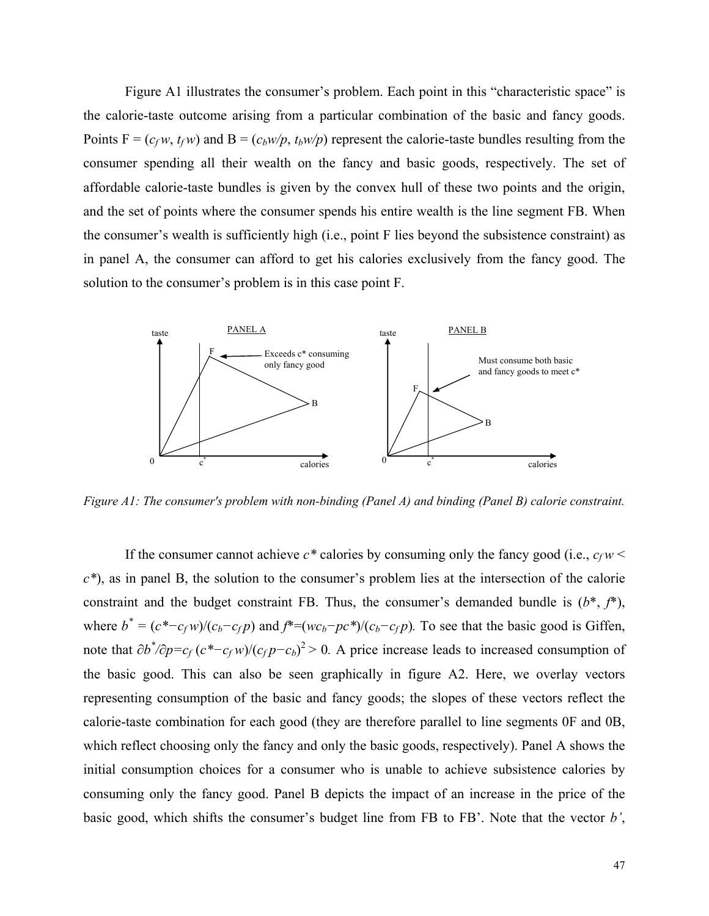Figure A1 illustrates the consumer's problem. Each point in this "characteristic space" is the calorie-taste outcome arising from a particular combination of the basic and fancy goods. Points  $F = (c_f w, t_f w)$  and  $B = (c_b w/p, t_b w/p)$  represent the calorie-taste bundles resulting from the consumer spending all their wealth on the fancy and basic goods, respectively. The set of affordable calorie-taste bundles is given by the convex hull of these two points and the origin, and the set of points where the consumer spends his entire wealth is the line segment FB. When the consumer's wealth is sufficiently high (i.e., point F lies beyond the subsistence constraint) as in panel A, the consumer can afford to get his calories exclusively from the fancy good. The solution to the consumer's problem is in this case point F.



*Figure A1: The consumer's problem with non-binding (Panel A) and binding (Panel B) calorie constraint.* 

If the consumer cannot achieve  $c^*$  calories by consuming only the fancy good (i.e.,  $c_f w$  < *c\**), as in panel B, the solution to the consumer's problem lies at the intersection of the calorie constraint and the budget constraint FB. Thus, the consumer's demanded bundle is  $(b^*, f^*)$ , where  $b^* = (c^* - c_f w)/(c_b - c_f p)$  and  $f^* = (wc_b - pc^*)/(c_b - c_f p)$ . To see that the basic good is Giffen, note that  $\partial b^*/\partial p = c_f (c^*-c_f w)/(c_f p - c_b)^2 > 0$ . A price increase leads to increased consumption of the basic good. This can also be seen graphically in figure A2. Here, we overlay vectors representing consumption of the basic and fancy goods; the slopes of these vectors reflect the calorie-taste combination for each good (they are therefore parallel to line segments 0F and 0B, which reflect choosing only the fancy and only the basic goods, respectively). Panel A shows the initial consumption choices for a consumer who is unable to achieve subsistence calories by consuming only the fancy good. Panel B depicts the impact of an increase in the price of the basic good, which shifts the consumer's budget line from FB to FB'. Note that the vector *b'*,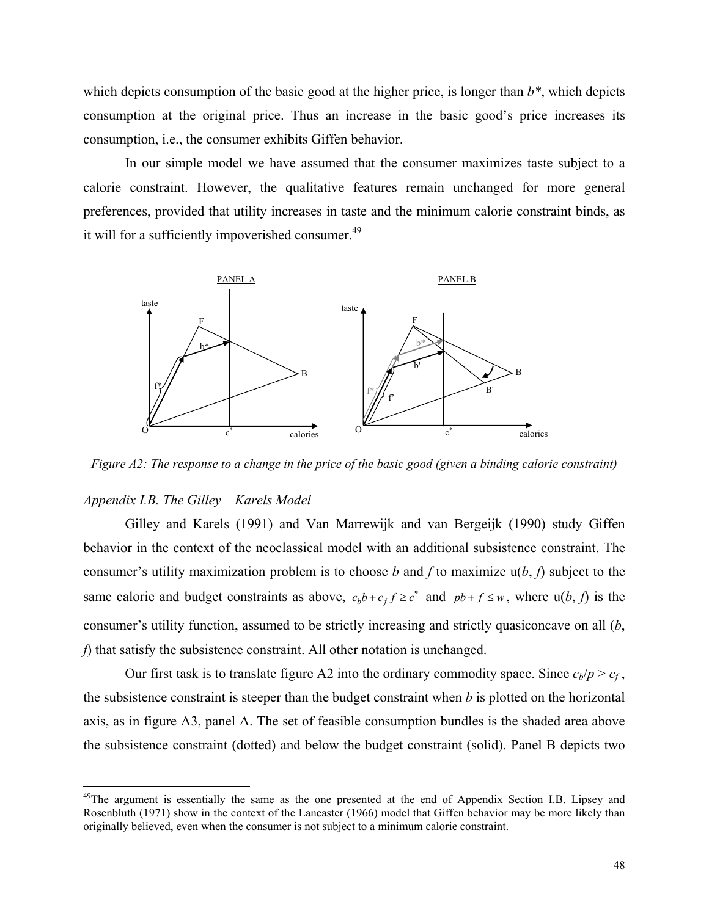which depicts consumption of the basic good at the higher price, is longer than *b\**, which depicts consumption at the original price. Thus an increase in the basic good's price increases its consumption, i.e., the consumer exhibits Giffen behavior.

In our simple model we have assumed that the consumer maximizes taste subject to a calorie constraint. However, the qualitative features remain unchanged for more general preferences, provided that utility increases in taste and the minimum calorie constraint binds, as it will for a sufficiently impoverished consumer.<sup>49</sup>



*Figure A2: The response to a change in the price of the basic good (given a binding calorie constraint)* 

## *Appendix I.B. The Gilley – Karels Model*

 $\overline{a}$ 

 Gilley and Karels (1991) and Van Marrewijk and van Bergeijk (1990) study Giffen behavior in the context of the neoclassical model with an additional subsistence constraint. The consumer's utility maximization problem is to choose *b* and *f* to maximize  $u(b, f)$  subject to the same calorie and budget constraints as above,  $c_b b + c_f f \ge c^*$  and  $pb + f \le w$ , where  $u(b, f)$  is the consumer's utility function, assumed to be strictly increasing and strictly quasiconcave on all (*b*, *f*) that satisfy the subsistence constraint. All other notation is unchanged.

Our first task is to translate figure A2 into the ordinary commodity space. Since  $c_b/p > c_f$ , the subsistence constraint is steeper than the budget constraint when *b* is plotted on the horizontal axis, as in figure A3, panel A. The set of feasible consumption bundles is the shaded area above the subsistence constraint (dotted) and below the budget constraint (solid). Panel B depicts two

<sup>&</sup>lt;sup>49</sup>The argument is essentially the same as the one presented at the end of Appendix Section I.B. Lipsey and Rosenbluth (1971) show in the context of the Lancaster (1966) model that Giffen behavior may be more likely than originally believed, even when the consumer is not subject to a minimum calorie constraint.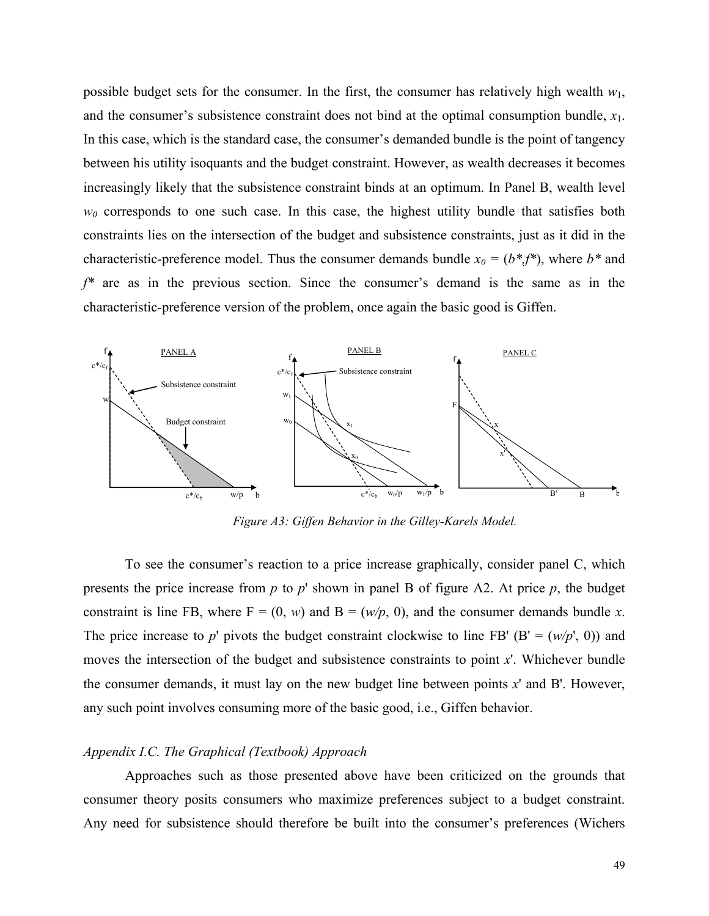possible budget sets for the consumer. In the first, the consumer has relatively high wealth *w*1, and the consumer's subsistence constraint does not bind at the optimal consumption bundle, *x*1. In this case, which is the standard case, the consumer's demanded bundle is the point of tangency between his utility isoquants and the budget constraint. However, as wealth decreases it becomes increasingly likely that the subsistence constraint binds at an optimum. In Panel B, wealth level *w0* corresponds to one such case. In this case, the highest utility bundle that satisfies both constraints lies on the intersection of the budget and subsistence constraints, just as it did in the characteristic-preference model. Thus the consumer demands bundle  $x_0 = (b^*, f^*)$ , where  $b^*$  and *f\** are as in the previous section. Since the consumer's demand is the same as in the characteristic-preference version of the problem, once again the basic good is Giffen.



*Figure A3: Giffen Behavior in the Gilley-Karels Model.* 

To see the consumer's reaction to a price increase graphically, consider panel C, which presents the price increase from *p* to *p*' shown in panel B of figure A2. At price *p*, the budget constraint is line FB, where  $F = (0, w)$  and  $B = (w/p, 0)$ , and the consumer demands bundle *x*. The price increase to *p*' pivots the budget constraint clockwise to line FB' (B' =  $(w/p', 0)$ ) and moves the intersection of the budget and subsistence constraints to point *x*'. Whichever bundle the consumer demands, it must lay on the new budget line between points *x*' and B'. However, any such point involves consuming more of the basic good, i.e., Giffen behavior.

## *Appendix I.C. The Graphical (Textbook) Approach*

 Approaches such as those presented above have been criticized on the grounds that consumer theory posits consumers who maximize preferences subject to a budget constraint. Any need for subsistence should therefore be built into the consumer's preferences (Wichers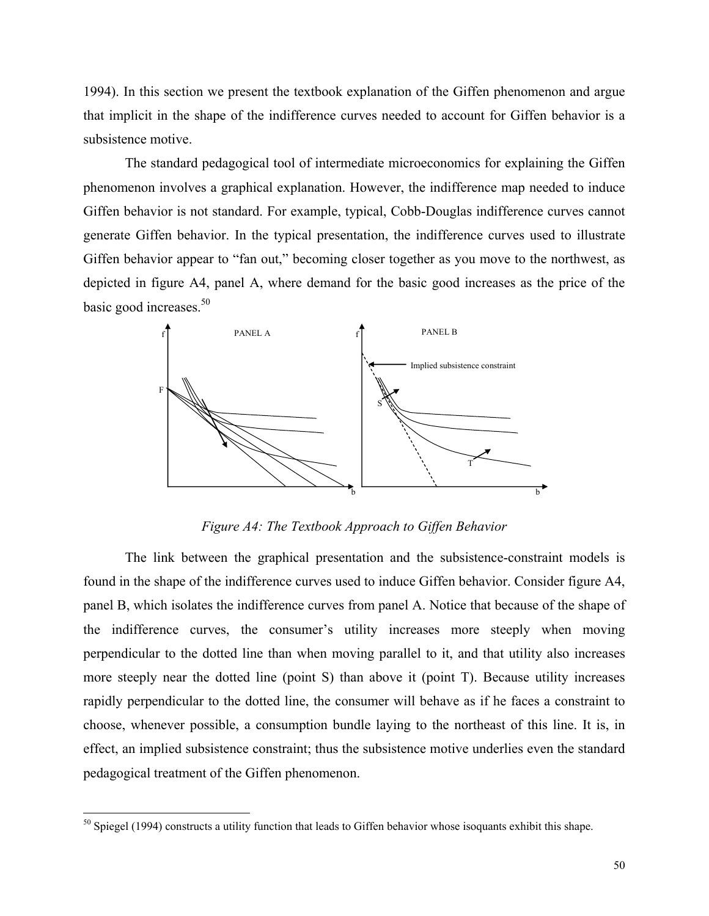1994). In this section we present the textbook explanation of the Giffen phenomenon and argue that implicit in the shape of the indifference curves needed to account for Giffen behavior is a subsistence motive.

 The standard pedagogical tool of intermediate microeconomics for explaining the Giffen phenomenon involves a graphical explanation. However, the indifference map needed to induce Giffen behavior is not standard. For example, typical, Cobb-Douglas indifference curves cannot generate Giffen behavior. In the typical presentation, the indifference curves used to illustrate Giffen behavior appear to "fan out," becoming closer together as you move to the northwest, as depicted in figure A4, panel A, where demand for the basic good increases as the price of the basic good increases.50

![](_page_50_Figure_2.jpeg)

*Figure A4: The Textbook Approach to Giffen Behavior* 

 The link between the graphical presentation and the subsistence-constraint models is found in the shape of the indifference curves used to induce Giffen behavior. Consider figure A4, panel B, which isolates the indifference curves from panel A. Notice that because of the shape of the indifference curves, the consumer's utility increases more steeply when moving perpendicular to the dotted line than when moving parallel to it, and that utility also increases more steeply near the dotted line (point S) than above it (point T). Because utility increases rapidly perpendicular to the dotted line, the consumer will behave as if he faces a constraint to choose, whenever possible, a consumption bundle laying to the northeast of this line. It is, in effect, an implied subsistence constraint; thus the subsistence motive underlies even the standard pedagogical treatment of the Giffen phenomenon.

 $50$  Spiegel (1994) constructs a utility function that leads to Giffen behavior whose isoquants exhibit this shape.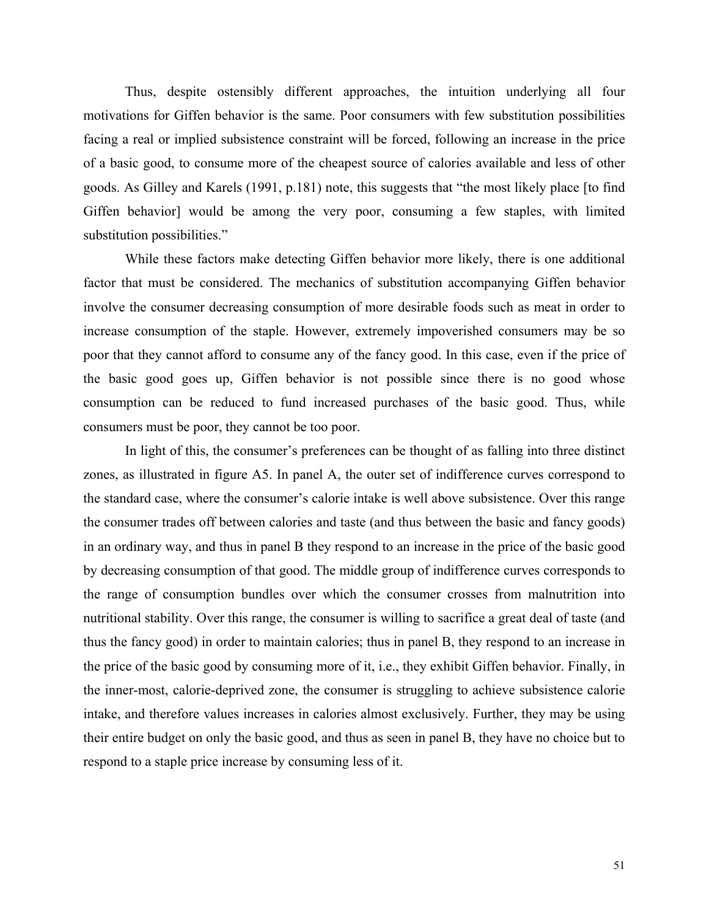Thus, despite ostensibly different approaches, the intuition underlying all four motivations for Giffen behavior is the same. Poor consumers with few substitution possibilities facing a real or implied subsistence constraint will be forced, following an increase in the price of a basic good, to consume more of the cheapest source of calories available and less of other goods. As Gilley and Karels (1991, p.181) note, this suggests that "the most likely place [to find Giffen behavior] would be among the very poor, consuming a few staples, with limited substitution possibilities."

 While these factors make detecting Giffen behavior more likely, there is one additional factor that must be considered. The mechanics of substitution accompanying Giffen behavior involve the consumer decreasing consumption of more desirable foods such as meat in order to increase consumption of the staple. However, extremely impoverished consumers may be so poor that they cannot afford to consume any of the fancy good. In this case, even if the price of the basic good goes up, Giffen behavior is not possible since there is no good whose consumption can be reduced to fund increased purchases of the basic good. Thus, while consumers must be poor, they cannot be too poor.

In light of this, the consumer's preferences can be thought of as falling into three distinct zones, as illustrated in figure A5. In panel A, the outer set of indifference curves correspond to the standard case, where the consumer's calorie intake is well above subsistence. Over this range the consumer trades off between calories and taste (and thus between the basic and fancy goods) in an ordinary way, and thus in panel B they respond to an increase in the price of the basic good by decreasing consumption of that good. The middle group of indifference curves corresponds to the range of consumption bundles over which the consumer crosses from malnutrition into nutritional stability. Over this range, the consumer is willing to sacrifice a great deal of taste (and thus the fancy good) in order to maintain calories; thus in panel B, they respond to an increase in the price of the basic good by consuming more of it, i.e., they exhibit Giffen behavior. Finally, in the inner-most, calorie-deprived zone, the consumer is struggling to achieve subsistence calorie intake, and therefore values increases in calories almost exclusively. Further, they may be using their entire budget on only the basic good, and thus as seen in panel B, they have no choice but to respond to a staple price increase by consuming less of it.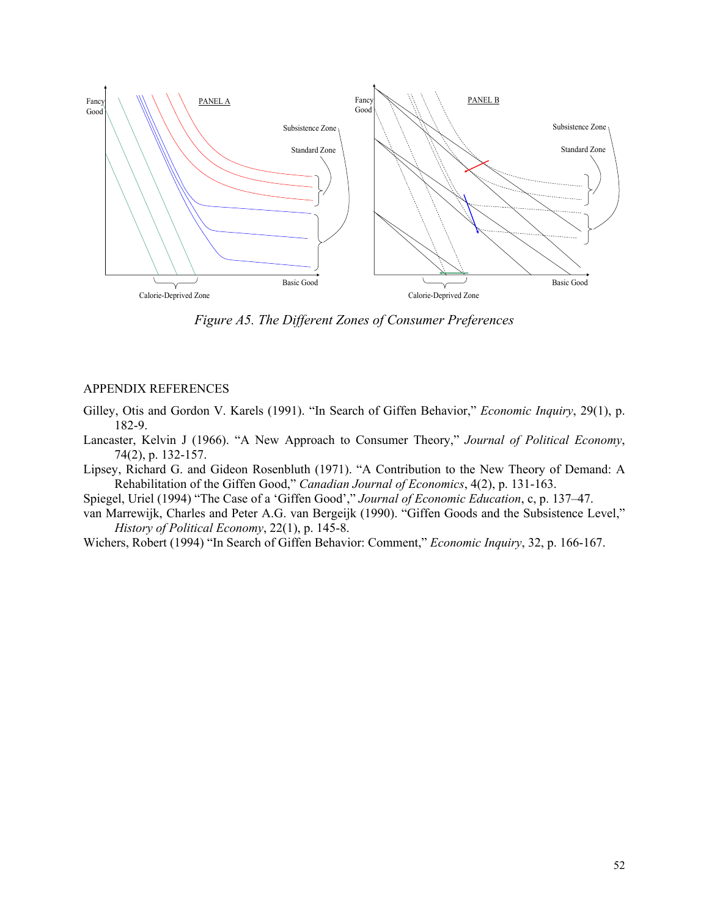![](_page_52_Figure_0.jpeg)

*Figure A5. The Different Zones of Consumer Preferences* 

## APPENDIX REFERENCES

- Gilley, Otis and Gordon V. Karels (1991). "In Search of Giffen Behavior," *Economic Inquiry*, 29(1), p. 182-9.
- Lancaster, Kelvin J (1966). "A New Approach to Consumer Theory," *Journal of Political Economy*, 74(2), p. 132-157.
- Lipsey, Richard G. and Gideon Rosenbluth (1971). "A Contribution to the New Theory of Demand: A Rehabilitation of the Giffen Good," *Canadian Journal of Economics*, 4(2), p. 131-163.
- Spiegel, Uriel (1994) "The Case of a 'Giffen Good'," *Journal of Economic Education*, c, p. 137–47.
- van Marrewijk, Charles and Peter A.G. van Bergeijk (1990). "Giffen Goods and the Subsistence Level," *History of Political Economy*, 22(1), p. 145-8.
- Wichers, Robert (1994) "In Search of Giffen Behavior: Comment," *Economic Inquiry*, 32, p. 166-167.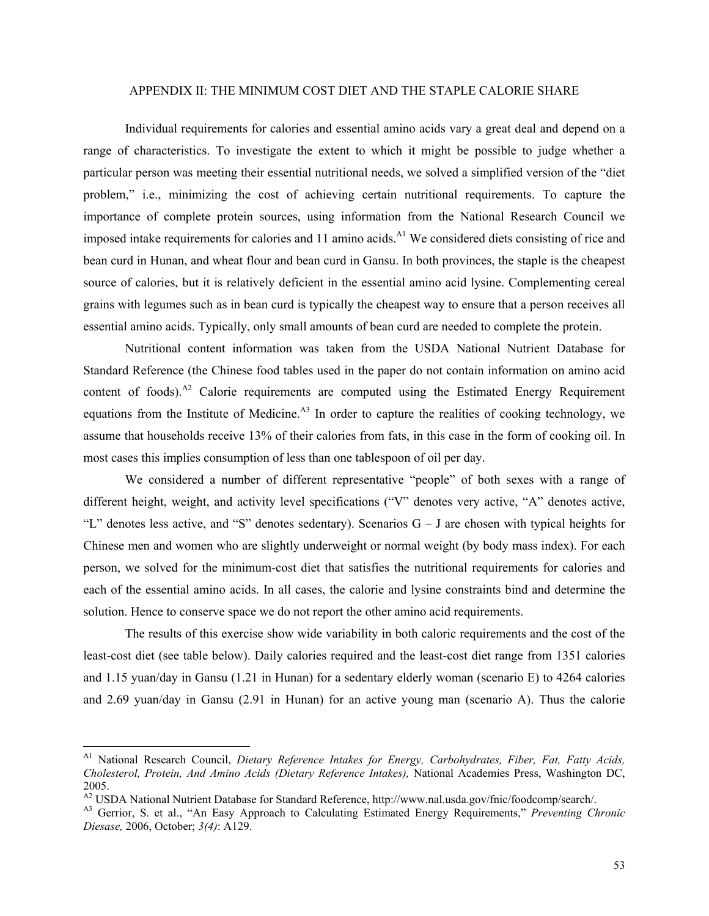#### APPENDIX II: THE MINIMUM COST DIET AND THE STAPLE CALORIE SHARE

Individual requirements for calories and essential amino acids vary a great deal and depend on a range of characteristics. To investigate the extent to which it might be possible to judge whether a particular person was meeting their essential nutritional needs, we solved a simplified version of the "diet problem," i.e., minimizing the cost of achieving certain nutritional requirements. To capture the importance of complete protein sources, using information from the National Research Council we imposed intake requirements for calories and 11 amino acids.<sup>A1</sup> We considered diets consisting of rice and bean curd in Hunan, and wheat flour and bean curd in Gansu. In both provinces, the staple is the cheapest source of calories, but it is relatively deficient in the essential amino acid lysine. Complementing cereal grains with legumes such as in bean curd is typically the cheapest way to ensure that a person receives all essential amino acids. Typically, only small amounts of bean curd are needed to complete the protein.

Nutritional content information was taken from the USDA National Nutrient Database for Standard Reference (the Chinese food tables used in the paper do not contain information on amino acid content of foods). $^{A2}$  Calorie requirements are computed using the Estimated Energy Requirement equations from the Institute of Medicine.<sup>A3</sup> In order to capture the realities of cooking technology, we assume that households receive 13% of their calories from fats, in this case in the form of cooking oil. In most cases this implies consumption of less than one tablespoon of oil per day.

We considered a number of different representative "people" of both sexes with a range of different height, weight, and activity level specifications ("V" denotes very active, "A" denotes active, "L" denotes less active, and "S" denotes sedentary). Scenarios  $G - J$  are chosen with typical heights for Chinese men and women who are slightly underweight or normal weight (by body mass index). For each person, we solved for the minimum-cost diet that satisfies the nutritional requirements for calories and each of the essential amino acids. In all cases, the calorie and lysine constraints bind and determine the solution. Hence to conserve space we do not report the other amino acid requirements.

The results of this exercise show wide variability in both caloric requirements and the cost of the least-cost diet (see table below). Daily calories required and the least-cost diet range from 1351 calories and 1.15 yuan/day in Gansu (1.21 in Hunan) for a sedentary elderly woman (scenario E) to 4264 calories and 2.69 yuan/day in Gansu (2.91 in Hunan) for an active young man (scenario A). Thus the calorie

A1 National Research Council, *Dietary Reference Intakes for Energy, Carbohydrates, Fiber, Fat, Fatty Acids, Cholesterol, Protein, And Amino Acids (Dietary Reference Intakes),* National Academies Press, Washington DC, 2005.<br><sup>A2</sup> USDA National Nutrient Database for Standard Reference, http://www.nal.usda.gov/fnic/foodcomp/search/.

<sup>&</sup>lt;sup>A3</sup> Gerrior, S. et al., "An Easy Approach to Calculating Estimated Energy Requirements," *Preventing Chronic Diesase,* 2006, October; *3(4)*: A129.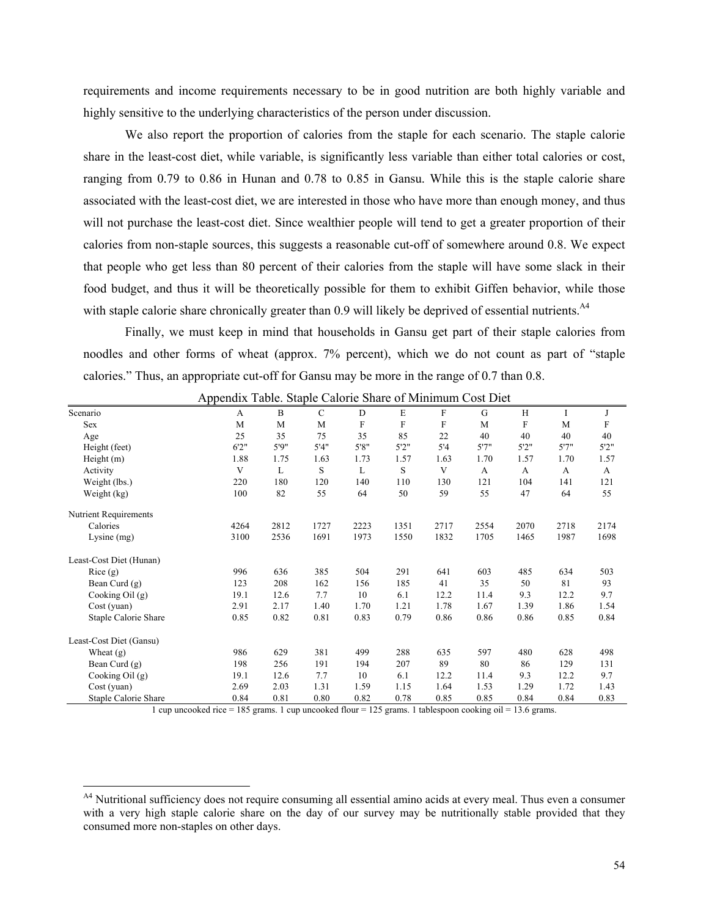requirements and income requirements necessary to be in good nutrition are both highly variable and highly sensitive to the underlying characteristics of the person under discussion.

We also report the proportion of calories from the staple for each scenario. The staple calorie share in the least-cost diet, while variable, is significantly less variable than either total calories or cost, ranging from 0.79 to 0.86 in Hunan and 0.78 to 0.85 in Gansu. While this is the staple calorie share associated with the least-cost diet, we are interested in those who have more than enough money, and thus will not purchase the least-cost diet. Since wealthier people will tend to get a greater proportion of their calories from non-staple sources, this suggests a reasonable cut-off of somewhere around 0.8. We expect that people who get less than 80 percent of their calories from the staple will have some slack in their food budget, and thus it will be theoretically possible for them to exhibit Giffen behavior, while those with staple calorie share chronically greater than 0.9 will likely be deprived of essential nutrients.<sup>A4</sup>

Finally, we must keep in mind that households in Gansu get part of their staple calories from noodles and other forms of wheat (approx. 7% percent), which we do not count as part of "staple calories." Thus, an appropriate cut-off for Gansu may be more in the range of 0.7 than 0.8.

| 1 1۳                    |       |             |               |       |           |      |       |       |       |       |  |
|-------------------------|-------|-------------|---------------|-------|-----------|------|-------|-------|-------|-------|--|
| Scenario                | A     | $\mathbf B$ | $\mathcal{C}$ | D     | E         | F    | G     | H     | I     | J     |  |
| Sex                     | M     | M           | М             | F     | ${\bf F}$ | F    | M     | F     | M     | F     |  |
| Age                     | 25    | 35          | 75            | 35    | 85        | 22   | 40    | 40    | 40    | 40    |  |
| Height (feet)           | 6'2'' | 5'9"        | 5'4''         | 5'8'' | 5'2''     | 5'4  | 5'7'' | 5'2'' | 5'7'' | 5'2'' |  |
| Height (m)              | 1.88  | 1.75        | 1.63          | 1.73  | 1.57      | 1.63 | 1.70  | 1.57  | 1.70  | 1.57  |  |
| Activity                | V     | L           | S             | L     | S         | V    | A     | A     | A     | A     |  |
| Weight (lbs.)           | 220   | 180         | 120           | 140   | 110       | 130  | 121   | 104   | 141   | 121   |  |
| Weight (kg)             | 100   | 82          | 55            | 64    | 50        | 59   | 55    | 47    | 64    | 55    |  |
| Nutrient Requirements   |       |             |               |       |           |      |       |       |       |       |  |
| Calories                | 4264  | 2812        | 1727          | 2223  | 1351      | 2717 | 2554  | 2070  | 2718  | 2174  |  |
| Lysine $(mg)$           | 3100  | 2536        | 1691          | 1973  | 1550      | 1832 | 1705  | 1465  | 1987  | 1698  |  |
| Least-Cost Diet (Hunan) |       |             |               |       |           |      |       |       |       |       |  |
| Rice(g)                 | 996   | 636         | 385           | 504   | 291       | 641  | 603   | 485   | 634   | 503   |  |
| Bean Curd $(g)$         | 123   | 208         | 162           | 156   | 185       | 41   | 35    | 50    | 81    | 93    |  |
| Cooking Oil (g)         | 19.1  | 12.6        | 7.7           | 10    | 6.1       | 12.2 | 11.4  | 9.3   | 12.2  | 9.7   |  |
| Cost (yuan)             | 2.91  | 2.17        | 1.40          | 1.70  | 1.21      | 1.78 | 1.67  | 1.39  | 1.86  | 1.54  |  |
| Staple Calorie Share    | 0.85  | 0.82        | 0.81          | 0.83  | 0.79      | 0.86 | 0.86  | 0.86  | 0.85  | 0.84  |  |
| Least-Cost Diet (Gansu) |       |             |               |       |           |      |       |       |       |       |  |
| Wheat $(g)$             | 986   | 629         | 381           | 499   | 288       | 635  | 597   | 480   | 628   | 498   |  |
| Bean Curd (g)           | 198   | 256         | 191           | 194   | 207       | 89   | 80    | 86    | 129   | 131   |  |
| Cooking Oil $(g)$       | 19.1  | 12.6        | 7.7           | 10    | 6.1       | 12.2 | 11.4  | 9.3   | 12.2  | 9.7   |  |
| Cost (yuan)             | 2.69  | 2.03        | 1.31          | 1.59  | 1.15      | 1.64 | 1.53  | 1.29  | 1.72  | 1.43  |  |
| Staple Calorie Share    | 0.84  | 0.81        | 0.80          | 0.82  | 0.78      | 0.85 | 0.85  | 0.84  | 0.84  | 0.83  |  |

Appendix Table. Staple Calorie Share of Minimum Cost Diet

1 cup uncooked rice = 185 grams. 1 cup uncooked flour = 125 grams. 1 tablespoon cooking oil = 13.6 grams.

A4 Nutritional sufficiency does not require consuming all essential amino acids at every meal. Thus even a consumer with a very high staple calorie share on the day of our survey may be nutritionally stable provided that they consumed more non-staples on other days.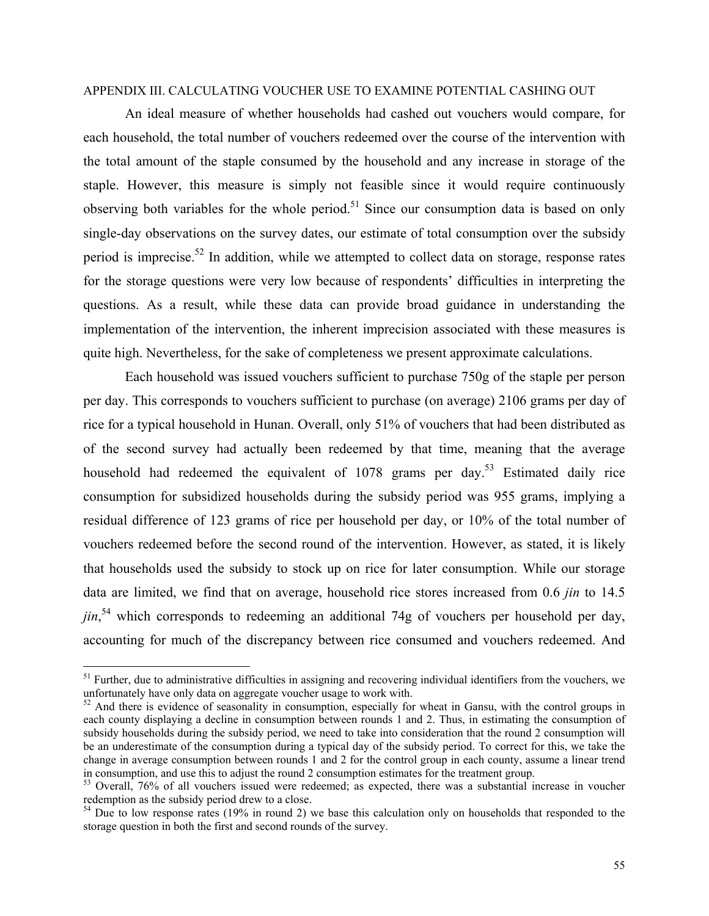## APPENDIX III. CALCULATING VOUCHER USE TO EXAMINE POTENTIAL CASHING OUT

An ideal measure of whether households had cashed out vouchers would compare, for each household, the total number of vouchers redeemed over the course of the intervention with the total amount of the staple consumed by the household and any increase in storage of the staple. However, this measure is simply not feasible since it would require continuously observing both variables for the whole period.<sup>51</sup> Since our consumption data is based on only single-day observations on the survey dates, our estimate of total consumption over the subsidy period is imprecise.<sup>52</sup> In addition, while we attempted to collect data on storage, response rates for the storage questions were very low because of respondents' difficulties in interpreting the questions. As a result, while these data can provide broad guidance in understanding the implementation of the intervention, the inherent imprecision associated with these measures is quite high. Nevertheless, for the sake of completeness we present approximate calculations.

Each household was issued vouchers sufficient to purchase 750g of the staple per person per day. This corresponds to vouchers sufficient to purchase (on average) 2106 grams per day of rice for a typical household in Hunan. Overall, only 51% of vouchers that had been distributed as of the second survey had actually been redeemed by that time, meaning that the average household had redeemed the equivalent of  $1078$  grams per day.<sup>53</sup> Estimated daily rice consumption for subsidized households during the subsidy period was 955 grams, implying a residual difference of 123 grams of rice per household per day, or 10% of the total number of vouchers redeemed before the second round of the intervention. However, as stated, it is likely that households used the subsidy to stock up on rice for later consumption. While our storage data are limited, we find that on average, household rice stores increased from 0.6 *jin* to 14.5 *jin*, 54 which corresponds to redeeming an additional 74g of vouchers per household per day, accounting for much of the discrepancy between rice consumed and vouchers redeemed. And

1

 $<sup>51</sup>$  Further, due to administrative difficulties in assigning and recovering individual identifiers from the vouchers, we</sup> unfortunately have only data on aggregate voucher usage to work with.

 $52$  And there is evidence of seasonality in consumption, especially for wheat in Gansu, with the control groups in each county displaying a decline in consumption between rounds 1 and 2. Thus, in estimating the consumption of subsidy households during the subsidy period, we need to take into consideration that the round 2 consumption will be an underestimate of the consumption during a typical day of the subsidy period. To correct for this, we take the change in average consumption between rounds 1 and 2 for the control group in each county, assume a linear trend in consumption, and use this to adjust the round 2 consumption estimates for the treatment group.

<sup>53</sup> Overall, 76% of all vouchers issued were redeemed; as expected, there was a substantial increase in voucher redemption as the subsidy period drew to a close.

 $54$  Due to low response rates (19% in round 2) we base this calculation only on households that responded to the storage question in both the first and second rounds of the survey.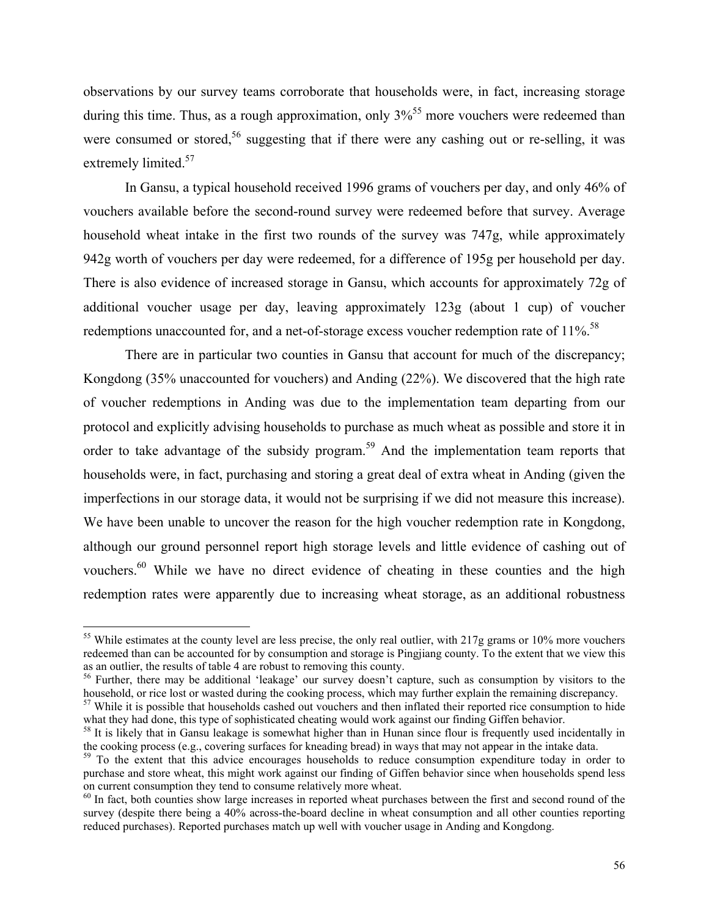observations by our survey teams corroborate that households were, in fact, increasing storage during this time. Thus, as a rough approximation, only  $3\frac{6}{5}$  more vouchers were redeemed than were consumed or stored,<sup>56</sup> suggesting that if there were any cashing out or re-selling, it was extremely limited.<sup>57</sup>

In Gansu, a typical household received 1996 grams of vouchers per day, and only 46% of vouchers available before the second-round survey were redeemed before that survey. Average household wheat intake in the first two rounds of the survey was 747g, while approximately 942g worth of vouchers per day were redeemed, for a difference of 195g per household per day. There is also evidence of increased storage in Gansu, which accounts for approximately 72g of additional voucher usage per day, leaving approximately 123g (about 1 cup) of voucher redemptions unaccounted for, and a net-of-storage excess voucher redemption rate of 11%.<sup>58</sup>

There are in particular two counties in Gansu that account for much of the discrepancy; Kongdong (35% unaccounted for vouchers) and Anding (22%). We discovered that the high rate of voucher redemptions in Anding was due to the implementation team departing from our protocol and explicitly advising households to purchase as much wheat as possible and store it in order to take advantage of the subsidy program.<sup>59</sup> And the implementation team reports that households were, in fact, purchasing and storing a great deal of extra wheat in Anding (given the imperfections in our storage data, it would not be surprising if we did not measure this increase). We have been unable to uncover the reason for the high voucher redemption rate in Kongdong, although our ground personnel report high storage levels and little evidence of cashing out of vouchers.<sup>60</sup> While we have no direct evidence of cheating in these counties and the high redemption rates were apparently due to increasing wheat storage, as an additional robustness

 $55$  While estimates at the county level are less precise, the only real outlier, with 217g grams or 10% more vouchers redeemed than can be accounted for by consumption and storage is Pingjiang county. To the extent that we view this as an outlier, the results of table 4 are robust to removing this county.

<sup>&</sup>lt;sup>56</sup> Further, there may be additional 'leakage' our survey doesn't capture, such as consumption by visitors to the household, or rice lost or wasted during the cooking process, which may further explain the remaining discrepancy.

 $57$  While it is possible that households cashed out vouchers and then inflated their reported rice consumption to hide what they had done, this type of sophisticated cheating would work against our finding Giffen behavior.

 $58$  It is likely that in Gansu leakage is somewhat higher than in Hunan since flour is frequently used incidentally in the cooking process (e.g., covering surfaces for kneading bread) in ways that may not appear in the i

 $t_{\text{S}}$  To the extent that this advice encourages households to reduce consumption expenditure today in order to purchase and store wheat, this might work against our finding of Giffen behavior since when households spend less on current consumption they tend to consume relatively more wheat.

<sup>&</sup>lt;sup>60</sup> In fact, both counties show large increases in reported wheat purchases between the first and second round of the survey (despite there being a 40% across-the-board decline in wheat consumption and all other counties reporting reduced purchases). Reported purchases match up well with voucher usage in Anding and Kongdong.